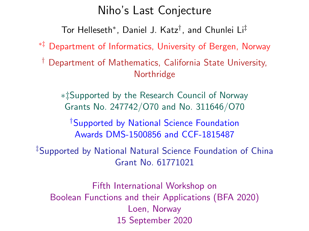## Niho's Last Conjecture

Tor Helleseth<sup>∗</sup> , Daniel J. Katz† , and Chunlei Li‡

∗‡ Department of Informatics, University of Bergen, Norway

† Department of Mathematics, California State University, Northridge

∗‡Supported by the Research Council of Norway Grants No. 247742/O70 and No. 311646/O70

†Supported by National Science Foundation Awards DMS-1500856 and CCF-1815487

‡Supported by National Natural Science Foundation of China Grant No. 61771021

Fifth International Workshop on Boolean Functions and their Applications (BFA 2020) Loen, Norway 15 September 2020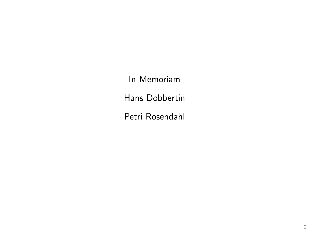In Memoriam Hans Dobbertin Petri Rosendahl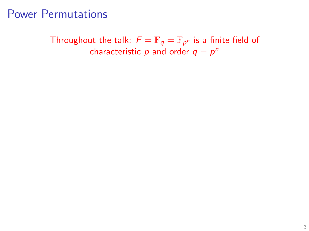Throughout the talk:  $F = \mathbb{F}_q = \mathbb{F}_{p^n}$  is a finite field of characteristic  $p$  and order  $q = p^n$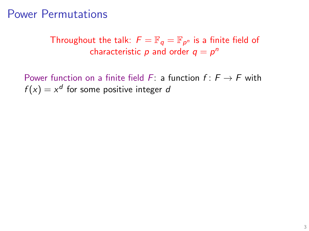Throughout the talk:  $F = \mathbb{F}_q = \mathbb{F}_{p^n}$  is a finite field of characteristic  $p$  and order  $q = p^n$ 

Power function on a finite field F: a function  $f: F \rightarrow F$  with  $f(x) = x^d$  for some positive integer d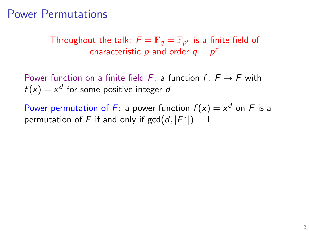Throughout the talk:  $F = \mathbb{F}_q = \mathbb{F}_{p^n}$  is a finite field of characteristic  $p$  and order  $q = p^n$ 

Power function on a finite field F: a function  $f: F \to F$  with  $f(x) = x^d$  for some positive integer d

Power permutation of F: a power function  $f(x) = x^d$  on F is a permutation of F if and only if  $gcd(d, |F^*|) = 1$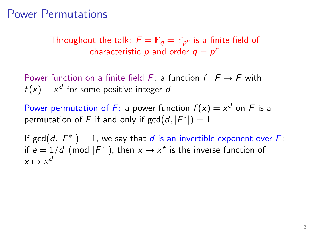Throughout the talk:  $F = \mathbb{F}_q = \mathbb{F}_{p^n}$  is a finite field of characteristic  $p$  and order  $q = p^n$ 

Power function on a finite field F: a function  $f: F \to F$  with  $f(x) = x^d$  for some positive integer d

Power permutation of F: a power function  $f(x) = x^d$  on F is a permutation of F if and only if  $gcd(d, |F^*|) = 1$ 

If  $gcd(d, |F^*|) = 1$ , we say that d is an invertible exponent over F: if  $e = 1/d$  (mod  $|F^*|$ ), then  $x \mapsto x^e$  is the inverse function of  $x \mapsto x^d$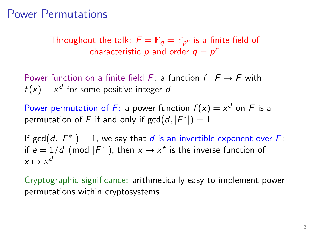Throughout the talk:  $F = \mathbb{F}_q = \mathbb{F}_{p^n}$  is a finite field of characteristic  $p$  and order  $q = p^n$ 

Power function on a finite field F: a function  $f: F \to F$  with  $f(x) = x^d$  for some positive integer d

Power permutation of F: a power function  $f(x) = x^d$  on F is a permutation of F if and only if  $gcd(d, |F^*|) = 1$ 

If  $gcd(d, |F^*|) = 1$ , we say that d is an invertible exponent over F: if  $e = 1/d$  (mod  $|F^*|$ ), then  $x \mapsto x^e$  is the inverse function of  $x \mapsto x^d$ 

Cryptographic significance: arithmetically easy to implement power permutations within cryptosystems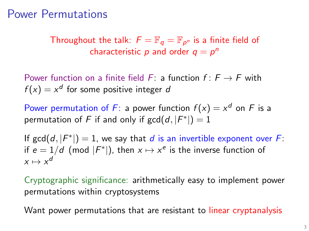Throughout the talk:  $F = \mathbb{F}_q = \mathbb{F}_{p^n}$  is a finite field of characteristic  $p$  and order  $q = p^n$ 

Power function on a finite field F: a function  $f: F \to F$  with  $f(x) = x^d$  for some positive integer d

Power permutation of F: a power function  $f(x) = x^d$  on F is a permutation of F if and only if  $gcd(d, |F^*|) = 1$ 

If  $gcd(d, |F^*|) = 1$ , we say that d is an invertible exponent over F: if  $e = 1/d$  (mod  $|F^*|$ ), then  $x \mapsto x^e$  is the inverse function of  $x \mapsto x^d$ 

Cryptographic significance: arithmetically easy to implement power permutations within cryptosystems

Want power permutations that are resistant to linear cryptanalysis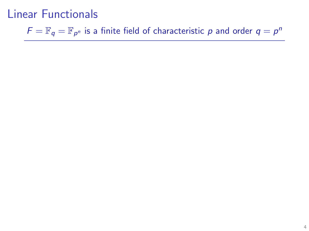$\mathcal{F} = \mathbb{F}_q = \mathbb{F}_{p^n}$  is a finite field of characteristic  $p$  and order  $q = p^n$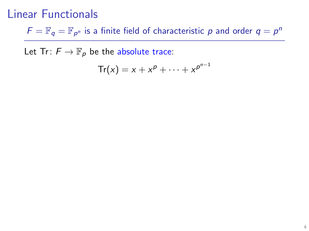$\mathcal{F} = \mathbb{F}_q = \mathbb{F}_{p^n}$  is a finite field of characteristic  $p$  and order  $q = p^n$ 

Let Tr:  $F \to \mathbb{F}_p$  be the absolute trace:

$$
\mathsf{Tr}(x) = x + x^p + \cdots + x^{p^{n-1}}
$$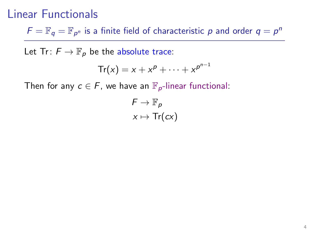$\mathcal{F} = \mathbb{F}_q = \mathbb{F}_{p^n}$  is a finite field of characteristic  $p$  and order  $q = p^n$ 

Let Tr:  $F \to \mathbb{F}_p$  be the absolute trace:

$$
\mathsf{Tr}(x) = x + x^p + \cdots + x^{p^{n-1}}
$$

Then for any  $c \in F$ , we have an  $\mathbb{F}_{p}$ -linear functional:

$$
F \to \mathbb{F}_p
$$

$$
x \mapsto \text{Tr}(cx)
$$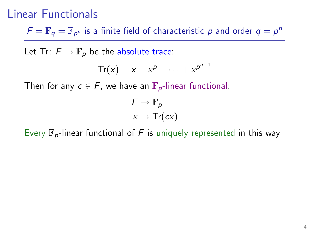$\mathcal{F} = \mathbb{F}_q = \mathbb{F}_{p^n}$  is a finite field of characteristic  $p$  and order  $q = p^n$ 

Let Tr:  $F \to \mathbb{F}_p$  be the absolute trace:

$$
\mathsf{Tr}(x) = x + x^p + \cdots + x^{p^{n-1}}
$$

Then for any  $c \in F$ , we have an  $\mathbb{F}_{p}$ -linear functional:

$$
F \to \mathbb{F}_p
$$

$$
x \mapsto \text{Tr}(cx)
$$

Every  $\mathbb{F}_p$ -linear functional of F is uniquely represented in this way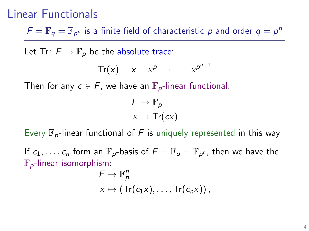$\mathcal{F} = \mathbb{F}_q = \mathbb{F}_{p^n}$  is a finite field of characteristic  $p$  and order  $q = p^n$ 

Let Tr:  $F \to \mathbb{F}_p$  be the absolute trace:

$$
\mathsf{Tr}(x) = x + x^p + \cdots + x^{p^{n-1}}
$$

Then for any  $c \in F$ , we have an  $\mathbb{F}_{p}$ -linear functional:

$$
F \to \mathbb{F}_p
$$

$$
x \mapsto \text{Tr}(cx)
$$

Every  $\mathbb{F}_p$ -linear functional of F is uniquely represented in this way

If  $c_1, \ldots, c_n$  form an  $\mathbb{F}_p$ -basis of  $F = \mathbb{F}_q = \mathbb{F}_{p^n}$ , then we have the  $\mathbb{F}_{p}$ -linear isomorphism:

$$
F \to \mathbb{F}_p^n
$$
  
 
$$
x \mapsto (\text{Tr}(c_1x), \ldots, \text{Tr}(c_nx)),
$$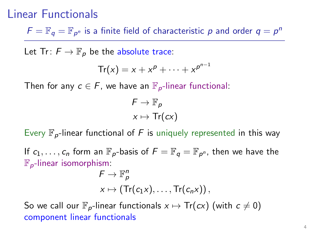$\mathcal{F} = \mathbb{F}_q = \mathbb{F}_{p^n}$  is a finite field of characteristic  $p$  and order  $q = p^n$ 

Let Tr:  $F \to \mathbb{F}_p$  be the absolute trace:

$$
\mathsf{Tr}(x) = x + x^p + \cdots + x^{p^{n-1}}
$$

Then for any  $c \in F$ , we have an  $\mathbb{F}_{p}$ -linear functional:

$$
F \to \mathbb{F}_p
$$

$$
x \mapsto \text{Tr}(cx)
$$

Every  $\mathbb{F}_{p}$ -linear functional of F is uniquely represented in this way

If  $c_1, \ldots, c_n$  form an  $\mathbb{F}_p$ -basis of  $F = \mathbb{F}_q = \mathbb{F}_{p^n}$ , then we have the  $\mathbb{F}_{p}$ -linear isomorphism:

$$
F \to \mathbb{F}_p^n
$$
  

$$
x \mapsto (\text{Tr}(c_1x), \ldots, \text{Tr}(c_nx)),
$$

So we call our  $\mathbb{F}_{p}$ -linear functionals  $x \mapsto \text{Tr}(cx)$  (with  $c \neq 0$ ) component linear functionals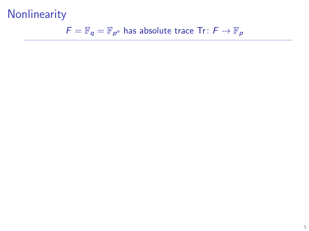$$
F = \mathbb{F}_q = \mathbb{F}_{p^n}
$$
 has absolute trace Tr:  $F \to \mathbb{F}_p$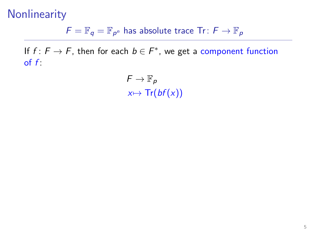$\overline{F} = \mathbb{F}_{q} = \mathbb{F}_{p^n}$  has absolute trace Tr:  $\overline{F} \to \mathbb{F}_{p}$ 

If  $f: F \to F$ , then for each  $b \in F^*$ , we get a component function of  $f$ :

> $F \to \mathbb{F}_p$  $x \mapsto Tr(bf(x))$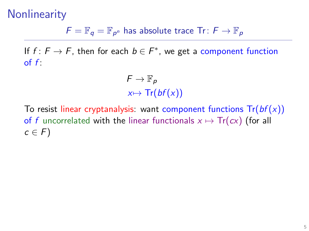$\overline{F} = \mathbb{F}_{q} = \mathbb{F}_{p^n}$  has absolute trace Tr:  $\overline{F} \to \mathbb{F}_{p}$ 

If  $f: F \to F$ , then for each  $b \in F^*$ , we get a component function of  $f$ :

> $F \to \mathbb{F}_p$  $x \mapsto Tr(bf(x))$

To resist linear cryptanalysis: want component functions  $Tr(bf(x))$ of f uncorrelated with the linear functionals  $x \mapsto \text{Tr}(cx)$  (for all  $c \in F$ )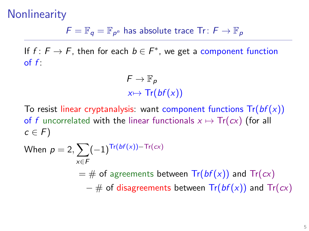$\overline{F} = \mathbb{F}_{q} = \mathbb{F}_{p^n}$  has absolute trace Tr:  $\overline{F} \to \mathbb{F}_{p}$ 

If  $f: F \to F$ , then for each  $b \in F^*$ , we get a component function of  $f$ :

> $F \to \mathbb{F}_p$  $x \mapsto Tr(bf(x))$

To resist linear cryptanalysis: want component functions  $Tr(bf(x))$ of f uncorrelated with the linear functionals  $x \mapsto \text{Tr}(cx)$  (for all  $c \in F$ )

When 
$$
p = 2
$$
,  $\sum_{x \in F} (-1)^{\text{Tr}(bf(x)) - \text{Tr}(cx)}$   
=  $\#$  of agreements between  $\text{Tr}(bf(x))$  and  $\text{Tr}(cx)$   
 $- \#$  of disappears between  $\text{Tr}(bf(x))$  and  $\text{Tr}(cx)$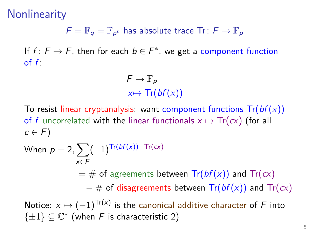$\overline{F} = \mathbb{F}_{q} = \mathbb{F}_{p^n}$  has absolute trace Tr:  $\overline{F} \to \mathbb{F}_{p}$ 

If  $f: F \to F$ , then for each  $b \in F^*$ , we get a component function of  $f$ :

> $F \to \mathbb{F}_p$  $x \mapsto Tr(bf(x))$

To resist linear cryptanalysis: want component functions  $Tr(bf(x))$ of f uncorrelated with the linear functionals  $x \mapsto \text{Tr}(cx)$  (for all  $c \in F$ )

When 
$$
p = 2
$$
,  $\sum_{x \in F} (-1)^{\text{Tr}(bf(x)) - \text{Tr}(cx)}$   
\n $= #$  of agreements between  $\text{Tr}(bf(x))$  and  $\text{Tr}(cx)$   
\n $- #$  of ~~disagreements~~ between  $\text{Tr}(bf(x))$  and  $\text{Tr}(cx)$   
\nNotice:  $x \mapsto (-1)^{\text{Tr}(x)}$  is the canonical additive character of  $F$  into  
\n $\{\pm 1\} \subseteq \mathbb{C}^*$  (when  $F$  is characteristic 2)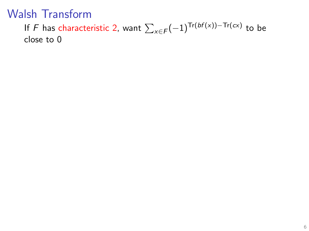If  $F$  has characteristic 2, want  $\sum_{x \in F} (-1)^{\textsf{Tr}(bf(x))-\textsf{Tr}(c x)}$  to be close to 0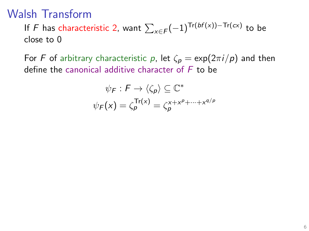If  $F$  has characteristic 2, want  $\sum_{x \in F} (-1)^{\textsf{Tr}(bf(x))-\textsf{Tr}(c x)}$  to be close to 0

For F of arbitrary characteristic p, let  $\zeta_p = \exp(2\pi i/p)$  and then define the canonical additive character of  $F$  to be

$$
\psi_F : F \to \langle \zeta_p \rangle \subseteq \mathbb{C}^*
$$

$$
\psi_F(x) = \zeta_p^{\text{Tr}(x)} = \zeta_p^{x + x^p + \dots + x^{q/p}}
$$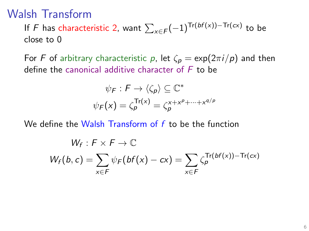If  $F$  has characteristic 2, want  $\sum_{x \in F} (-1)^{\textsf{Tr}(bf(x))-\textsf{Tr}(c x)}$  to be close to 0

For F of arbitrary characteristic p, let  $\zeta_p = \exp(2\pi i/p)$  and then define the canonical additive character of  $F$  to be

$$
\psi_F : F \to \langle \zeta_p \rangle \subseteq \mathbb{C}^*
$$

$$
\psi_F(x) = \zeta_p^{\text{Tr}(x)} = \zeta_p^{x + x^p + \dots + x^{q/p}}
$$

We define the Walsh Transform of  $f$  to be the function

$$
W_f: F \times F \to \mathbb{C}
$$
  

$$
W_f(b, c) = \sum_{x \in F} \psi_F(bf(x) - cx) = \sum_{x \in F} \zeta_p^{\text{Tr}(bf(x)) - \text{Tr}(cx)}
$$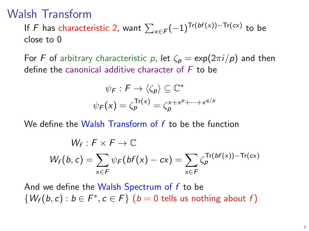If  $F$  has characteristic 2, want  $\sum_{x \in F} (-1)^{\textsf{Tr}(bf(x))-\textsf{Tr}(c x)}$  to be close to 0

For F of arbitrary characteristic p, let  $\zeta_p = \exp(2\pi i/p)$  and then define the canonical additive character of  $F$  to be

$$
\psi_F : F \to \langle \zeta_p \rangle \subseteq \mathbb{C}^*
$$

$$
\psi_F(x) = \zeta_p^{\text{Tr}(x)} = \zeta_p^{x + x^p + \dots + x^{q/p}}
$$

We define the Walsh Transform of  $f$  to be the function

$$
W_f: F \times F \to \mathbb{C}
$$
  

$$
W_f(b, c) = \sum_{x \in F} \psi_F(bf(x) - cx) = \sum_{x \in F} \zeta_p^{\text{Tr}(bf(x)) - \text{Tr}(cx)}
$$

And we define the Walsh Spectrum of f to be  $\{W_f(b,c): b \in F^*, c \in F\}$   $(b = 0$  tells us nothing about f)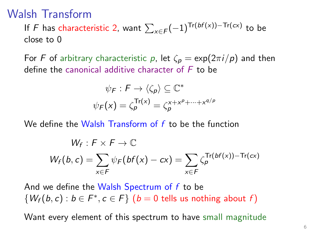If  $F$  has characteristic 2, want  $\sum_{x \in F} (-1)^{\textsf{Tr}(bf(x))-\textsf{Tr}(c x)}$  to be close to 0

For F of arbitrary characteristic p, let  $\zeta_p = \exp(2\pi i/p)$  and then define the canonical additive character of  $F$  to be

$$
\psi_F : F \to \langle \zeta_p \rangle \subseteq \mathbb{C}^*
$$

$$
\psi_F(x) = \zeta_p^{\text{Tr}(x)} = \zeta_p^{x + x^p + \dots + x^{q/p}}
$$

We define the Walsh Transform of f to be the function

$$
W_f: F \times F \to \mathbb{C}
$$
  

$$
W_f(b, c) = \sum_{x \in F} \psi_F(bf(x) - cx) = \sum_{x \in F} \zeta_p^{\text{Tr}(bf(x)) - \text{Tr}(cx)}
$$

And we define the Walsh Spectrum of f to be  $\{W_f(b,c): b \in F^*, c \in F\}$   $(b = 0$  tells us nothing about f)

Want every element of this spectrum to have small magnitude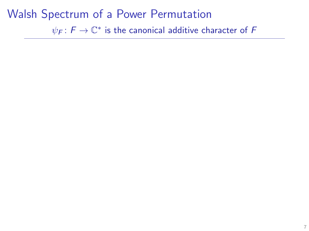$\psi_{\mathsf{F}}\colon\mathsf{F}\to\mathbb{C}^*$  is the canonical additive character of  $\mathsf F$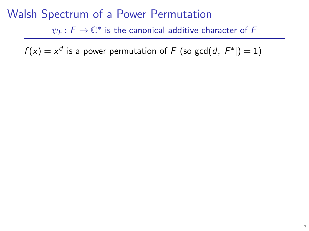$\psi_{\mathsf{F}}\colon\mathsf{F}\to\mathbb{C}^*$  is the canonical additive character of  $\mathsf F$ 

 $f(x) = x^d$  is a power permutation of  $F$  (so  $\gcd(d,|F^*|)=1)$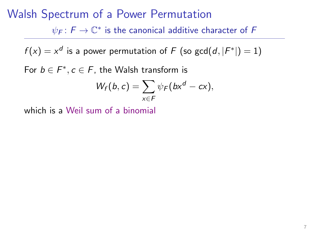## Walsh Spectrum of a Power Permutation  $\psi_{\mathsf{F}}\colon\mathsf{F}\to\mathbb{C}^*$  is the canonical additive character of  $\mathsf F$

 $f(x) = x^d$  is a power permutation of  $F$  (so  $\gcd(d,|F^*|)=1)$ 

For  $b \in F^*, c \in F$ , the Walsh transform is

$$
W_f(b,c)=\sum_{x\in F}\psi_F(bx^d-cx),
$$

which is a Weil sum of a binomial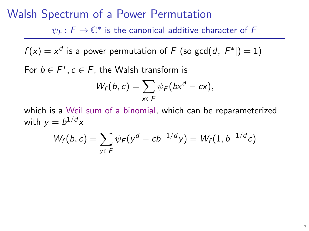$\psi_{\mathsf{F}}\colon\mathsf{F}\to\mathbb{C}^*$  is the canonical additive character of  $\mathsf F$ 

 $f(x) = x^d$  is a power permutation of  $F$  (so  $\gcd(d,|F^*|)=1)$ 

For  $b \in F^*, c \in F$ , the Walsh transform is

$$
W_f(b,c)=\sum_{x\in F}\psi_F(bx^d-cx),
$$

which is a Weil sum of a binomial, which can be reparameterized with  $y=b^{1/d}x$ 

$$
W_f(b,c) = \sum_{y \in F} \psi_F(y^d - cb^{-1/d}y) = W_f(1, b^{-1/d}c)
$$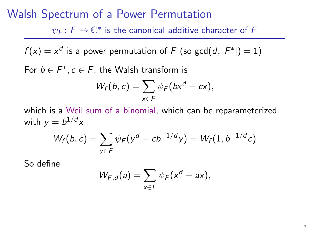$\psi_{\mathsf{F}}\colon\mathsf{F}\to\mathbb{C}^*$  is the canonical additive character of  $\mathsf F$ 

 $f(x) = x^d$  is a power permutation of  $F$  (so  $\gcd(d,|F^*|)=1)$ 

For  $b \in F^*, c \in F$ , the Walsh transform is

$$
W_f(b,c)=\sum_{x\in F}\psi_F(bx^d-cx),
$$

which is a Weil sum of a binomial, which can be reparameterized with  $y=b^{1/d}x$ 

$$
W_f(b,c) = \sum_{y \in F} \psi_F(y^d - cb^{-1/d}y) = W_f(1, b^{-1/d}c)
$$

So define

$$
W_{F,d}(a) = \sum_{x \in F} \psi_F(x^d - ax),
$$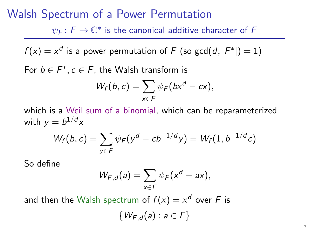$\psi_{\mathsf{F}}\colon\mathsf{F}\to\mathbb{C}^*$  is the canonical additive character of  $\mathsf F$ 

 $f(x) = x^d$  is a power permutation of  $F$  (so  $\gcd(d,|F^*|)=1)$ 

For  $b \in F^*, c \in F$ , the Walsh transform is

$$
W_f(b,c)=\sum_{x\in F}\psi_F(bx^d-cx),
$$

which is a Weil sum of a binomial, which can be reparameterized with  $y=b^{1/d}x$ 

$$
W_f(b,c) = \sum_{y \in F} \psi_F(y^d - cb^{-1/d}y) = W_f(1, b^{-1/d}c)
$$

So define

$$
W_{F,d}(a) = \sum_{x \in F} \psi_F(x^d - ax),
$$

and then the Walsh spectrum of  $f(x) = x^d$  over  $F$  is  $\{W_{F,d}(a) : a \in F\}$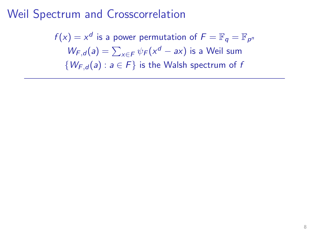$f(x) = x^d$  is a power permutation of  $F = \mathbb{F}_q = \mathbb{F}_{p^m}$  $W_{F,d}(a) = \sum_{x \in F} \psi_F(x^d - ax)$  is a Weil sum  $\{W_{F,d}(a): a \in F\}$  is the Walsh spectrum of f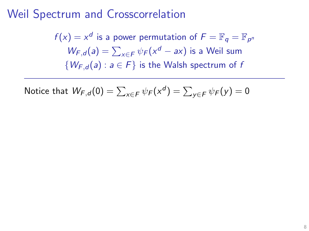$f(x) = x^d$  is a power permutation of  $F = \mathbb{F}_q = \mathbb{F}_{p^m}$  $W_{F,d}(a) = \sum_{x \in F} \psi_F(x^d - ax)$  is a Weil sum  $\{W_{F,d}(a): a \in F\}$  is the Walsh spectrum of f

Notice that 
$$
W_{F,d}(0) = \sum_{x \in F} \psi_F(x^d) = \sum_{y \in F} \psi_F(y) = 0
$$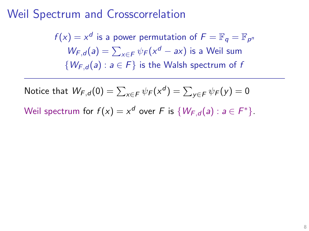$f(x) = x^d$  is a power permutation of  $F = \mathbb{F}_q = \mathbb{F}_{p^m}$  $W_{F,d}(a) = \sum_{x \in F} \psi_F(x^d - ax)$  is a Weil sum  $\{W_{F,d}(a): a \in F\}$  is the Walsh spectrum of f

Notice that 
$$
W_{F,d}(0) = \sum_{x \in F} \psi_F(x^d) = \sum_{y \in F} \psi_F(y) = 0
$$
  
Weil spectrum for  $f(x) = x^d$  over F is  $\{W_{F,d}(a) : a \in F^*\}$ .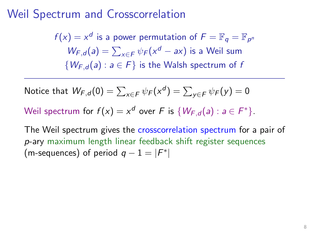$f(x) = x^d$  is a power permutation of  $F = \mathbb{F}_q = \mathbb{F}_{p^m}$  $W_{F,d}(a) = \sum_{x \in F} \psi_F(x^d - ax)$  is a Weil sum  $\{W_{F,d}(a): a \in F\}$  is the Walsh spectrum of f

Notice that 
$$
W_{F,d}(0) = \sum_{x \in F} \psi_F(x^d) = \sum_{y \in F} \psi_F(y) = 0
$$

Weil spectrum for  $f(x) = x^d$  over F is  $\{W_{F,d}(a) : a \in F^*\}.$ 

The Weil spectrum gives the crosscorrelation spectrum for a pair of p-ary maximum length linear feedback shift register sequences (m-sequences) of period  $q - 1 = |F^*|$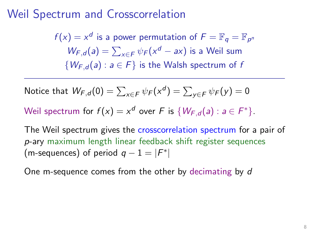$f(x) = x^d$  is a power permutation of  $F = \mathbb{F}_q = \mathbb{F}_{p^m}$  $W_{F,d}(a) = \sum_{x \in F} \psi_F(x^d - ax)$  is a Weil sum  $\{W_{F,d}(a): a \in F\}$  is the Walsh spectrum of f

Notice that 
$$
W_{F,d}(0) = \sum_{x \in F} \psi_F(x^d) = \sum_{y \in F} \psi_F(y) = 0
$$

Weil spectrum for  $f(x) = x^d$  over F is  $\{W_{F,d}(a) : a \in F^*\}.$ 

The Weil spectrum gives the crosscorrelation spectrum for a pair of p-ary maximum length linear feedback shift register sequences (m-sequences) of period  $q - 1 = |F^*|$ 

One m-sequence comes from the other by decimating by d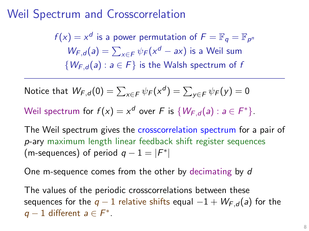$f(x) = x^d$  is a power permutation of  $F = \mathbb{F}_q = \mathbb{F}_{p^m}$  $W_{F,d}(a) = \sum_{x \in F} \psi_F(x^d - ax)$  is a Weil sum  $\{W_{F,d}(a): a \in F\}$  is the Walsh spectrum of f

Notice that 
$$
W_{F,d}(0) = \sum_{x \in F} \psi_F(x^d) = \sum_{y \in F} \psi_F(y) = 0
$$

Weil spectrum for  $f(x) = x^d$  over F is  $\{W_{F,d}(a) : a \in F^*\}.$ 

The Weil spectrum gives the crosscorrelation spectrum for a pair of p-ary maximum length linear feedback shift register sequences (m-sequences) of period  $q - 1 = |F^*|$ 

One m-sequence comes from the other by decimating by d

The values of the periodic crosscorrelations between these sequences for the  $q-1$  relative shifts equal  $-1 + W_{F,d}(a)$  for the  $q-1$  different  $a \in F^*$ .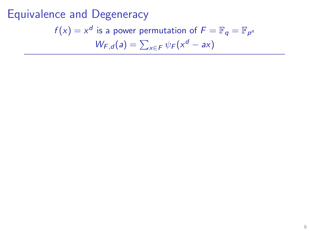Equivalence and Degeneracy  $f(x) = x^d$  is a power permutation of  $F = \mathbb{F}_q = \mathbb{F}_{p^m}$  $W_{F,d}(a) = \sum_{x \in F} \psi_F(x^d - ax)$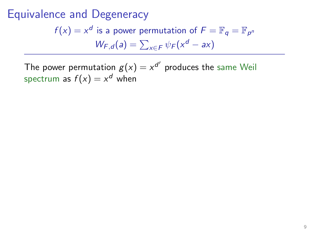Equivalence and Degeneracy  $f(x) = x^d$  is a power permutation of  $F = \mathbb{F}_q = \mathbb{F}_{p^m}$  $W_{F,d}(a) = \sum_{x \in F} \psi_F(x^d - ax)$ 

The power permutation  $g(x)=x^{d'}$  produces the same Weil spectrum as  $f(x) = x^d$  when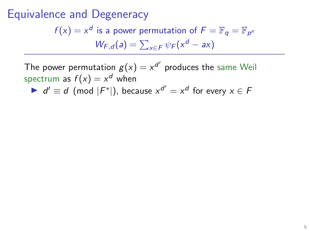$f(x) = x^d$  is a power permutation of  $F = \mathbb{F}_q = \mathbb{F}_{p^m}$  $W_{F,d}(a) = \sum_{x \in F} \psi_F(x^d - ax)$ 

The power permutation  $g(x)=x^{d'}$  produces the same Weil spectrum as  $f(x) = x^d$  when

 $\bullet$   $d' \equiv d \pmod{F^*}$ , because  $x^{d'} = x^d$  for every  $x \in F$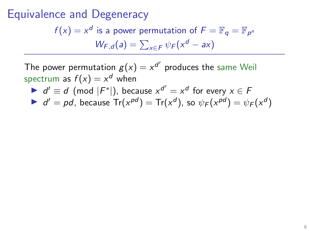$f(x) = x^d$  is a power permutation of  $F = \mathbb{F}_q = \mathbb{F}_{p^m}$  $W_{F,d}(a) = \sum_{x \in F} \psi_F(x^d - ax)$ 

The power permutation  $g(x)=x^{d'}$  produces the same Weil spectrum as  $f(x) = x^d$  when

 $\bullet$   $d' \equiv d \pmod{F^*}$ , because  $x^{d'} = x^d$  for every  $x \in F$ 

 $d' = pd$ , because  $Tr(x^{pd}) = Tr(x^d)$ , so  $\psi_F(x^{pd}) = \psi_F(x^d)$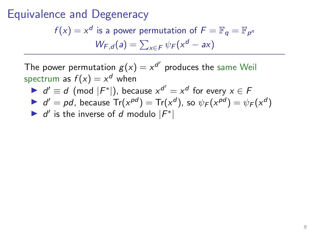$f(x) = x^d$  is a power permutation of  $F = \mathbb{F}_q = \mathbb{F}_{p^m}$  $W_{F,d}(a) = \sum_{x \in F} \psi_F(x^d - ax)$ 

The power permutation  $g(x)=x^{d'}$  produces the same Weil spectrum as  $f(x) = x^d$  when

 $\bullet$   $d' \equiv d \pmod{F^*}$ , because  $x^{d'} = x^d$  for every  $x \in F$ 

 $d' = pd$ , because  $Tr(x^{pd}) = Tr(x^d)$ , so  $\psi_F(x^{pd}) = \psi_F(x^d)$ 

If  $d'$  is the inverse of d modulo  $|F^*|$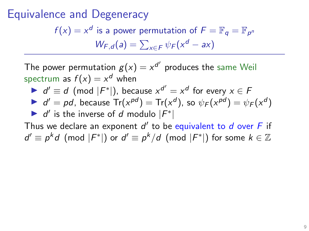$f(x) = x^d$  is a power permutation of  $F = \mathbb{F}_q = \mathbb{F}_{p^m}$  $W_{F,d}(a) = \sum_{x \in F} \psi_F(x^d - ax)$ 

The power permutation  $g(x)=x^{d'}$  produces the same Weil spectrum as  $f(x) = x^d$  when

 $\bullet$   $d' \equiv d \pmod{F^*}$ , because  $x^{d'} = x^d$  for every  $x \in F$ 

 $d' = pd$ , because  $Tr(x^{pd}) = Tr(x^d)$ , so  $\psi_F(x^{pd}) = \psi_F(x^d)$ If  $d'$  is the inverse of d modulo  $|F^*|$ 

Thus we declare an exponent  $d'$  to be equivalent to  $d$  over  $F$  if  $d' \equiv p^k d \pmod{|F^*|}$  or  $d' \equiv p^k/d \pmod{|F^*|}$  for some  $k \in \mathbb{Z}$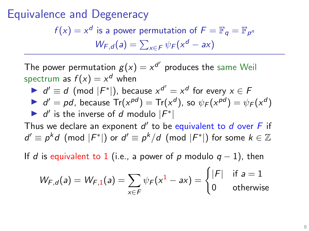$f(x) = x^d$  is a power permutation of  $F = \mathbb{F}_q = \mathbb{F}_{p^m}$  $W_{F,d}(a) = \sum_{x \in F} \psi_F(x^d - ax)$ 

The power permutation  $g(x)=x^{d'}$  produces the same Weil spectrum as  $f(x) = x^d$  when

 $\bullet$   $d' \equiv d \pmod{F^*}$ , because  $x^{d'} = x^d$  for every  $x \in F$  $d' = pd$ , because  $Tr(x^{pd}) = Tr(x^d)$ , so  $\psi_F(x^{pd}) = \psi_F(x^d)$ 

$$
\blacktriangleright d'
$$
 is the inverse of  $d$  modulo  $|F^*|$ 

Thus we declare an exponent  $d'$  to be equivalent to  $d$  over  $F$  if  $d' \equiv p^k d \pmod{|F^*|}$  or  $d' \equiv p^k/d \pmod{|F^*|}$  for some  $k \in \mathbb{Z}$ 

If d is equivalent to 1 (i.e., a power of p modulo  $q-1$ ), then

$$
W_{F,d}(a) = W_{F,1}(a) = \sum_{x \in F} \psi_F(x^1 - ax) = \begin{cases} |F| & \text{if } a = 1\\ 0 & \text{otherwise} \end{cases}
$$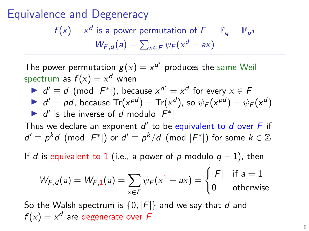$f(x) = x^d$  is a power permutation of  $F = \mathbb{F}_q = \mathbb{F}_{p^m}$  $W_{F,d}(a) = \sum_{x \in F} \psi_F(x^d - ax)$ 

The power permutation  $g(x)=x^{d'}$  produces the same Weil spectrum as  $f(x) = x^d$  when

 $\bullet$   $d' \equiv d \pmod{F^*}$ , because  $x^{d'} = x^d$  for every  $x \in F$  $d' = pd$ , because  $Tr(x^{pd}) = Tr(x^d)$ , so  $\psi_F(x^{pd}) = \psi_F(x^d)$ 

If  $d'$  is the inverse of d modulo  $|F^*|$ 

Thus we declare an exponent  $d'$  to be equivalent to  $d$  over  $F$  if  $d' \equiv p^k d \pmod{|F^*|}$  or  $d' \equiv p^k/d \pmod{|F^*|}$  for some  $k \in \mathbb{Z}$ 

If d is equivalent to 1 (i.e., a power of p modulo  $q-1$ ), then

$$
W_{F,d}(a) = W_{F,1}(a) = \sum_{x \in F} \psi_F(x^1 - ax) = \begin{cases} |F| & \text{if } a = 1 \\ 0 & \text{otherwise} \end{cases}
$$

So the Walsh spectrum is  $\{0, |F|\}$  and we say that d and  $f(x) = x^d$  are degenerate over F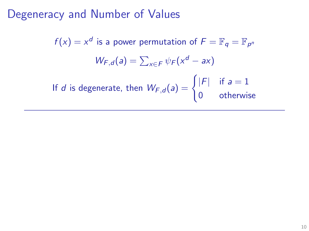$f(x) = x^d$  is a power permutation of  $F = \mathbb{F}_q = \mathbb{F}_{p^m}$  $W_{F,d}(a) = \sum_{x \in F} \psi_F(x^d - ax)$ If d is degenerate, then  $W_{F,d}(a) = \begin{cases} |F| & \text{if } a = 1 \\ 0 & \text{otherwise} \end{cases}$ 0 otherwise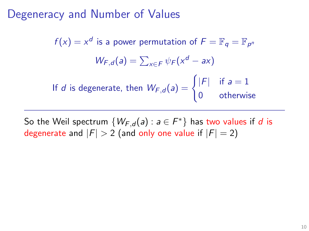$f(x) = x^d$  is a power permutation of  $F = \mathbb{F}_q = \mathbb{F}_{p^m}$  $W_{F,d}(a) = \sum_{x \in F} \psi_F(x^d - ax)$ If d is degenerate, then  $W_{F,d}(a) = \begin{cases} |F| & \text{if } a = 1 \\ 0 & \text{otherwise} \end{cases}$ 0 otherwise

So the Weil spectrum  $\{W_{F,d}(a): a \in F^*\}$  has two values if  $d$  is degenerate and  $|F| > 2$  (and only one value if  $|F| = 2$ )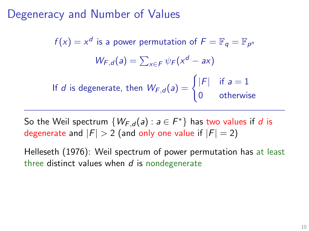$f(x) = x^d$  is a power permutation of  $F = \mathbb{F}_q = \mathbb{F}_{p^m}$  $W_{F,d}(a) = \sum_{x \in F} \psi_F(x^d - ax)$ If d is degenerate, then  $W_{F,d}(a) = \begin{cases} |F| & \text{if } a = 1 \\ 0 & \text{otherwise} \end{cases}$ 0 otherwise

So the Weil spectrum  $\{W_{F,d}(a): a \in F^*\}$  has two values if  $d$  is degenerate and  $|F| > 2$  (and only one value if  $|F| = 2$ )

Helleseth (1976): Weil spectrum of power permutation has at least three distinct values when  $d$  is nondegenerate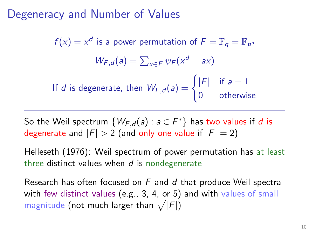$f(x) = x^d$  is a power permutation of  $F = \mathbb{F}_q = \mathbb{F}_{p^m}$  $W_{F,d}(a) = \sum_{x \in F} \psi_F(x^d - ax)$ If d is degenerate, then  $W_{F,d}(a) = \begin{cases} |F| & \text{if } a = 1 \\ 0 & \text{otherwise} \end{cases}$ 0 otherwise

So the Weil spectrum  $\{W_{F,d}(a): a \in F^*\}$  has two values if  $d$  is degenerate and  $|F| > 2$  (and only one value if  $|F| = 2$ )

Helleseth (1976): Weil spectrum of power permutation has at least three distinct values when  $d$  is nondegenerate

Research has often focused on  $F$  and  $d$  that produce Weil spectra with few distinct values (e.g., 3, 4, or 5) and with values of small magnitude (not much larger than  $\sqrt{|F|}$ )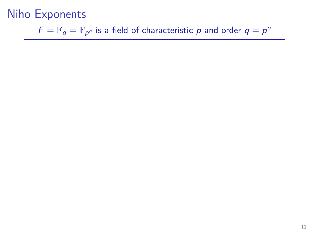$\mathcal{F} = \mathbb{F}_q = \mathbb{F}_{p^n}$  is a field of characteristic  $p$  and order  $q = p^n$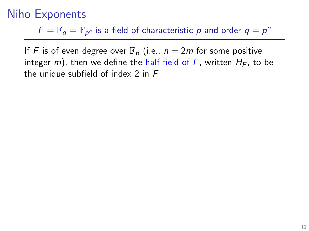$\mathcal{F} = \mathbb{F}_q = \mathbb{F}_{p^n}$  is a field of characteristic  $p$  and order  $q = p^n$ 

If F is of even degree over  $\mathbb{F}_p$  (i.e.,  $n = 2m$  for some positive integer m), then we define the half field of F, written  $H_F$ , to be the unique subfield of index 2 in F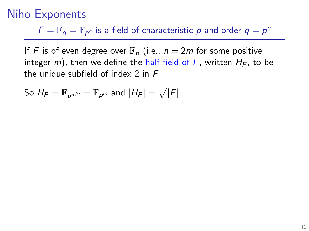$\mathcal{F} = \mathbb{F}_q = \mathbb{F}_{p^n}$  is a field of characteristic  $p$  and order  $q = p^n$ 

If F is of even degree over  $\mathbb{F}_p$  (i.e.,  $n = 2m$  for some positive integer m), then we define the half field of F, written  $H_F$ , to be the unique subfield of index 2 in F

So  $H_{F}=\mathbb{F}_{\rho^{n/2}}=\mathbb{F}_{\rho^{m}}$  and  $|H_{F}|=\sqrt{|F|}$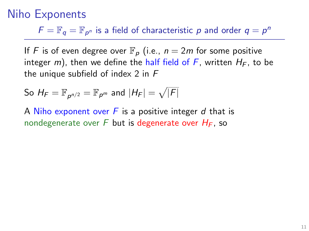$\mathcal{F} = \mathbb{F}_q = \mathbb{F}_{p^n}$  is a field of characteristic  $p$  and order  $q = p^n$ 

If F is of even degree over  $\mathbb{F}_p$  (i.e.,  $n = 2m$  for some positive integer m), then we define the half field of F, written  $H_F$ , to be the unique subfield of index 2 in F

So 
$$
H_F = \mathbb{F}_{p^{n/2}} = \mathbb{F}_{p^m}
$$
 and  $|H_F| = \sqrt{|F|}$ 

A Niho exponent over  $F$  is a positive integer  $d$  that is nondegenerate over F but is degenerate over  $H_F$ , so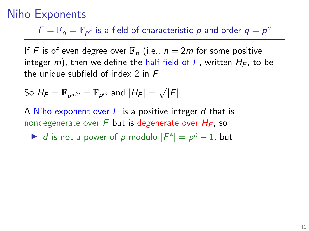$\mathcal{F} = \mathbb{F}_q = \mathbb{F}_{p^n}$  is a field of characteristic  $p$  and order  $q = p^n$ 

If F is of even degree over  $\mathbb{F}_p$  (i.e.,  $n = 2m$  for some positive integer m), then we define the half field of F, written  $H_F$ , to be the unique subfield of index 2 in F

So 
$$
H_F = \mathbb{F}_{p^{n/2}} = \mathbb{F}_{p^m}
$$
 and  $|H_F| = \sqrt{|F|}$ 

A Niho exponent over  $F$  is a positive integer  $d$  that is nondegenerate over F but is degenerate over  $H_F$ , so

 $\blacktriangleright$  d is not a power of p modulo  $|F^*| = p^n - 1$ , but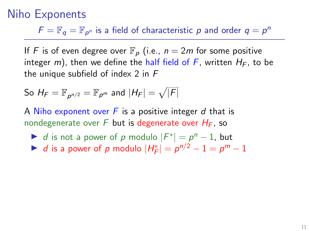$\mathcal{F} = \mathbb{F}_q = \mathbb{F}_{p^n}$  is a field of characteristic  $p$  and order  $q = p^n$ 

If F is of even degree over  $\mathbb{F}_p$  (i.e.,  $n = 2m$  for some positive integer m), then we define the half field of F, written  $H_F$ , to be the unique subfield of index 2 in F

So 
$$
H_F = \mathbb{F}_{p^{n/2}} = \mathbb{F}_{p^m}
$$
 and  $|H_F| = \sqrt{|F|}$ 

A Niho exponent over  $F$  is a positive integer d that is nondegenerate over F but is degenerate over  $H_F$ , so

- $\blacktriangleright$  d is not a power of p modulo  $|F^*| = p^n 1$ , but
- ► d is a power of p modulo  $|H_F^*| = p^{n/2} 1 = p^m 1$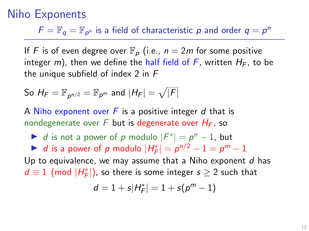$\mathcal{F} = \mathbb{F}_q = \mathbb{F}_{p^n}$  is a field of characteristic  $p$  and order  $q = p^n$ 

If F is of even degree over  $\mathbb{F}_p$  (i.e.,  $n = 2m$  for some positive integer m), then we define the half field of F, written  $H_F$ , to be the unique subfield of index 2 in F

So 
$$
H_F = \mathbb{F}_{p^{n/2}} = \mathbb{F}_{p^m}
$$
 and  $|H_F| = \sqrt{|F|}$ 

A Niho exponent over  $F$  is a positive integer d that is nondegenerate over F but is degenerate over  $H_F$ , so

 $\blacktriangleright$  d is not a power of p modulo  $|F^*| = p^n - 1$ , but ► d is a power of p modulo  $|H_F^*| = p^{n/2} - 1 = p^m - 1$ Up to equivalence, we may assume that a Niho exponent  $d$  has  $d\equiv 1\pmod{|H_F^*|}$ , so there is some integer  $s\geq 2$  such that

$$
d=1+s|H^*_F|=1+s(p^m-1)
$$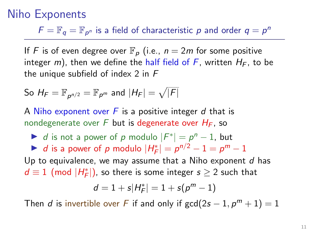$\mathcal{F} = \mathbb{F}_q = \mathbb{F}_{p^n}$  is a field of characteristic  $p$  and order  $q = p^n$ 

If F is of even degree over  $\mathbb{F}_p$  (i.e.,  $n = 2m$  for some positive integer m), then we define the half field of F, written  $H_F$ , to be the unique subfield of index 2 in F

So 
$$
H_F = \mathbb{F}_{p^{n/2}} = \mathbb{F}_{p^m}
$$
 and  $|H_F| = \sqrt{|F|}$ 

A Niho exponent over  $F$  is a positive integer  $d$  that is nondegenerate over F but is degenerate over  $H_F$ , so

 $\blacktriangleright$  d is not a power of p modulo  $|F^*| = p^n - 1$ , but ► d is a power of p modulo  $|H_F^*| = p^{n/2} - 1 = p^m - 1$ Up to equivalence, we may assume that a Niho exponent  $d$  has  $d\equiv 1\pmod{|H_F^*|}$ , so there is some integer  $s\geq 2$  such that

$$
d=1+s|H_F^*|=1+s(p^m-1)
$$

Then d is invertible over F if and only if  $gcd(2s - 1, p^m + 1) = 1$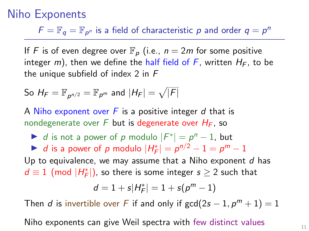$\mathcal{F} = \mathbb{F}_q = \mathbb{F}_{p^n}$  is a field of characteristic  $p$  and order  $q = p^n$ 

If F is of even degree over  $\mathbb{F}_p$  (i.e.,  $n = 2m$  for some positive integer m), then we define the half field of F, written  $H_F$ , to be the unique subfield of index 2 in F

So 
$$
H_F = \mathbb{F}_{p^{n/2}} = \mathbb{F}_{p^m}
$$
 and  $|H_F| = \sqrt{|F|}$ 

A Niho exponent over  $F$  is a positive integer d that is nondegenerate over F but is degenerate over  $H_F$ , so

 $\blacktriangleright$  d is not a power of p modulo  $|F^*| = p^n - 1$ , but ► d is a power of p modulo  $|H_F^*| = p^{n/2} - 1 = p^m - 1$ Up to equivalence, we may assume that a Niho exponent  $d$  has  $d\equiv 1\pmod{|H_F^*|}$ , so there is some integer  $s\geq 2$  such that

$$
d=1+s|H_F^*|=1+s(p^m-1)
$$

Then d is invertible over F if and only if  $gcd(2s - 1, p^m + 1) = 1$ 

Niho exponents can give Weil spectra with few distinct values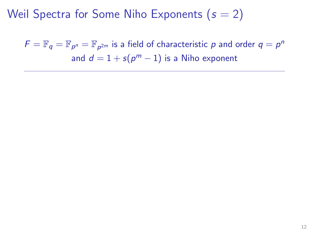$\mathcal{F} = \mathbb{F}_q = \mathbb{F}_{p^n} = \mathbb{F}_{p^{2m}}$  is a field of characteristic  $p$  and order  $q = p^n$ and  $d=1+s(p^m-1)$  is a Niho exponent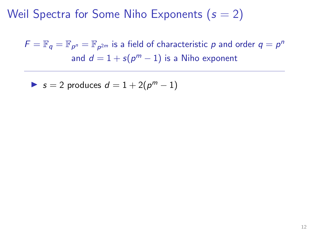$\mathcal{F} = \mathbb{F}_q = \mathbb{F}_{p^n} = \mathbb{F}_{p^{2m}}$  is a field of characteristic  $p$  and order  $q = p^n$ and  $d=1+s(p^m-1)$  is a Niho exponent

$$
\bullet \ \ s=2 \ \text{produces} \ \ d=1+2(p^m-1)
$$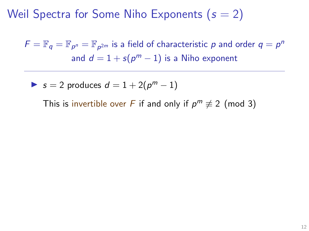$\mathcal{F} = \mathbb{F}_q = \mathbb{F}_{p^n} = \mathbb{F}_{p^{2m}}$  is a field of characteristic  $p$  and order  $q = p^n$ and  $d=1+s(p^m-1)$  is a Niho exponent

$$
\bullet \ \ s=2 \ \text{produces} \ \ d=1+2(p^m-1)
$$

This is invertible over F if and only if  $p^m \not\equiv 2 \pmod{3}$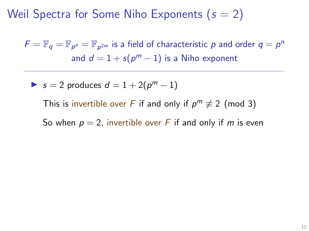$\mathcal{F} = \mathbb{F}_q = \mathbb{F}_{p^n} = \mathbb{F}_{p^{2m}}$  is a field of characteristic  $p$  and order  $q = p^n$ and  $d=1+s(p^m-1)$  is a Niho exponent

$$
\bullet \ \ s=2 \ \text{produces} \ \ d=1+2(p^m-1)
$$

This is invertible over F if and only if  $p^m \not\equiv 2 \pmod{3}$ 

So when  $p = 2$ , invertible over F if and only if m is even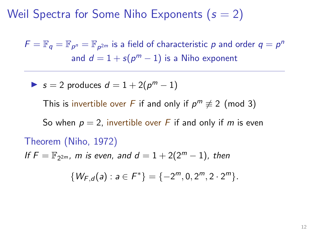$\mathcal{F} = \mathbb{F}_q = \mathbb{F}_{p^n} = \mathbb{F}_{p^{2m}}$  is a field of characteristic  $p$  and order  $q = p^n$ and  $d=1+s(p^m-1)$  is a Niho exponent

$$
\bullet \ \ s=2 \ \text{produces} \ \ d=1+2(p^m-1)
$$

This is invertible over F if and only if  $p^m \not\equiv 2 \pmod{3}$ 

So when  $p = 2$ , invertible over F if and only if m is even

Theorem (Niho, 1972) If  $F = \mathbb{F}_{2^{2m}}$ , m is even, and  $d = 1 + 2(2^m - 1)$ , then  $\{W_{F,d}(a): a \in F^*\} = \{-2^m, 0, 2^m, 2 \cdot 2^m\}.$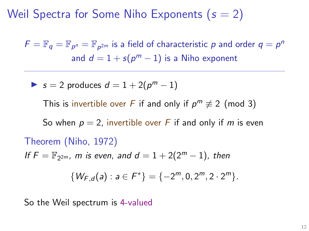$\mathcal{F} = \mathbb{F}_q = \mathbb{F}_{p^n} = \mathbb{F}_{p^{2m}}$  is a field of characteristic  $p$  and order  $q = p^n$ and  $d=1+s(p^m-1)$  is a Niho exponent

$$
\bullet \ \ s=2 \ \text{produces} \ \ d=1+2(p^m-1)
$$

This is invertible over F if and only if  $p^m \not\equiv 2 \pmod{3}$ 

So when  $p = 2$ , invertible over F if and only if m is even

Theorem (Niho, 1972) If  $F = \mathbb{F}_{2^{2m}}$ , m is even, and  $d = 1 + 2(2^m - 1)$ , then  $\{W_{F,d}(a): a \in F^*\} = \{-2^m, 0, 2^m, 2 \cdot 2^m\}.$ 

So the Weil spectrum is 4-valued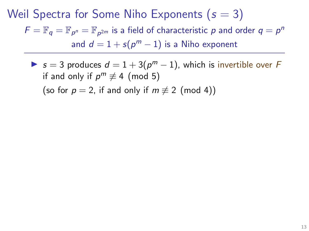Some s invertible over  $d = 1 + 3(p^m - 1)$ , which is invertible over F if and only if  $p^m \not\equiv 4 \pmod{5}$ (so for  $p = 2$ , if and only if  $m \not\equiv 2 \pmod{4}$ )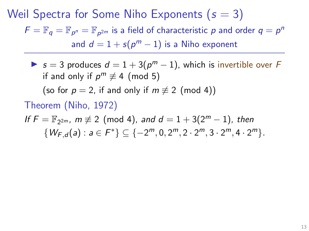Some s invertible over  $d = 1 + 3(p^m - 1)$ , which is invertible over F if and only if  $p^m \not\equiv 4 \pmod{5}$ 

(so for  $p = 2$ , if and only if  $m \not\equiv 2 \pmod{4}$ )

Theorem (Niho, 1972)

If 
$$
F = \mathbb{F}_{2^{2m}}
$$
,  $m \neq 2 \pmod{4}$ , and  $d = 1 + 3(2^m - 1)$ , then  
\n $\{W_{F,d}(a) : a \in F^*\} \subseteq \{-2^m, 0, 2^m, 2 \cdot 2^m, 3 \cdot 2^m, 4 \cdot 2^m\}.$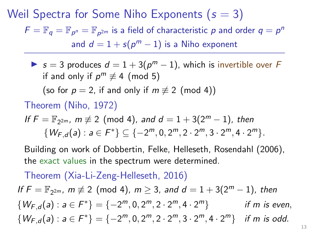Some s invertible over  $d = 1 + 3(p^m - 1)$ , which is invertible over F if and only if  $p^m \not\equiv 4 \pmod{5}$ 

(so for  $p = 2$ , if and only if  $m \not\equiv 2 \pmod{4}$ )

Theorem (Niho, 1972)

If 
$$
F = \mathbb{F}_{2^{2m}}
$$
,  $m \neq 2 \pmod{4}$ , and  $d = 1 + 3(2^m - 1)$ , then  
\n $\{W_{F,d}(a) : a \in F^*\} \subseteq \{-2^m, 0, 2^m, 2 \cdot 2^m, 3 \cdot 2^m, 4 \cdot 2^m\}.$ 

Building on work of Dobbertin, Felke, Helleseth, Rosendahl (2006), the exact values in the spectrum were determined.

Theorem (Xia-Li-Zeng-Helleseth, 2016)

If  $F = \mathbb{F}_{2^{2m}}$ ,  $m \not\equiv 2 \pmod{4}$ ,  $m \geq 3$ , and  $d = 1 + 3(2^m - 1)$ , then  $\{W_{F,d}(a): a \in F^*\} = \{-2^m, 0, 2^m, 2 \cdot 2^m, 4 \cdot 2\}$ if m is even.  $\{W_{F,d}(a): a \in F^*\} = \{-2^m, 0, 2^m, 2 \cdot 2^m, 3 \cdot 2^m, 4 \cdot 2^m\}$  if m is odd.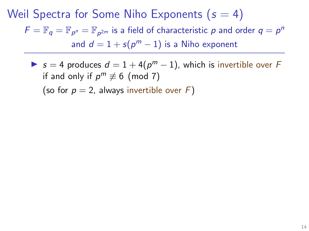► s = 4 produces  $d = 1 + 4(p<sup>m</sup> - 1)$ , which is invertible over F if and only if  $p^m \not\equiv 6 \pmod{7}$ (so for  $p = 2$ , always invertible over F)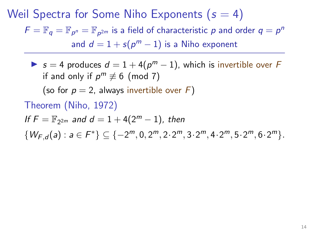► s = 4 produces  $d = 1 + 4(p<sup>m</sup> - 1)$ , which is invertible over F if and only if  $p^m \not\equiv 6 \pmod{7}$ 

(so for  $p = 2$ , always invertible over F)

Theorem (Niho, 1972)

If  $F = \mathbb{F}_{2^{2m}}$  and  $d = 1 + 4(2^m - 1)$ , then

 $\{W_{F,d}(a): a \in F^*\} \subseteq \{-2^m, 0, 2^m, 2 \cdot 2^m, 3 \cdot 2^m, 4 \cdot 2^m, 5 \cdot 2^m, 6 \cdot 2^m\}.$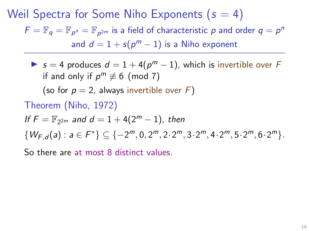► s = 4 produces  $d = 1 + 4(p<sup>m</sup> - 1)$ , which is invertible over F if and only if  $p^m \not\equiv 6 \pmod{7}$ 

(so for  $p = 2$ , always invertible over F)

Theorem (Niho, 1972)

If  $F = \mathbb{F}_{2^{2m}}$  and  $d = 1 + 4(2^m - 1)$ , then

 $\{W_{F,d}(a): a \in F^*\} \subseteq \{-2^m, 0, 2^m, 2 \cdot 2^m, 3 \cdot 2^m, 4 \cdot 2^m, 5 \cdot 2^m, 6 \cdot 2^m\}.$ 

So there are at most 8 distinct values.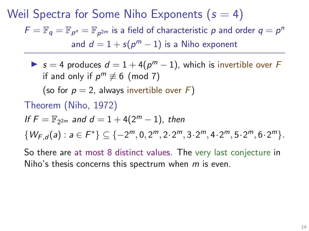► s = 4 produces  $d = 1 + 4(p<sup>m</sup> - 1)$ , which is invertible over F if and only if  $p^m \not\equiv 6 \pmod{7}$ 

(so for  $p = 2$ , always invertible over F)

Theorem (Niho, 1972)

If  $F = \mathbb{F}_{2^{2m}}$  and  $d = 1 + 4(2^m - 1)$ , then

 $\{W_{F,d}(a): a \in F^*\} \subseteq \{-2^m, 0, 2^m, 2 \cdot 2^m, 3 \cdot 2^m, 4 \cdot 2^m, 5 \cdot 2^m, 6 \cdot 2^m\}.$ 

So there are at most 8 distinct values. The very last conjecture in Niho's thesis concerns this spectrum when m is even.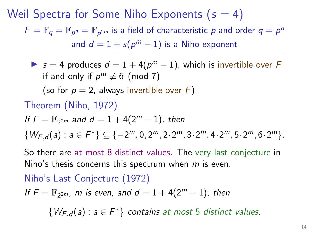Weil Spectra for Some Niho Exponents  $(s = 4)$  $\mathcal{F} = \mathbb{F}_q = \mathbb{F}_{p^n} = \mathbb{F}_{p^{2m}}$  is a field of characteristic  $p$  and order  $q = p^n$ and  $d=1+s(p^m-1)$  is a Niho exponent

► s = 4 produces  $d = 1 + 4(p<sup>m</sup> - 1)$ , which is invertible over F if and only if  $p^m \not\equiv 6 \pmod{7}$ 

(so for  $p = 2$ , always invertible over F)

Theorem (Niho, 1972)

If  $F = \mathbb{F}_{2^{2m}}$  and  $d = 1 + 4(2^m - 1)$ , then

 $\{W_{F,d}(a): a \in F^*\} \subseteq \{-2^m, 0, 2^m, 2 \cdot 2^m, 3 \cdot 2^m, 4 \cdot 2^m, 5 \cdot 2^m, 6 \cdot 2^m\}.$ 

So there are at most 8 distinct values. The very last conjecture in Niho's thesis concerns this spectrum when m is even.

Niho's Last Conjecture (1972) If  $F = \mathbb{F}_{2^{2m}}$ , m is even, and  $d = 1 + 4(2^m - 1)$ , then  $\{W_{F,d}(a): a \in F^*\}$  contains at most 5 distinct values.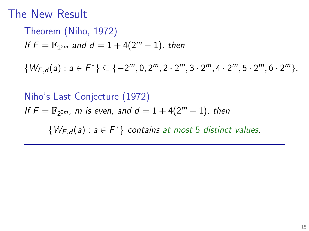## The New Result

Theorem (Niho, 1972) If  $F = \mathbb{F}_{2^{2m}}$  and  $d = 1 + 4(2^m - 1)$ , then

 $\{W_{F,d}(a): a \in F^*\} \subseteq \{-2^m, 0, 2^m, 2 \cdot 2^m, 3 \cdot 2^m, 4 \cdot 2^m, 5 \cdot 2^m, 6 \cdot 2^m\}.$ 

Niho's Last Conjecture (1972) If  $F = \mathbb{F}_{2^{2m}}$ , m is even, and  $d = 1 + 4(2^m - 1)$ , then  $\{W_{F,d}(a): a \in F^*\}$  contains at most 5 distinct values.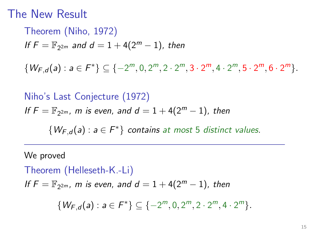## The New Result

Theorem (Niho, 1972) If  $F = \mathbb{F}_{2^{2m}}$  and  $d = 1 + 4(2^m - 1)$ , then

 $\{W_{F,d}(a): a \in F^*\} \subseteq \{-2^m, 0, 2^m, 2 \cdot 2^m, 3 \cdot 2^m, 4 \cdot 2^m, 5 \cdot 2^m, 6 \cdot 2^m\}.$ 

Niho's Last Conjecture (1972) If  $F = \mathbb{F}_{2^{2m}}$ , m is even, and  $d = 1 + 4(2^m - 1)$ , then  $\{W_{F,d}(a): a \in F^*\}$  contains at most 5 distinct values.

We proved

Theorem (Helleseth-K.-Li) If  $F = \mathbb{F}_{2^{2m}}$ , m is even, and  $d = 1 + 4(2^m - 1)$ , then

 $\{W_{F,d}(a): a \in F^*\} \subseteq \{-2^m, 0, 2^m, 2 \cdot 2^m, 4 \cdot 2^m\}.$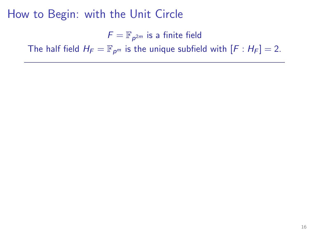$F = \mathbb{F}_{p^{2m}}$  is a finite field

The half field  $H_F = \mathbb{F}_{p^m}$  is the unique subfield with  $[F : H_F] = 2$ .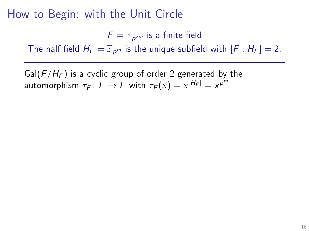$F = \mathbb{F}_{p^{2m}}$  is a finite field

The half field  $H_F = \mathbb{F}_{p^m}$  is the unique subfield with  $[F : H_F] = 2$ .

Gal( $F/H_F$ ) is a cyclic group of order 2 generated by the automorphism  $\tau_F\colon F\to F$  with  $\tau_F(x)=x^{|H_F|}=x^{p^m}$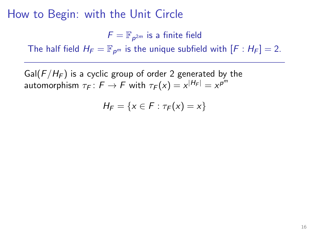$F = \mathbb{F}_{p^{2m}}$  is a finite field

The half field  $H_F = \mathbb{F}_{p^m}$  is the unique subfield with  $[F : H_F] = 2$ .

Gal( $F/H_F$ ) is a cyclic group of order 2 generated by the automorphism  $\tau_F\colon F\to F$  with  $\tau_F(x)=x^{|H_F|}=x^{p^m}$ 

$$
H_F = \{x \in F : \tau_F(x) = x\}
$$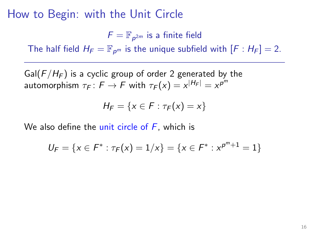$F = \mathbb{F}_{p^{2m}}$  is a finite field

The half field  $H_F = \mathbb{F}_{p^m}$  is the unique subfield with  $[F : H_F] = 2$ .

Gal( $F/H_F$ ) is a cyclic group of order 2 generated by the automorphism  $\tau_F\colon F\to F$  with  $\tau_F(x)=x^{|H_F|}=x^{p^m}$ 

$$
H_F = \{x \in F : \tau_F(x) = x\}
$$

We also define the unit circle of  $F$ , which is

$$
U_F = \{x \in F^* : \tau_F(x) = 1/x\} = \{x \in F^* : x^{p^m+1} = 1\}
$$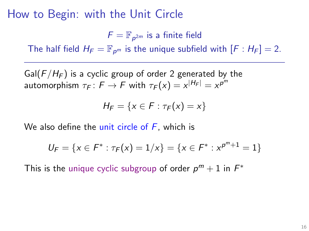$F = \mathbb{F}_{p^{2m}}$  is a finite field

The half field  $H_F = \mathbb{F}_{p^m}$  is the unique subfield with  $[F : H_F] = 2$ .

Gal( $F/H_F$ ) is a cyclic group of order 2 generated by the automorphism  $\tau_F\colon F\to F$  with  $\tau_F(x)=x^{|H_F|}=x^{p^m}$ 

$$
H_F = \{x \in F : \tau_F(x) = x\}
$$

We also define the unit circle of  $F$ , which is

$$
U_F = \{x \in F^* : \tau_F(x) = 1/x\} = \{x \in F^* : x^{p^m+1} = 1\}
$$

This is the unique cyclic subgroup of order  $p^m + 1$  in  $F^*$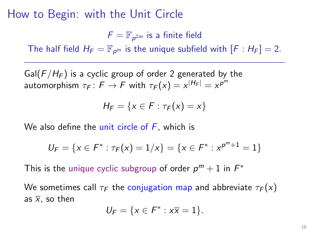$F = \mathbb{F}_{p^{2m}}$  is a finite field

The half field  $H_F = \mathbb{F}_{p^m}$  is the unique subfield with  $[F : H_F] = 2$ .

Gal( $F/H_F$ ) is a cyclic group of order 2 generated by the automorphism  $\tau_F\colon F\to F$  with  $\tau_F(x)=x^{|H_F|}=x^{p^m}$ 

$$
H_F = \{x \in F : \tau_F(x) = x\}
$$

We also define the unit circle of  $F$ , which is

$$
U_F = \{x \in F^* : \tau_F(x) = 1/x\} = \{x \in F^* : x^{p^m+1} = 1\}
$$

This is the unique cyclic subgroup of order  $p^m + 1$  in  $F^*$ 

We sometimes call  $\tau_F$  the conjugation map and abbreviate  $\tau_F(x)$ as  $\overline{x}$ , so then

$$
U_F = \{x \in F^* : x\overline{x} = 1\}.
$$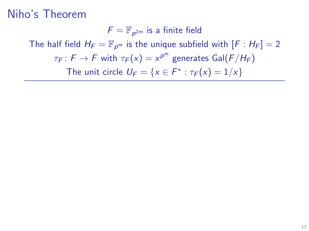$F = \mathbb{F}_{p^{2m}}$  is a finite field The half field  $H_F = \mathbb{F}_{p^m}$  is the unique subfield with  $[F : H_F] = 2$  $\tau_F\colon F\to F$  with  $\tau_F(\mathsf{x})=\mathsf{x}^{p^m}$  generates  $\mathsf{Gal}(F/H_F)$ The unit circle  $U_F = \{x \in F^* : \tau_F(x) = 1/x\}$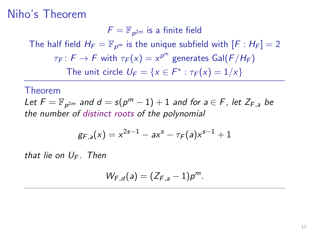$F = \mathbb{F}_{p^{2m}}$  is a finite field The half field  $H_F = \mathbb{F}_{p^m}$  is the unique subfield with  $[F : H_F] = 2$  $\tau_F\colon F\to F$  with  $\tau_F(\mathsf{x})=\mathsf{x}^{p^m}$  generates  $\mathsf{Gal}(F/H_F)$ The unit circle  $U_F = \{x \in F^* : \tau_F(x) = 1/x\}$ 

#### Theorem

Let  $F = \mathbb{F}_{p^{2m}}$  and  $d = s(p^m - 1) + 1$  and for  $a \in F$ , let  $Z_{F,a}$  be the number of distinct roots of the polynomial

$$
g_{F,a}(x) = x^{2s-1} - ax^s - \tau_F(a)x^{s-1} + 1
$$

that lie on  $U_F$ . Then

$$
W_{F,d}(a)=(Z_{F,a}-1)p^m.
$$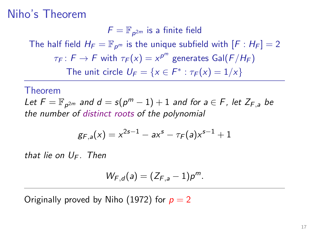$F = \mathbb{F}_{p^{2m}}$  is a finite field The half field  $H_F = \mathbb{F}_{p^m}$  is the unique subfield with  $[F : H_F] = 2$  $\tau_F\colon F\to F$  with  $\tau_F(\mathsf{x})=\mathsf{x}^{p^m}$  generates  $\mathsf{Gal}(F/H_F)$ The unit circle  $U_F = \{x \in F^* : \tau_F(x) = 1/x\}$ 

#### Theorem

Let  $F = \mathbb{F}_{p^{2m}}$  and  $d = s(p^m - 1) + 1$  and for  $a \in F$ , let  $Z_{F,a}$  be the number of distinct roots of the polynomial

$$
g_{F,a}(x) = x^{2s-1} - ax^s - \tau_F(a)x^{s-1} + 1
$$

that lie on  $U_F$ . Then

$$
W_{F,d}(a)=(Z_{F,a}-1)p^m.
$$

Originally proved by Niho (1972) for  $p = 2$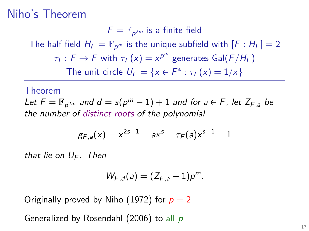$F = \mathbb{F}_{p^{2m}}$  is a finite field The half field  $H_F = \mathbb{F}_{p^m}$  is the unique subfield with  $[F : H_F] = 2$  $\tau_F\colon F\to F$  with  $\tau_F(\mathsf{x})=\mathsf{x}^{p^m}$  generates  $\mathsf{Gal}(F/H_F)$ The unit circle  $U_F = \{x \in F^* : \tau_F(x) = 1/x\}$ 

#### Theorem

Let  $F = \mathbb{F}_{p^{2m}}$  and  $d = s(p^m - 1) + 1$  and for  $a \in F$ , let  $Z_{F,a}$  be the number of distinct roots of the polynomial

$$
g_{F,a}(x) = x^{2s-1} - ax^s - \tau_F(a)x^{s-1} + 1
$$

that lie on  $U_F$ . Then

$$
W_{F,d}(a)=(Z_{F,a}-1)p^m.
$$

Originally proved by Niho (1972) for  $p = 2$ 

Generalized by Rosendahl (2006) to all p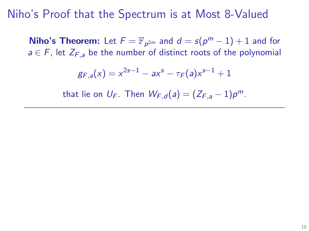**Niho's Theorem:** Let  $F = \mathbb{F}_{p^{2m}}$  and  $d = s(p^m - 1) + 1$  and for  $a \in F$ , let  $Z_{F,a}$  be the number of distinct roots of the polynomial

$$
g_{F,a}(x) = x^{2s-1} - ax^s - \tau_F(a)x^{s-1} + 1
$$

that lie on  $U_F$ . Then  $W_{F,d}(a) = (Z_{F,a} - 1)p^m$ .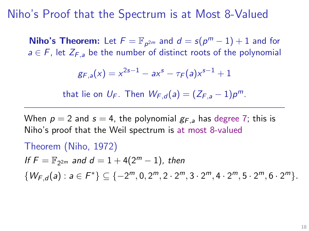**Niho's Theorem:** Let  $F = \mathbb{F}_{p^{2m}}$  and  $d = s(p^m - 1) + 1$  and for  $a \in F$ , let  $Z_{F,a}$  be the number of distinct roots of the polynomial

$$
g_{F,a}(x) = x^{2s-1} - ax^s - \tau_F(a)x^{s-1} + 1
$$

that lie on  $U_F$ . Then  $W_{F,d}(a) = (Z_{F,a} - 1)p^m$ .

When  $p = 2$  and  $s = 4$ , the polynomial  $g_{F,a}$  has degree 7; this is Niho's proof that the Weil spectrum is at most 8-valued

Theorem (Niho, 1972) If  $F = \mathbb{F}_{2^{2m}}$  and  $d = 1 + 4(2^m - 1)$ , then  $\{W_{F,d}(a): a \in F^*\} \subseteq \{-2^m, 0, 2^m, 2 \cdot 2^m, 3 \cdot 2^m, 4 \cdot 2^m, 5 \cdot 2^m, 6 \cdot 2^m\}.$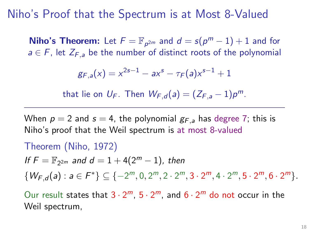**Niho's Theorem:** Let  $F = \mathbb{F}_{p^{2m}}$  and  $d = s(p^m - 1) + 1$  and for  $a \in F$ , let  $Z_{F,a}$  be the number of distinct roots of the polynomial

$$
g_{F,a}(x) = x^{2s-1} - ax^s - \tau_F(a)x^{s-1} + 1
$$

that lie on  $U_F$ . Then  $W_{F,d}(a) = (Z_{F,a} - 1)p^m$ .

When  $p = 2$  and  $s = 4$ , the polynomial  $g_{F,a}$  has degree 7; this is Niho's proof that the Weil spectrum is at most 8-valued

Theorem (Niho, 1972) If  $F = \mathbb{F}_{2^{2m}}$  and  $d = 1 + 4(2^m - 1)$ , then  $\{W_{F,d}(a): a \in F^*\} \subseteq \{-2^m, 0, 2^m, 2 \cdot 2^m, 3 \cdot 2^m, 4 \cdot 2^m, 5 \cdot 2^m, 6 \cdot 2^m\}.$ 

Our result states that  $3 \cdot 2^m$ ,  $5 \cdot 2^m$ , and  $6 \cdot 2^m$  do not occur in the Weil spectrum,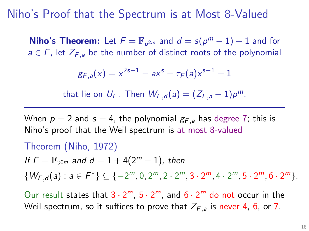**Niho's Theorem:** Let  $F = \mathbb{F}_{p^{2m}}$  and  $d = s(p^m - 1) + 1$  and for  $a \in F$ , let  $Z_{F,a}$  be the number of distinct roots of the polynomial

$$
g_{F,a}(x) = x^{2s-1} - ax^s - \tau_F(a)x^{s-1} + 1
$$

that lie on  $U_F$ . Then  $W_{F,d}(a) = (Z_{F,a} - 1)p^m$ .

When  $p = 2$  and  $s = 4$ , the polynomial  $g_{F,a}$  has degree 7; this is Niho's proof that the Weil spectrum is at most 8-valued

Theorem (Niho, 1972) If  $F = \mathbb{F}_{2^{2m}}$  and  $d = 1 + 4(2^m - 1)$ , then  $\{W_{F,d}(a): a \in F^*\} \subseteq \{-2^m, 0, 2^m, 2 \cdot 2^m, 3 \cdot 2^m, 4 \cdot 2^m, 5 \cdot 2^m, 6 \cdot 2^m\}.$ 

Our result states that  $3 \cdot 2^m$ ,  $5 \cdot 2^m$ , and  $6 \cdot 2^m$  do not occur in the Weil spectrum, so it suffices to prove that  $Z_{F,a}$  is never 4, 6, or 7.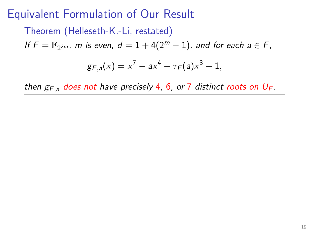Theorem (Helleseth-K.-Li, restated)

If  $F = \mathbb{F}_{2^{2m}}$ , m is even,  $d = 1 + 4(2^m - 1)$ , and for each  $a \in F$ ,

$$
g_{F,a}(x) = x^7 - ax^4 - \tau_F(a)x^3 + 1,
$$

then  $g_{F,a}$  does not have precisely 4, 6, or 7 distinct roots on  $U_F$ .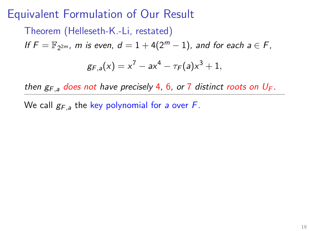Theorem (Helleseth-K.-Li, restated) If  $F = \mathbb{F}_{2^{2m}}$ , m is even,  $d = 1 + 4(2^m - 1)$ , and for each  $a \in F$ ,

$$
g_{F,a}(x) = x^7 - ax^4 - \tau_F(a)x^3 + 1,
$$

then  $g_{F,a}$  does not have precisely 4, 6, or 7 distinct roots on  $U_F$ .

We call  $g_{F,a}$  the key polynomial for a over F.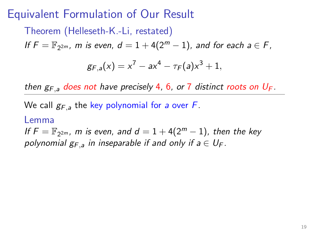Theorem (Helleseth-K.-Li, restated) If  $F = \mathbb{F}_{2^{2m}}$ , m is even,  $d = 1 + 4(2^m - 1)$ , and for each  $a \in F$ ,  $g_{F,a}(x) = x^7 - ax^4 - \tau_F(a)x^3 + 1,$ 

then  $g_{F,a}$  does not have precisely 4, 6, or 7 distinct roots on  $U_F$ .

We call  $g_{F,a}$  the key polynomial for a over F.

#### Lemma

If  $F = \mathbb{F}_{2^{2m}}$ , m is even, and  $d = 1 + 4(2^m - 1)$ , then the key polynomial  $g_{F,a}$  in inseparable if and only if  $a \in U_F$ .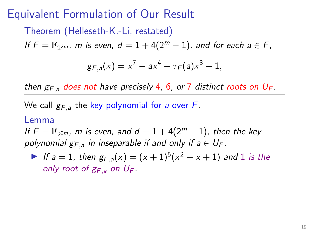Theorem (Helleseth-K.-Li, restated) If  $F = \mathbb{F}_{2^{2m}}$ , m is even,  $d = 1 + 4(2^m - 1)$ , and for each  $a \in F$ ,  $g_{F,a}(x) = x^7 - ax^4 - \tau_F(a)x^3 + 1,$ 

then  $g_{F,a}$  does not have precisely 4, 6, or 7 distinct roots on  $U_F$ .

We call  $g_{F,a}$  the key polynomial for a over F.

#### Lemma

If  $F = \mathbb{F}_{2^{2m}}$ , m is even, and  $d = 1 + 4(2^m - 1)$ , then the key polynomial  $g_{F,a}$  in inseparable if and only if  $a \in U_F$ .

If  $a = 1$ , then  $g_{F,a}(x) = (x + 1)^5(x^2 + x + 1)$  and 1 is the only root of  $g_{F,a}$  on  $U_F$ .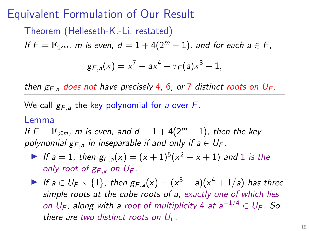Theorem (Helleseth-K.-Li, restated) If  $F = \mathbb{F}_{2^{2m}}$ , m is even,  $d = 1 + 4(2^m - 1)$ , and for each  $a \in F$ ,  $g_{F,a}(x) = x^7 - ax^4 - \tau_F(a)x^3 + 1,$ 

then  $g_{F,a}$  does not have precisely 4, 6, or 7 distinct roots on  $U_F$ .

We call  $g_{F,a}$  the key polynomial for a over F.

#### Lemma

If  $F = \mathbb{F}_{2^{2m}}$ , m is even, and  $d = 1 + 4(2^m - 1)$ , then the key polynomial  $g_{F,a}$  in inseparable if and only if  $a \in U_F$ .

- If  $a = 1$ , then  $g_{F,a}(x) = (x + 1)^5(x^2 + x + 1)$  and 1 is the only root of  $g_{F,a}$  on  $U_F$ .
- If  $a \in U_F \setminus \{1\}$ , then  $g_{F,a}(x) = (x^3 + a)(x^4 + 1/a)$  has three simple roots at the cube roots of a, exactly one of which lies on  $U_F$ , along with a root of multiplicity 4 at  $a^{-1/4} \in U_F$ . So there are two distinct roots on  $U_F$ .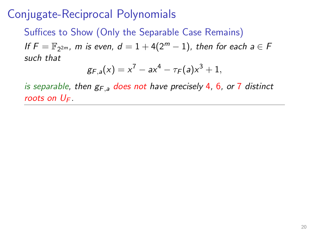Suffices to Show (Only the Separable Case Remains) If  $F = \mathbb{F}_{2^{2m}}$ , m is even,  $d = 1 + 4(2^m - 1)$ , then for each  $a \in F$ such that

$$
g_{F,a}(x) = x^7 - ax^4 - \tau_F(a)x^3 + 1,
$$

is separable, then  $g_{F,a}$  does not have precisely 4, 6, or 7 distinct roots on  $U_F$ .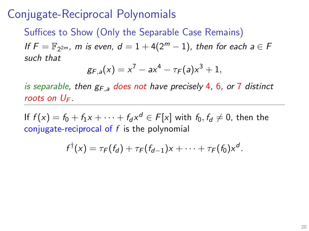Suffices to Show (Only the Separable Case Remains) If  $F = \mathbb{F}_{2^{2m}}$ , m is even,  $d = 1 + 4(2^m - 1)$ , then for each  $a \in F$ such that

$$
g_{F,a}(x) = x^7 - ax^4 - \tau_F(a)x^3 + 1,
$$

is separable, then  $g_{F,a}$  does not have precisely 4, 6, or 7 distinct roots on  $U_F$ .

If  $f(x) = f_0 + f_1x + \cdots + f_d x^d \in F[x]$  with  $f_0, f_d \neq 0$ , then the conjugate-reciprocal of  $f$  is the polynomial

$$
f^{\dagger}(x) = \tau_F(f_d) + \tau_F(f_{d-1})x + \cdots + \tau_F(f_0)x^d.
$$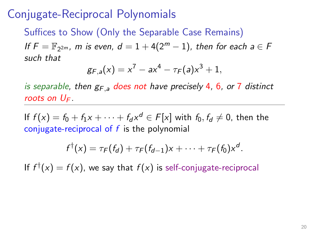Suffices to Show (Only the Separable Case Remains) If  $F = \mathbb{F}_{2^{2m}}$ , m is even,  $d = 1 + 4(2^m - 1)$ , then for each  $a \in F$ such that

$$
g_{F,a}(x) = x^7 - ax^4 - \tau_F(a)x^3 + 1,
$$

is separable, then  $g_{F,a}$  does not have precisely 4, 6, or 7 distinct roots on  $U_F$ .

If  $f(x) = f_0 + f_1x + \cdots + f_d x^d \in F[x]$  with  $f_0, f_d \neq 0$ , then the conjugate-reciprocal of  $f$  is the polynomial

$$
f^{\dagger}(x) = \tau_F(f_d) + \tau_F(f_{d-1})x + \cdots + \tau_F(f_0)x^d.
$$

If  $f^{\dagger}(x) = f(x)$ , we say that  $f(x)$  is self-conjugate-reciprocal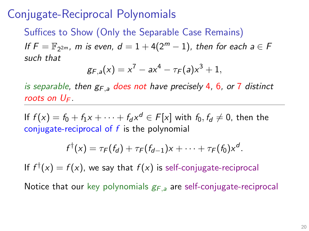Suffices to Show (Only the Separable Case Remains) If  $F = \mathbb{F}_{2^{2m}}$ , m is even,  $d = 1 + 4(2^m - 1)$ , then for each  $a \in F$ such that

$$
g_{F,a}(x) = x^7 - ax^4 - \tau_F(a)x^3 + 1,
$$

is separable, then  $g_{F,a}$  does not have precisely 4, 6, or 7 distinct roots on  $U_F$ .

If  $f(x) = f_0 + f_1x + \cdots + f_d x^d \in F[x]$  with  $f_0, f_d \neq 0$ , then the conjugate-reciprocal of  $f$  is the polynomial

$$
f^{\dagger}(x) = \tau_F(f_d) + \tau_F(f_{d-1})x + \cdots + \tau_F(f_0)x^d.
$$

If  $f^{\dagger}(x) = f(x)$ , we say that  $f(x)$  is self-conjugate-reciprocal

Notice that our key polynomials  $g_{F,a}$  are self-conjugate-reciprocal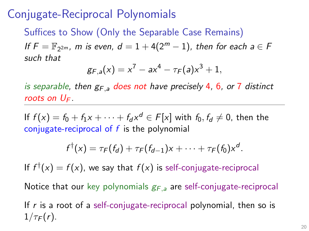Suffices to Show (Only the Separable Case Remains) If  $F = \mathbb{F}_{2^{2m}}$ , m is even,  $d = 1 + 4(2^m - 1)$ , then for each  $a \in F$ such that

$$
g_{F,a}(x) = x^7 - ax^4 - \tau_F(a)x^3 + 1,
$$

is separable, then  $g_{F,a}$  does not have precisely 4, 6, or 7 distinct roots on  $U_F$ .

If  $f(x) = f_0 + f_1x + \cdots + f_d x^d \in F[x]$  with  $f_0, f_d \neq 0$ , then the conjugate-reciprocal of  $f$  is the polynomial

$$
f^{\dagger}(x) = \tau_F(f_d) + \tau_F(f_{d-1})x + \cdots + \tau_F(f_0)x^d.
$$

If  $f^{\dagger}(x) = f(x)$ , we say that  $f(x)$  is self-conjugate-reciprocal

Notice that our key polynomials  $g_{F,a}$  are self-conjugate-reciprocal

If  $r$  is a root of a self-conjugate-reciprocal polynomial, then so is  $1/\tau_F(r)$ .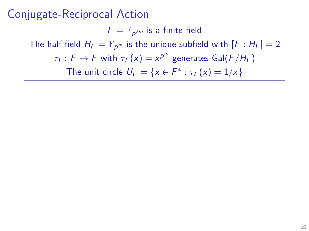$F = \mathbb{F}_{p^{2m}}$  is a finite field The half field  $H_F = \mathbb{F}_{p^m}$  is the unique subfield with  $[F : H_F] = 2$  $\tau_F\colon F\to F$  with  $\tau_F(\mathsf{x})=\mathsf{x}^{p^m}$  generates  $\mathsf{Gal}(F/H_F)$ The unit circle  $U_F = \{x \in F^* : \tau_F(x) = 1/x\}$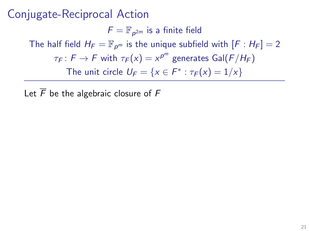$F = \mathbb{F}_{p^{2m}}$  is a finite field The half field  $H_F = \mathbb{F}_{p^m}$  is the unique subfield with  $[F : H_F] = 2$  $\tau_F\colon F\to F$  with  $\tau_F(\mathsf{x})=\mathsf{x}^{p^m}$  generates  $\mathsf{Gal}(F/H_F)$ The unit circle  $U_F = \{x \in F^* : \tau_F(x) = 1/x\}$ 

Let  $\overline{F}$  be the algebraic closure of  $F$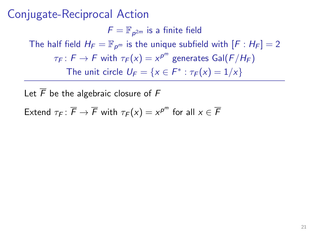$F = \mathbb{F}_{p^{2m}}$  is a finite field The half field  $H_F = \mathbb{F}_{p^m}$  is the unique subfield with  $[F : H_F] = 2$  $\tau_F\colon F\to F$  with  $\tau_F(\mathsf{x})=\mathsf{x}^{p^m}$  generates  $\mathsf{Gal}(F/H_F)$ The unit circle  $U_F = \{x \in F^* : \tau_F(x) = 1/x\}$ 

Let  $\overline{F}$  be the algebraic closure of  $F$ 

Extend  $\tau_F\colon \overline{F}\to \overline{F}$  with  $\tau_F(\mathsf{x})=\mathsf{x}^{p^m}$  for all  $\mathsf{x}\in \overline{F}$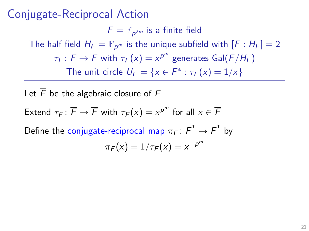$F = \mathbb{F}_{p^{2m}}$  is a finite field The half field  $H_F = \mathbb{F}_{p^m}$  is the unique subfield with  $[F : H_F] = 2$  $\tau_F\colon F\to F$  with  $\tau_F(\mathsf{x})=\mathsf{x}^{p^m}$  generates  $\mathsf{Gal}(F/H_F)$ The unit circle  $U_F = \{x \in F^* : \tau_F(x) = 1/x\}$ 

Let  $\overline{F}$  be the algebraic closure of  $F$ Extend  $\tau_F\colon \overline{F}\to \overline{F}$  with  $\tau_F(\mathsf{x})=\mathsf{x}^{p^m}$  for all  $\mathsf{x}\in \overline{F}$ Define the conjugate-reciprocal map  $\pi_F\colon \overline{F}^*\to \overline{F}^*$  by  $\pi_F(x)=1/\tau_F(x)=x^{-\rho^m}$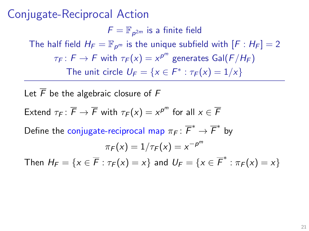$F = \mathbb{F}_{p^{2m}}$  is a finite field The half field  $H_F = \mathbb{F}_{p^m}$  is the unique subfield with  $[F : H_F] = 2$  $\tau_F\colon F\to F$  with  $\tau_F(\mathsf{x})=\mathsf{x}^{p^m}$  generates  $\mathsf{Gal}(F/H_F)$ The unit circle  $U_F = \{x \in F^* : \tau_F(x) = 1/x\}$ 

Let  $\overline{F}$  be the algebraic closure of  $F$ Extend  $\tau_F\colon \overline{F}\to \overline{F}$  with  $\tau_F(\mathsf{x})=\mathsf{x}^{p^m}$  for all  $\mathsf{x}\in \overline{F}$ Define the conjugate-reciprocal map  $\pi_F\colon \overline{F}^*\to \overline{F}^*$  by  $\pi_F(x)=1/\tau_F(x)=x^{-\rho^m}$ Then  $H_F = \{x \in \overline{F} : \tau_F(x) = x\}$  and  $U_F = \{x \in \overline{F}^* : \pi_F(x) = x\}$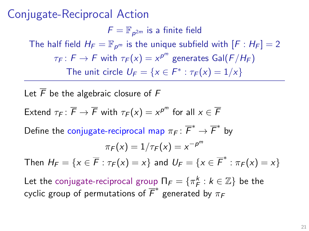$F = \mathbb{F}_{p^{2m}}$  is a finite field The half field  $H_F = \mathbb{F}_{p^m}$  is the unique subfield with  $[F : H_F] = 2$  $\tau_F\colon F\to F$  with  $\tau_F(\mathsf{x})=\mathsf{x}^{p^m}$  generates  $\mathsf{Gal}(F/H_F)$ The unit circle  $U_F = \{x \in F^* : \tau_F(x) = 1/x\}$ 

Let  $\overline{F}$  be the algebraic closure of  $F$ Extend  $\tau_F\colon \overline{F}\to \overline{F}$  with  $\tau_F(\mathsf{x})=\mathsf{x}^{p^m}$  for all  $\mathsf{x}\in \overline{F}$ Define the conjugate-reciprocal map  $\pi_F\colon \overline{F}^*\to \overline{F}^*$  by  $\pi_F(x)=1/\tau_F(x)=x^{-\rho^m}$ Then  $H_F = \{x \in \overline{F} : \tau_F(x) = x\}$  and  $U_F = \{x \in \overline{F}^* : \pi_F(x) = x\}$ Let the conjugate-reciprocal group  $\Pi_F = \{ \pi^k_F : k \in \mathbb{Z} \}$  be the cyclic group of permutations of  $\overline{F}^*$  generated by  $\pi_F$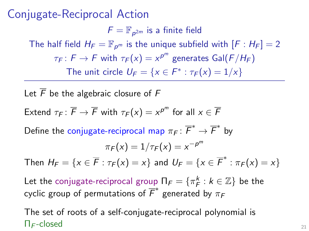$F = \mathbb{F}_{p^{2m}}$  is a finite field The half field  $H_F = \mathbb{F}_{p^m}$  is the unique subfield with  $[F : H_F] = 2$  $\tau_F\colon F\to F$  with  $\tau_F(\mathsf{x})=\mathsf{x}^{p^m}$  generates  $\mathsf{Gal}(F/H_F)$ The unit circle  $U_F = \{x \in F^* : \tau_F(x) = 1/x\}$ 

Let  $\overline{F}$  be the algebraic closure of  $F$ Extend  $\tau_F\colon \overline{F}\to \overline{F}$  with  $\tau_F(\mathsf{x})=\mathsf{x}^{p^m}$  for all  $\mathsf{x}\in \overline{F}$ Define the conjugate-reciprocal map  $\pi_F\colon \overline{F}^*\to \overline{F}^*$  by  $\pi_F(x)=1/\tau_F(x)=x^{-\rho^m}$ Then  $H_F = \{x \in \overline{F} : \tau_F(x) = x\}$  and  $U_F = \{x \in \overline{F}^* : \pi_F(x) = x\}$ Let the conjugate-reciprocal group  $\Pi_F = \{ \pi^k_F : k \in \mathbb{Z} \}$  be the cyclic group of permutations of  $\overline{F}^*$  generated by  $\pi_F$ 

The set of roots of a self-conjugate-reciprocal polynomial is  $\Pi_F\text{-closed}$  21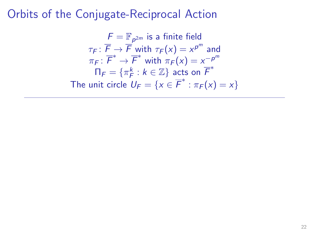## Orbits of the Conjugate-Reciprocal Action

$$
F = \mathbb{F}_{p^{2m}}
$$
 is a finite field  
\n
$$
\tau_F \colon \overline{F} \to \overline{F}
$$
 with  $\tau_F(x) = x^{p^m}$  and  
\n
$$
\pi_F \colon \overline{F}^* \to \overline{F}^*
$$
 with  $\pi_F(x) = x^{-p^m}$   
\n
$$
\Pi_F = \{\pi_F^k : k \in \mathbb{Z}\} \text{ acts on } \overline{F}^*
$$
  
\nThe unit circle  $U_F = \{x \in \overline{F}^* : \pi_F(x) = x\}$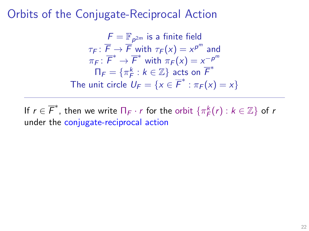## Orbits of the Conjugate-Reciprocal Action

$$
F = \mathbb{F}_{p^{2m}}
$$
 is a finite field  
\n
$$
\tau_F \colon \overline{F} \to \overline{F}
$$
 with  $\tau_F(x) = x^{p^m}$  and  
\n
$$
\pi_F \colon \overline{F}^* \to \overline{F}^*
$$
 with  $\pi_F(x) = x^{-p^m}$   
\n
$$
\Pi_F = \{\pi_F^k : k \in \mathbb{Z}\} \text{ acts on } \overline{F}^*
$$
  
\nThe unit circle  $U_F = \{x \in \overline{F}^* : \pi_F(x) = x\}$ 

If  $r \in \overline{F}^*$ , then we write  $\Pi_F \cdot r$  for the orbit  $\{\pi_F^k(r) : k \in \mathbb{Z}\}$  of  $r$ under the conjugate-reciprocal action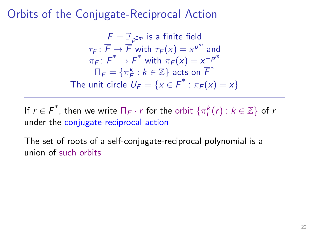$$
F = \mathbb{F}_{p^{2m}}
$$
 is a finite field  
\n
$$
\tau_F \colon \overline{F} \to \overline{F}
$$
 with  $\tau_F(x) = x^{p^m}$  and  
\n
$$
\pi_F \colon \overline{F}^* \to \overline{F}^*
$$
 with  $\pi_F(x) = x^{-p^m}$   
\n
$$
\Pi_F = \{\pi_F^k : k \in \mathbb{Z}\} \text{ acts on } \overline{F}^*
$$
  
\nThe unit circle  $U_F = \{x \in \overline{F}^* : \pi_F(x) = x\}$ 

If  $r \in \overline{F}^*$ , then we write  $\Pi_F \cdot r$  for the orbit  $\{\pi_F^k(r) : k \in \mathbb{Z}\}$  of  $r$ under the conjugate-reciprocal action

The set of roots of a self-conjugate-reciprocal polynomial is a union of such orbits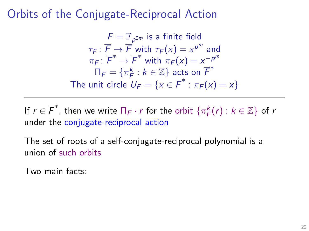$$
F = \mathbb{F}_{p^{2m}}
$$
 is a finite field  
\n
$$
\tau_F \colon \overline{F} \to \overline{F}
$$
 with  $\tau_F(x) = x^{p^m}$  and  
\n
$$
\pi_F \colon \overline{F}^* \to \overline{F}^*
$$
 with  $\pi_F(x) = x^{-p^m}$   
\n
$$
\Pi_F = \{\pi_F^k : k \in \mathbb{Z}\} \text{ acts on } \overline{F}^*
$$
  
\nThe unit circle  $U_F = \{x \in \overline{F}^* : \pi_F(x) = x\}$ 

If  $r \in \overline{F}^*$ , then we write  $\Pi_F \cdot r$  for the orbit  $\{\pi_F^k(r) : k \in \mathbb{Z}\}$  of  $r$ under the conjugate-reciprocal action

The set of roots of a self-conjugate-reciprocal polynomial is a union of such orbits

Two main facts: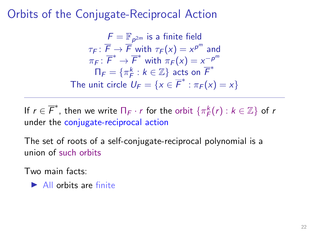$$
F = \mathbb{F}_{p^{2m}}
$$
 is a finite field  
\n
$$
\tau_F \colon \overline{F} \to \overline{F}
$$
 with  $\tau_F(x) = x^{p^m}$  and  
\n
$$
\pi_F \colon \overline{F}^* \to \overline{F}^*
$$
 with  $\pi_F(x) = x^{-p^m}$   
\n
$$
\Pi_F = \{\pi_F^k : k \in \mathbb{Z}\} \text{ acts on } \overline{F}^*
$$
  
\nThe unit circle  $U_F = \{x \in \overline{F}^* : \pi_F(x) = x\}$ 

If  $r \in \overline{F}^*$ , then we write  $\Pi_F \cdot r$  for the orbit  $\{\pi_F^k(r) : k \in \mathbb{Z}\}$  of  $r$ under the conjugate-reciprocal action

The set of roots of a self-conjugate-reciprocal polynomial is a union of such orbits

Two main facts:

 $\blacktriangleright$  All orbits are finite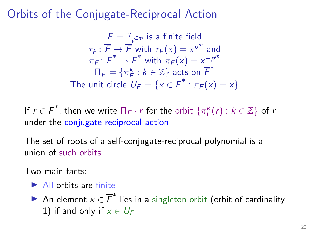$$
F = \mathbb{F}_{p^{2m}}
$$
 is a finite field  
\n
$$
\tau_F \colon \overline{F} \to \overline{F}
$$
 with  $\tau_F(x) = x^{p^m}$  and  
\n
$$
\pi_F \colon \overline{F}^* \to \overline{F}^*
$$
 with  $\pi_F(x) = x^{-p^m}$   
\n
$$
\Pi_F = \{\pi_F^k : k \in \mathbb{Z}\} \text{ acts on } \overline{F}^*
$$
  
\nThe unit circle  $U_F = \{x \in \overline{F}^* : \pi_F(x) = x\}$ 

If  $r \in \overline{F}^*$ , then we write  $\Pi_F \cdot r$  for the orbit  $\{\pi_F^k(r) : k \in \mathbb{Z}\}$  of  $r$ under the conjugate-reciprocal action

The set of roots of a self-conjugate-reciprocal polynomial is a union of such orbits

Two main facts:

- $\blacktriangleright$  All orbits are finite
- An element  $x \in \overline{F}^*$  lies in a singleton orbit (orbit of cardinality 1) if and only if  $x \in U_F$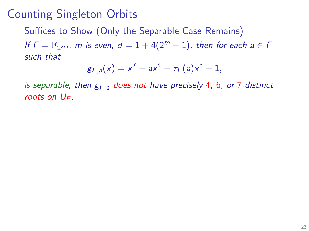Suffices to Show (Only the Separable Case Remains)

If  $F = \mathbb{F}_{2^{2m}}$ , m is even,  $d = 1 + 4(2^m - 1)$ , then for each  $a \in F$ such that

$$
g_{F,a}(x) = x^7 - ax^4 - \tau_F(a)x^3 + 1,
$$

is separable, then  $g_{F,a}$  does not have precisely 4, 6, or 7 distinct roots on  $U_F$ .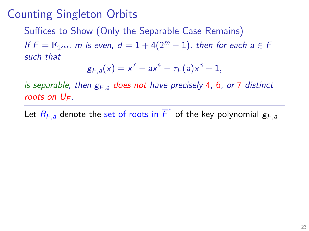Suffices to Show (Only the Separable Case Remains)

If  $F = \mathbb{F}_{2^{2m}}$ , m is even,  $d = 1 + 4(2^m - 1)$ , then for each  $a \in F$ such that

$$
g_{F,a}(x) = x^7 - ax^4 - \tau_F(a)x^3 + 1,
$$

is separable, then  $g_{F,a}$  does not have precisely 4, 6, or 7 distinct roots on  $U_F$ .

Let  $R_{F,a}$  denote the set of roots in  $\overline{F}^*$  of the key polynomial  $g_{F,a}$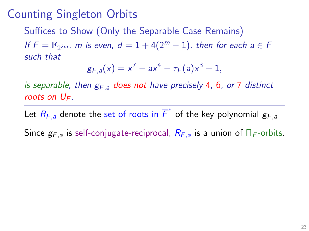Suffices to Show (Only the Separable Case Remains)

If  $F = \mathbb{F}_{2^{2m}}$ , m is even,  $d = 1 + 4(2^m - 1)$ , then for each  $a \in F$ such that

$$
g_{F,a}(x) = x^7 - ax^4 - \tau_F(a)x^3 + 1,
$$

is separable, then  $g_{F,a}$  does not have precisely 4, 6, or 7 distinct roots on  $U_F$ .

Let  $R_{F,a}$  denote the set of roots in  $\overline{F}^*$  of the key polynomial  $g_{F,a}$ Since  $g_{F,a}$  is self-conjugate-reciprocal,  $R_{F,a}$  is a union of  $\Pi_F$ -orbits.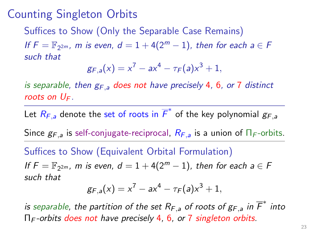Suffices to Show (Only the Separable Case Remains)

If  $F = \mathbb{F}_{2^{2m}}$ , m is even,  $d = 1 + 4(2^m - 1)$ , then for each  $a \in F$ such that

$$
g_{F,a}(x) = x^7 - ax^4 - \tau_F(a)x^3 + 1,
$$

is separable, then  $g_{F,a}$  does not have precisely 4, 6, or 7 distinct roots on  $U_F$ .

Let  $R_{F,a}$  denote the set of roots in  $\overline{F}^*$  of the key polynomial  $g_{F,a}$ 

Since  $g_{F,a}$  is self-conjugate-reciprocal,  $R_{F,a}$  is a union of  $\Pi_F$ -orbits.

Suffices to Show (Equivalent Orbital Formulation)

If  $F = \mathbb{F}_{2^{2m}}$ , m is even,  $d = 1 + 4(2^m - 1)$ , then for each  $a \in F$ such that

$$
g_{F,a}(x) = x^7 - ax^4 - \tau_F(a)x^3 + 1,
$$

is separable, the partition of the set  $R_{F,a}$  of roots of  $g_{F,a}$  in  $\overline{F}^*$  into Π<sup>F</sup> -orbits does not have precisely 4, 6, or 7 singleton orbits.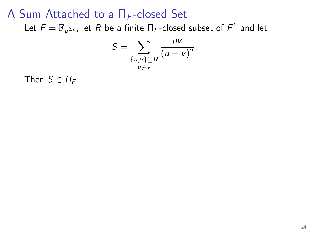Let  $\mathcal{F}=\mathbb{F}_{\bm p^{2m}}$ , let  $R$  be a finite  $\Pi_\mathcal{F}$ -closed subset of  $\overline{\mathcal{F}}^*$  and let

$$
S=\sum_{\substack{\{u,v\}\subseteq R\\u\neq v}}\frac{uv}{(u-v)^2}.
$$

Then  $S \in H_F$ .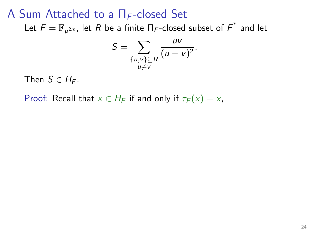Let  $\mathcal{F}=\mathbb{F}_{\bm p^{2m}}$ , let  $R$  be a finite  $\Pi_\mathcal{F}$ -closed subset of  $\overline{\mathcal{F}}^*$  and let

$$
S=\sum_{\{u,v\}\subseteq R\atop u\neq v}\frac{uv}{(u-v)^2}.
$$

Then  $S \in H_F$ .

Proof: Recall that  $x \in H_F$  if and only if  $\tau_F(x) = x$ ,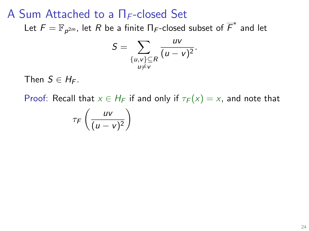Let  $\mathcal{F}=\mathbb{F}_{\bm p^{2m}}$ , let  $R$  be a finite  $\Pi_\mathcal{F}$ -closed subset of  $\overline{\mathcal{F}}^*$  and let

$$
S=\sum_{\{u,v\}\subseteq R\atop u\neq v}\frac{uv}{(u-v)^2}.
$$

Then  $S \in H_F$ .

$$
\tau_F\left(\frac{uv}{(u-v)^2}\right)
$$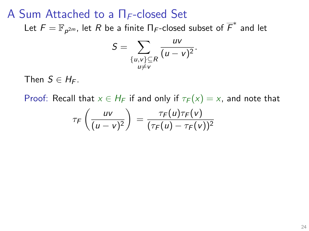Let  $\mathcal{F}=\mathbb{F}_{\bm p^{2m}}$ , let  $R$  be a finite  $\Pi_\mathcal{F}$ -closed subset of  $\overline{\mathcal{F}}^*$  and let

$$
S=\sum_{\{u,v\}\subseteq R\atop u\neq v}\frac{uv}{(u-v)^2}.
$$

Then  $S \in H_F$ .

$$
\tau_F\left(\frac{uv}{(u-v)^2}\right) = \frac{\tau_F(u)\tau_F(v)}{(\tau_F(u)-\tau_F(v))^2}
$$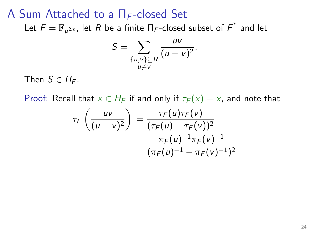Let  $\mathcal{F}=\mathbb{F}_{\bm p^{2m}}$ , let  $R$  be a finite  $\Pi_\mathcal{F}$ -closed subset of  $\overline{\mathcal{F}}^*$  and let

$$
S=\sum_{\{u,v\}\subseteq R\atop u\neq v}\frac{uv}{(u-v)^2}.
$$

Then  $S \in H_F$ .

$$
\tau_F\left(\frac{uv}{(u-v)^2}\right) = \frac{\tau_F(u)\tau_F(v)}{(\tau_F(u) - \tau_F(v))^2} = \frac{\pi_F(u)^{-1}\pi_F(v)^{-1}}{(\pi_F(u)^{-1} - \pi_F(v)^{-1})^2}
$$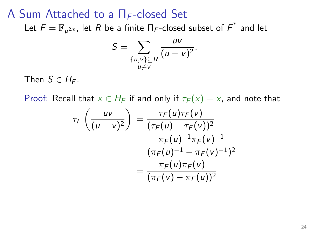Let  $\mathcal{F}=\mathbb{F}_{\bm p^{2m}}$ , let  $R$  be a finite  $\Pi_\mathcal{F}$ -closed subset of  $\overline{\mathcal{F}}^*$  and let

$$
S=\sum_{\{u,v\}\subseteq R\atop u\neq v}\frac{uv}{(u-v)^2}.
$$

Then  $S \in H_F$ .

$$
\tau_F\left(\frac{uv}{(u-v)^2}\right) = \frac{\tau_F(u)\tau_F(v)}{(\tau_F(u) - \tau_F(v))^2} \n= \frac{\pi_F(u)^{-1}\pi_F(v)^{-1}}{(\pi_F(u)^{-1} - \pi_F(v)^{-1})^2} \n= \frac{\pi_F(u)\pi_F(v)}{(\pi_F(v) - \pi_F(u))^2}
$$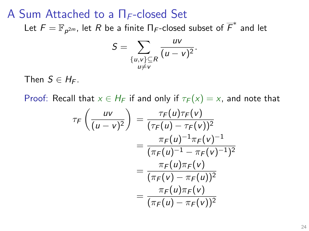Let  $\mathcal{F}=\mathbb{F}_{\bm p^{2m}}$ , let  $R$  be a finite  $\Pi_\mathcal{F}$ -closed subset of  $\overline{\mathcal{F}}^*$  and let

$$
S=\sum_{\{u,v\}\subseteq R\atop u\neq v}\frac{uv}{(u-v)^2}.
$$

Then  $S \in H_F$ .

$$
\tau_F\left(\frac{uv}{(u-v)^2}\right) = \frac{\tau_F(u)\tau_F(v)}{(\tau_F(u) - \tau_F(v))^2}
$$

$$
= \frac{\pi_F(u)^{-1}\pi_F(v)^{-1}}{(\pi_F(u)^{-1} - \pi_F(v)^{-1})^2}
$$

$$
= \frac{\pi_F(u)\pi_F(v)}{(\pi_F(v) - \pi_F(u))^2}
$$

$$
= \frac{\pi_F(u)\pi_F(v)}{(\pi_F(u) - \pi_F(v))^2}
$$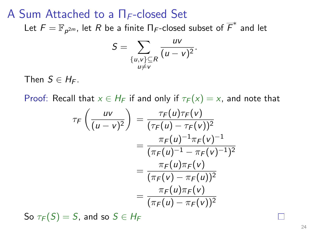Let  $\mathcal{F}=\mathbb{F}_{\bm p^{2m}}$ , let  $R$  be a finite  $\Pi_\mathcal{F}$ -closed subset of  $\overline{\mathcal{F}}^*$  and let

$$
S=\sum_{\{u,v\}\subseteq R\atop u\neq v}\frac{uv}{(u-v)^2}.
$$

Then  $S \in H_F$ .

Proof: Recall that  $x \in H_F$  if and only if  $\tau_F(x) = x$ , and note that

$$
\tau_F\left(\frac{uv}{(u-v)^2}\right) = \frac{\tau_F(u)\tau_F(v)}{(\tau_F(u) - \tau_F(v))^2}
$$

$$
= \frac{\pi_F(u)^{-1}\pi_F(v)^{-1}}{(\pi_F(u)^{-1} - \pi_F(v)^{-1})^2}
$$

$$
= \frac{\pi_F(u)\pi_F(v)}{(\pi_F(v) - \pi_F(u))^2}
$$

$$
= \frac{\pi_F(u)\pi_F(v)}{(\pi_F(u) - \pi_F(v))^2}
$$

So  $\tau_F(S) = S$ , and so  $S \in H_F$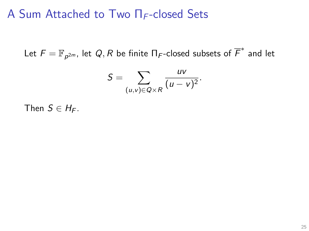Let  $\mathcal{F}=\mathbb{F}_{\bm{\rho}^{2m}}$ , let  $\mathcal{Q}, \mathcal{R}$  be finite  $\Pi_\mathcal{F}$ -closed subsets of  $\overline{\mathcal{F}}^*$  and let

$$
S=\sum_{(u,v)\in Q\times R}\frac{uv}{(u-v)^2}.
$$

Then  $S \in H_F$ .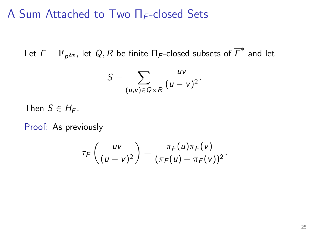Let  $\mathcal{F}=\mathbb{F}_{\bm{\rho}^{2m}}$ , let  $\mathcal{Q}, \mathcal{R}$  be finite  $\Pi_\mathcal{F}$ -closed subsets of  $\overline{\mathcal{F}}^*$  and let

$$
S=\sum_{(u,v)\in Q\times R}\frac{uv}{(u-v)^2}.
$$

Then  $S \in H_F$ .

Proof: As previously

$$
\tau_F\left(\frac{uv}{(u-v)^2}\right)=\frac{\pi_F(u)\pi_F(v)}{(\pi_F(u)-\pi_F(v))^2}.
$$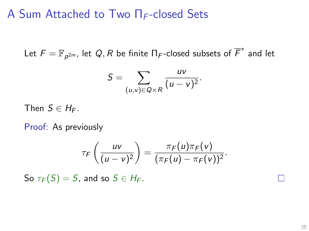Let  $\mathcal{F}=\mathbb{F}_{\bm{\rho}^{2m}}$ , let  $\mathcal{Q}, \mathcal{R}$  be finite  $\Pi_\mathcal{F}$ -closed subsets of  $\overline{\mathcal{F}}^*$  and let

$$
S=\sum_{(u,v)\in Q\times R}\frac{uv}{(u-v)^2}.
$$

Then  $S \in H_F$ .

Proof: As previously

$$
\tau_F\left(\frac{uv}{(u-v)^2}\right)=\frac{\pi_F(u)\pi_F(v)}{(\pi_F(u)-\pi_F(v))^2}.
$$

So  $\tau_F(S) = S$ , and so  $S \in H_F$ .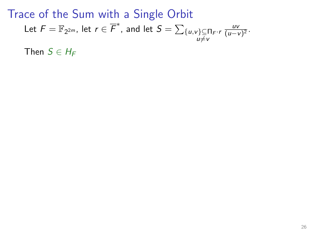Then  $S \in H_F$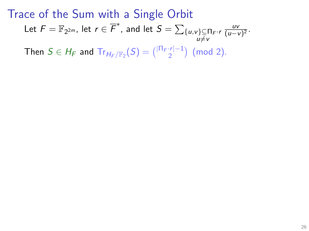Then  $S \in H_F$  and  $Tr_{H_F/\mathbb{F}_2}(S) = {|\Pi_F \cdot r| - 1 \choose 2}$  (mod 2).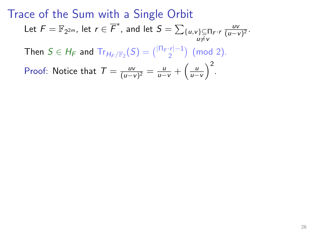Then  $S \in H_F$  and  $Tr_{H_F/\mathbb{F}_2}(S) = {|\Pi_F \cdot r| - 1 \choose 2}$  (mod 2).

Proof: Notice that  $T = \frac{uv}{(u-v)}$  $\frac{uv}{(u-v)^2} = \frac{u}{u-v} + \left(\frac{u}{u-v}\right)^2.$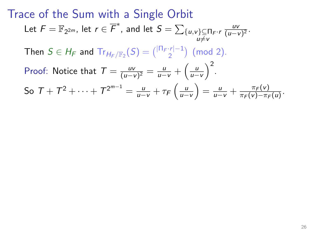Then  $S \in H_F$  and  $Tr_{H_F/\mathbb{F}_2}(S) = {|\Pi_F \cdot r| - 1 \choose 2}$  (mod 2).

Proof: Notice that  $T = \frac{uv}{(u-v)}$  $\frac{uv}{(u-v)^2} = \frac{u}{u-v} + \left(\frac{u}{u-v}\right)^2.$ So  $T + T^2 + \cdots + T^{2^{m-1}} = \frac{u}{u-v} + \tau_F \left( \frac{u}{u-v} \right) = \frac{u}{u-v} + \frac{\pi_F(v)}{\pi_F(v) - \pi_F(v)}$  $\frac{\pi_F(v)}{\pi_F(v)-\pi_F(u)}$ .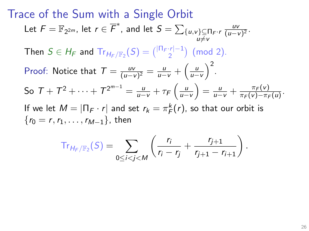#### Trace of the Sum with a Single Orbit Let  $\mathcal{F}=\mathbb{F}_{2^{2m}}$ , let  $r\in\overline{\mathcal{F}}^*$ , and let  $\mathcal{S}=\sum_{\substack{\{u,v\}\subseteq \Pi_{\mathcal{F}}\cdot\mathcal{F}\ u\neq v}}$ uv  $\frac{uv}{(u-v)^2}$ . Then  $S \in H_F$  and  $Tr_{H_F/\mathbb{F}_2}(S) = {|\Pi_F \cdot r| - 1 \choose 2}$  (mod 2). Proof: Notice that  $T = \frac{uv}{(u-v)}$  $\frac{uv}{(u-v)^2} = \frac{u}{u-v} + \left(\frac{u}{u-v}\right)^2.$ So  $T + T^2 + \cdots + T^{2^{m-1}} = \frac{u}{u-v} + \tau_F \left( \frac{u}{u-v} \right) = \frac{u}{u-v} + \frac{\pi_F(v)}{\pi_F(v) - \pi_F(v)}$  $\frac{\pi_F(v)}{\pi_F(v)-\pi_F(u)}$ . If we let  $M = |\Pi_F \cdot r|$  and set  $r_k = \pi_F^k(r)$ , so that our orbit is  ${r_0 = r, r_1, \ldots, r_{M-1}}$ , then

$$
\mathrm{Tr}_{H_{F}/\mathbb{F}_{2}}(S)=\sum_{0\leq i
$$

.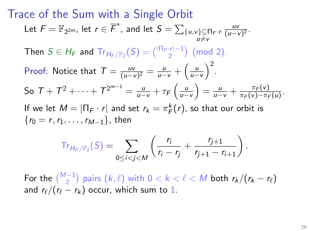#### Trace of the Sum with a Single Orbit Let  $\mathcal{F}=\mathbb{F}_{2^{2m}}$ , let  $r\in\overline{\mathcal{F}}^*$ , and let  $\mathcal{S}=\sum_{\substack{\{u,v\}\subseteq \Pi_{\mathcal{F}}\cdot\mathcal{F}\ u\neq v}}$ uv  $\frac{uv}{(u-v)^2}$ . Then  $S \in H_F$  and  $Tr_{H_F/\mathbb{F}_2}(S) = {|\Pi_F \cdot r| - 1 \choose 2}$  (mod 2). Proof: Notice that  $T = \frac{uv}{(u-v)}$  $\frac{uv}{(u-v)^2} = \frac{u}{u-v} + \left(\frac{u}{u-v}\right)^2.$ So  $T + T^2 + \cdots + T^{2^{m-1}} = \frac{u}{u-v} + \tau_F \left( \frac{u}{u-v} \right) = \frac{u}{u-v} + \frac{\pi_F(v)}{\pi_F(v) - \pi_F(v)}$  $\frac{\pi_F(v)}{\pi_F(v)-\pi_F(u)}$ . If we let  $M = |\Pi_F \cdot r|$  and set  $r_k = \pi_F^k(r)$ , so that our orbit is  ${r_0 = r, r_1, \ldots, r_{M-1}}$ , then

$$
\mathrm{Tr}_{H_F/\mathbb{F}_2}(S) = \sum_{0 \le i < j < M} \left( \frac{r_i}{r_i - r_j} + \frac{r_{j+1}}{r_{j+1} - r_{i+1}} \right)
$$

For the  $\binom{M-1}{2}$  pairs  $(k, \ell)$  with  $0 < k < \ell < M$  both  $r_k / (r_k - r_\ell)$ and  $r_{\ell}/(r_{\ell} - r_{k})$  occur, which sum to 1.

.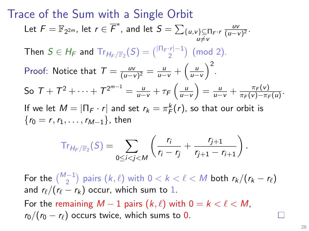#### Trace of the Sum with a Single Orbit Let  $\mathcal{F}=\mathbb{F}_{2^{2m}}$ , let  $r\in\overline{\mathcal{F}}^*$ , and let  $\mathcal{S}=\sum_{\substack{\{u,v\}\subseteq \Pi_{\mathcal{F}}\cdot\mathcal{F}\ u\neq v}}$ uv  $\frac{uv}{(u-v)^2}$ . Then  $S \in H_F$  and  $Tr_{H_F/\mathbb{F}_2}(S) = {|\Pi_F \cdot r| - 1 \choose 2}$  (mod 2). Proof: Notice that  $T = \frac{uv}{(u-v)}$  $\frac{uv}{(u-v)^2} = \frac{u}{u-v} + \left(\frac{u}{u-v}\right)^2.$ So  $T + T^2 + \cdots + T^{2^{m-1}} = \frac{u}{u-v} + \tau_F \left( \frac{u}{u-v} \right) = \frac{u}{u-v} + \frac{\pi_F(v)}{\pi_F(v) - \pi_F(v)}$  $\frac{\pi_F(v)}{\pi_F(v)-\pi_F(u)}$ . If we let  $M = |\Pi_F \cdot r|$  and set  $r_k = \pi_F^k(r)$ , so that our orbit is  ${r_0 = r, r_1, \ldots, r_{M-1}}$ , then

$$
\mathrm{Tr}_{H_F/\mathbb{F}_2}(S)=\sum_{0\leq i
$$

For the  $\binom{M-1}{2}$  pairs  $(k, \ell)$  with  $0 < k < \ell < M$  both  $r_k / (r_k - r_\ell)$ and  $r_{\ell}/(r_{\ell} - r_{k})$  occur, which sum to 1. For the remaining  $M - 1$  pairs  $(k, \ell)$  with  $0 = k < \ell < M$ ,  $r_0/(r_0 - r_\ell)$  occurs twice, which sums to 0.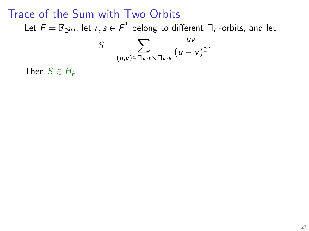Let  $\mathcal{F}=\mathbb{F}_{2^{2m}}$ , let  $r,s\in\overline{\mathcal{F}}^*$  belong to different  $\Pi_{\mathcal{F}}$ -orbits, and let

$$
S=\sum_{(u,v)\in\Pi_F\cdot r\times\Pi_F\cdot s}\frac{uv}{(u-v)^2}.
$$

Then  $S \in H_F$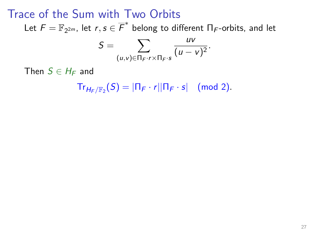Let  $\mathcal{F}=\mathbb{F}_{2^{2m}}$ , let  $r,s\in\overline{\mathcal{F}}^*$  belong to different  $\Pi_{\mathcal{F}}$ -orbits, and let

$$
S=\sum_{(u,v)\in\Pi_F\cdot r\times\Pi_F\cdot s}\frac{uv}{(u-v)^2}.
$$

Then  $S \in H_F$  and

 $Tr_{H_F/\mathbb{F}_2}(S) = |\Pi_F \cdot r| |\Pi_F \cdot s| \pmod{2}.$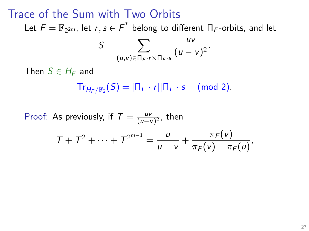Let  $\mathcal{F}=\mathbb{F}_{2^{2m}}$ , let  $r,s\in\overline{\mathcal{F}}^*$  belong to different  $\Pi_{\mathcal{F}}$ -orbits, and let

$$
S=\sum_{(u,v)\in\Pi_F\cdot r\times\Pi_F\cdot s}\frac{uv}{(u-v)^2}.
$$

Then  $S \in H_F$  and

 $Tr_{H_F/\mathbb{F}_2}(S) = |\Pi_F \cdot r| |\Pi_F \cdot s| \pmod{2}.$ 

Proof: As previously, if  $T = \frac{uv}{(u-v)}$  $\frac{uv}{(u-v)^2}$ , then  $T + T^2 + \cdots + T^{2^{m-1}} = \frac{u}{T}$  $\frac{u}{u-v}+\frac{\pi_F(v)}{\pi_F(v)-\pi}$  $\frac{nF(v)}{\pi_F(v)-\pi_F(u)},$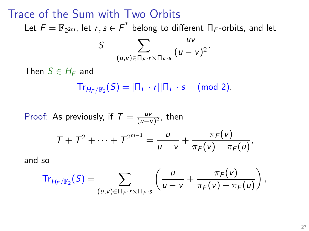Let  $\mathcal{F}=\mathbb{F}_{2^{2m}}$ , let  $r,s\in\overline{\mathcal{F}}^*$  belong to different  $\Pi_{\mathcal{F}}$ -orbits, and let

$$
S=\sum_{(u,v)\in\Pi_F\cdot r\times\Pi_F\cdot s}\frac{uv}{(u-v)^2}.
$$

Then  $S \in H_F$  and

 $Tr_{H_F/\mathbb{F}_2}(S) = |\Pi_F \cdot r| |\Pi_F \cdot s| \pmod{2}.$ 

Proof: As previously, if  $T = \frac{uv}{(u-v)}$  $\frac{uv}{(u-v)^2}$ , then  $T + T^2 + \cdots + T^{2^{m-1}} = \frac{u}{T}$  $\frac{u}{u-v}+\frac{\pi_F(v)}{\pi_F(v)-\pi}$  $\frac{nF(v)}{\pi_F(v)-\pi_F(u)},$ and so

$$
\mathrm{Tr}_{H_F/\mathbb{F}_2}(S)=\sum_{(u,v)\in\Pi_F\cdot r\times\Pi_F\cdot s}\left(\frac{u}{u-v}+\frac{\pi_F(v)}{\pi_F(v)-\pi_F(u)}\right),
$$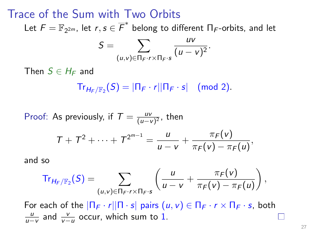Let  $\mathcal{F}=\mathbb{F}_{2^{2m}}$ , let  $r,s\in\overline{\mathcal{F}}^*$  belong to different  $\Pi_{\mathcal{F}}$ -orbits, and let

$$
S=\sum_{(u,v)\in\Pi_F\cdot r\times\Pi_F\cdot s}\frac{uv}{(u-v)^2}.
$$

Then  $S \in H_F$  and

 $Tr_{H_F/\mathbb{F}_2}(S) = |\Pi_F \cdot r| |\Pi_F \cdot s| \pmod{2}.$ 

Proof: As previously, if  $T = \frac{uv}{(u-v)}$  $\frac{uv}{(u-v)^2}$ , then

$$
T + T^{2} + \cdots + T^{2^{m-1}} = \frac{u}{u - v} + \frac{\pi_{F}(v)}{\pi_{F}(v) - \pi_{F}(u)},
$$

and so

$$
\mathrm{Tr}_{H_F/\mathbb{F}_2}(S)=\sum_{(u,v)\in\Pi_F\cdot r\times\Pi_F\cdot s}\left(\frac{u}{u-v}+\frac{\pi_F(v)}{\pi_F(v)-\pi_F(u)}\right),
$$

For each of the  $|\Pi_F \cdot r||\Pi \cdot s|$  pairs  $(u, v) \in \Pi_F \cdot r \times \Pi_F \cdot s$ , both  $\frac{u}{u-v}$  and  $\frac{v}{v-u}$  occur, which sum to 1. ш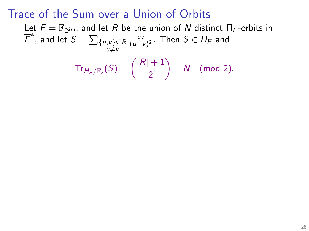Let  $F = \mathbb{F}_{2^{2m}}$ , and let R be the union of N distinct  $\Pi_F$ -orbits in  $\overline{\mathcal{F}}^*$ , and let  $S = \sum_{\{u,v\} \subseteq R}$  $u \neq v$ uv  $\frac{uv}{(u-v)^2}$ . Then  $S\in H_{\digamma}$  and  $\mathsf{Tr}_{H_{\digamma }/\mathbb{F}_2} ( \mathcal{S}) = \binom{|R|+1}{2}$  $+ N \pmod{2}.$ 

2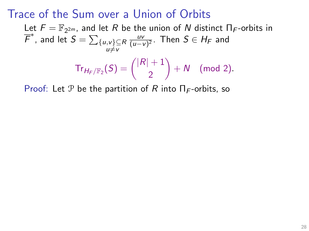Let  $F = \mathbb{F}_{2^{2m}}$ , and let R be the union of N distinct  $\Pi_F$ -orbits in  $\overline{\mathcal{F}}^*$ , and let  $S = \sum_{\{u,v\} \subseteq R}$  $u \neq v$ uv  $\frac{uv}{(u-v)^2}$ . Then  $S\in H_{\digamma}$  and  $\mathsf{Tr}_{H_{\digamma }/\mathbb{F}_2} ( \mathcal{S}) = \binom{|R|+1}{2}$ 2  $+ N \pmod{2}.$ 

Proof: Let P be the partition of R into  $\Pi_F$ -orbits, so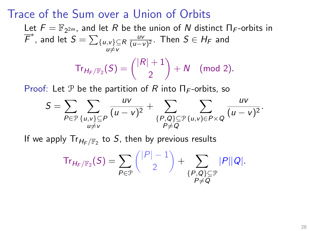Let  $F = \mathbb{F}_{2^{2m}}$ , and let R be the union of N distinct  $\Pi_F$ -orbits in  $\overline{\mathcal{F}}^*$ , and let  $S = \sum_{\{u,v\} \subseteq R}$  $u \neq v$ uv  $\frac{uv}{(u-v)^2}$ . Then  $S\in H_{\digamma}$  and  $\mathsf{Tr}_{H_{\digamma }/\mathbb{F}_2} ( \mathcal{S}) = \binom{|R|+1}{2}$ 2  $+ N \pmod{2}.$ 

Proof: Let P be the partition of R into  $\Pi_F$ -orbits, so

$$
S = \sum_{P \in \mathcal{P}} \sum_{\substack{\{u,v\} \subseteq P \\ u \neq v}} \frac{uv}{(u-v)^2} + \sum_{\substack{\{P,Q\} \subseteq \mathcal{P} \\ P \neq Q}} \sum_{\substack{(u,v) \in P \times Q}} \frac{uv}{(u-v)^2}.
$$

If we apply  $\mathsf{Tr}_{H_{\mathsf{F}}/\mathbb{F}_2}$  to  $\mathcal{S},$  then by previous results

$$
\mathrm{Tr}_{H_F/\mathbb{F}_2}(S) = \sum_{P \in \mathcal{P}} \binom{|P|-1}{2} + \sum_{\substack{\{P,Q\} \subseteq \mathcal{P} \\ P \neq Q}} |P||Q|.
$$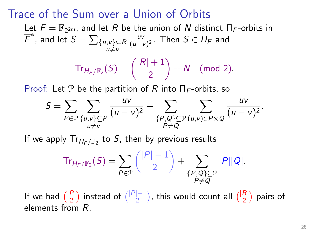Let  $F = \mathbb{F}_{2^{2m}}$ , and let R be the union of N distinct  $\Pi_F$ -orbits in  $\overline{\mathcal{F}}^*$ , and let  $S = \sum_{\{u,v\} \subseteq R}$  $u \neq v$ uv  $\frac{uv}{(u-v)^2}$ . Then  $S\in H_{\digamma}$  and  $\mathsf{Tr}_{H_{\digamma }/\mathbb{F}_2} ( \mathcal{S}) = \binom{|R|+1}{2}$ 2  $+ N \pmod{2}.$ 

Proof: Let P be the partition of R into  $\Pi_F$ -orbits, so

$$
S = \sum_{P \in \mathcal{P}} \sum_{\substack{\{u,v\} \subseteq P \\ u \neq v}} \frac{uv}{(u-v)^2} + \sum_{\substack{\{P,Q\} \subseteq \mathcal{P} \\ P \neq Q}} \sum_{\substack{(u,v) \in P \times Q}} \frac{uv}{(u-v)^2}.
$$

If we apply  $\mathsf{Tr}_{H_{\mathsf{F}}/\mathbb{F}_2}$  to  $\mathcal{S},$  then by previous results

$$
\mathrm{Tr}_{H_F/\mathbb{F}_2}(S)=\sum_{P\in\mathcal{P}}\binom{|P|-1}{2}+\sum_{\substack{\{P,Q\}\subseteq\mathcal{P}\\P\neq Q}}|P||Q|.
$$

If we had  $\binom{|P|}{2}$  $\binom{|P|-1}{2}$  instead of  $\binom{|P|-1}{2}$  $\binom{|-1|}{2}$ , this would count all  $\binom{|R|}{2}$  $\binom{R}{2}$  pairs of elements from R,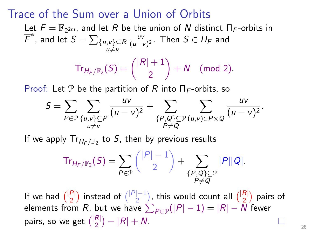Let  $F = \mathbb{F}_{2^{2m}}$ , and let R be the union of N distinct  $\Pi_F$ -orbits in  $\overline{\mathcal{F}}^*$ , and let  $S = \sum_{\{u,v\} \subseteq R}$  $u \neq v$ uv  $\frac{uv}{(u-v)^2}$ . Then  $S\in H_{\digamma}$  and  $\mathsf{Tr}_{H_{\digamma }/\mathbb{F}_2} ( \mathcal{S}) = \binom{|R|+1}{2}$ 2  $+ N \pmod{2}.$ 

Proof: Let P be the partition of R into  $\Pi_F$ -orbits, so

$$
S = \sum_{P \in \mathcal{P}} \sum_{\substack{\{u,v\} \subseteq P \\ u \neq v}} \frac{uv}{(u-v)^2} + \sum_{\substack{\{P,Q\} \subseteq \mathcal{P} \\ P \neq Q}} \sum_{\substack{(u,v) \in P \times Q}} \frac{uv}{(u-v)^2}.
$$

If we apply  $\mathsf{Tr}_{H_{\mathsf{F}}/\mathbb{F}_2}$  to  $\mathcal{S},$  then by previous results

$$
\mathrm{Tr}_{H_F/\mathbb{F}_2}(S)=\sum_{P\in\mathcal{P}}\binom{|P|-1}{2}+\sum_{\substack{\{P,Q\}\subseteq\mathcal{P}\\P\neq Q}}|P||Q|.
$$

If we had  $\binom{|P|}{2}$  $\binom{|P|-1}{2}$  instead of  $\binom{|P|-1}{2}$  $\binom{|-1|}{2}$ , this would count all  $\binom{|R|}{2}$  $\binom{R}{2}$  pairs of elements from  $R$ , but we have  $\sum_{P \in \mathcal{P}}(|P|-1) = |R| - N$  fewer pairs, so we get  $\binom{|R|}{2}$  $_{2}^{R}$ | - |R| + N.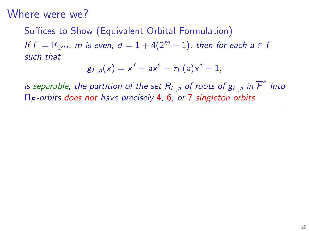#### Suffices to Show (Equivalent Orbital Formulation) If  $F = \mathbb{F}_{2^{2m}}$ , m is even,  $d = 1 + 4(2^m - 1)$ , then for each  $a \in F$ such that

$$
g_{F,a}(x) = x^7 - ax^4 - \tau_F(a)x^3 + 1,
$$

is separable, the partition of the set  $R_{F,a}$  of roots of  $g_{F,a}$  in  $\overline{F}^*$  into  $\Pi_F$ -orbits does not have precisely 4, 6, or 7 singleton orbits.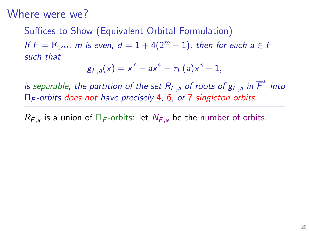### Suffices to Show (Equivalent Orbital Formulation) If  $F = \mathbb{F}_{2^{2m}}$ , m is even,  $d = 1 + 4(2^m - 1)$ , then for each  $a \in F$ such that

$$
g_{F,a}(x) = x^7 - ax^4 - \tau_F(a)x^3 + 1,
$$

is separable, the partition of the set  $R_{F,a}$  of roots of  $g_{F,a}$  in  $\overline{F}^*$  into  $\Pi_F$ -orbits does not have precisely 4, 6, or 7 singleton orbits.

 $R_{F,a}$  is a union of  $\Pi_F$ -orbits: let  $N_{F,a}$  be the number of orbits.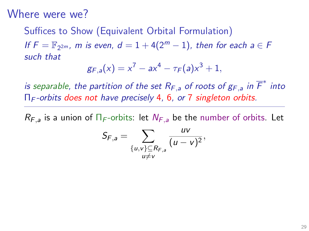# Suffices to Show (Equivalent Orbital Formulation)

If  $F = \mathbb{F}_{2^{2m}}$ , m is even,  $d = 1 + 4(2^m - 1)$ , then for each  $a \in F$ such that

$$
g_{F,a}(x) = x^7 - ax^4 - \tau_F(a)x^3 + 1,
$$

is separable, the partition of the set  $R_{F,a}$  of roots of  $g_{F,a}$  in  $\overline{F}^*$  into  $\Pi_F$ -orbits does not have precisely 4, 6, or 7 singleton orbits.

 $R_{F,a}$  is a union of  $\Pi_F$ -orbits: let  $N_{F,a}$  be the number of orbits. Let

$$
S_{F,a}=\sum_{\substack{\{u,v\}\subseteq R_{F,a}\\u\neq v}}\frac{uv}{(u-v)^2},
$$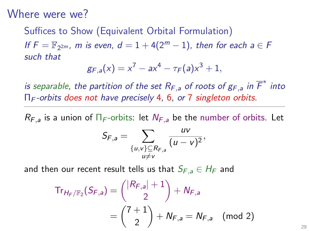# Suffices to Show (Equivalent Orbital Formulation)

If  $F = \mathbb{F}_{2^{2m}}$ , m is even,  $d = 1 + 4(2^m - 1)$ , then for each  $a \in F$ such that

$$
g_{F,a}(x) = x^7 - ax^4 - \tau_F(a)x^3 + 1,
$$

is separable, the partition of the set  $R_{F,a}$  of roots of  $g_{F,a}$  in  $\overline{F}^*$  into  $\Pi_F$ -orbits does not have precisely 4, 6, or 7 singleton orbits.

 $R_{F,a}$  is a union of  $\Pi_F$ -orbits: let  $N_{F,a}$  be the number of orbits. Let

$$
S_{F,a}=\sum_{\substack{\{u,v\}\subseteq R_{F,a}\\u\neq v}}\frac{uv}{(u-v)^2},
$$

and then our recent result tells us that  $S_{F,a} \in H_F$  and

$$
Tr_{H_F/\mathbb{F}_2}(S_{F,a}) = { |R_{F,a}| + 1 \choose 2} + N_{F,a}
$$
  
=  ${7 + 1 \choose 2} + N_{F,a} = N_{F,a}$  (mod 2)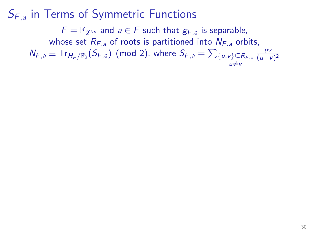$F = \mathbb{F}_{2^{2m}}$  and  $a \in F$  such that  $g_{F,a}$  is separable, whose set  $R_{F,a}$  of roots is partitioned into  $N_{F,a}$  orbits,

 $N_{F,a} \equiv \text{Tr}_{H_F/\mathbb{F}_2}(S_{F,a})$  (mod 2), where  $S_{F,a} = \sum_{\{u,v\} \subseteq R_{F,a}} \frac{uv}{(u-v)}$  $u \neq v$  $(u-v)^2$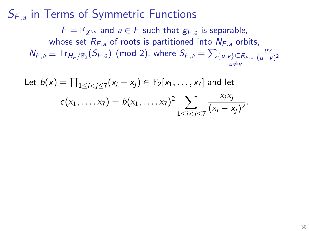$F = \mathbb{F}_{2^{2m}}$  and  $a \in F$  such that  $g_{F,a}$  is separable, whose set  $R_{F,a}$  of roots is partitioned into  $N_{F,a}$  orbits,  $N_{F,a} \equiv \text{Tr}_{H_F/\mathbb{F}_2}(S_{F,a})$  (mod 2), where  $S_{F,a} = \sum_{\{u,v\} \subseteq R_{F,a}} \frac{uv}{(u-v)}$  $u \neq v$  $(u-v)^2$ 

Let 
$$
b(x) = \prod_{1 \le i < j \le 7} (x_i - x_j) \in \mathbb{F}_2[x_1, \ldots, x_7]
$$
 and let  

$$
c(x_1, \ldots, x_7) = b(x_1, \ldots, x_7)^2 \sum_{1 \le i < j \le 7} \frac{x_i x_j}{(x_i - x_j)^2}.
$$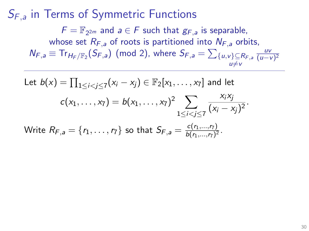$F = \mathbb{F}_{2^{2m}}$  and  $a \in F$  such that  $g_{F,a}$  is separable, whose set  $R_{F,a}$  of roots is partitioned into  $N_{F,a}$  orbits,  $N_{F,a} \equiv \text{Tr}_{H_F/\mathbb{F}_2}(S_{F,a})$  (mod 2), where  $S_{F,a} = \sum_{\{u,v\} \subseteq R_{F,a}} \frac{uv}{(u-v)}$  $u \neq v$  $(u-v)^2$ 

Let 
$$
b(x) = \prod_{1 \le i < j \le 7} (x_i - x_j) \in \mathbb{F}_2[x_1, ..., x_7]
$$
 and let  
\n
$$
c(x_1, ..., x_7) = b(x_1, ..., x_7)^2 \sum_{1 \le i < j \le 7} \frac{x_i x_j}{(x_i - x_j)^2}.
$$
\nWrite  $R_{F,a} = \{r_1, ..., r_7\}$  so that  $S_{F,a} = \frac{c(r_1, ..., r_7)}{b(r_1, ..., r_7)^2}.$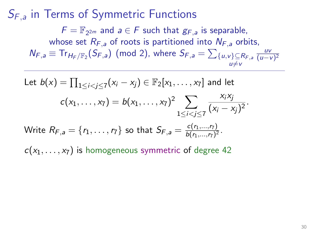$F = \mathbb{F}_{2^{2m}}$  and  $a \in F$  such that  $g_{F,a}$  is separable, whose set  $R_{F,a}$  of roots is partitioned into  $N_{F,a}$  orbits,  $N_{F,a} \equiv \text{Tr}_{H_F/\mathbb{F}_2}(S_{F,a})$  (mod 2), where  $S_{F,a} = \sum_{\{u,v\} \subseteq R_{F,a}} \frac{uv}{(u-v)}$  $u \neq v$  $(u-v)^2$ 

Let 
$$
b(x) = \prod_{1 \le i < j \le 7} (x_i - x_j) \in \mathbb{F}_2[x_1, ..., x_7]
$$
 and let  
\n
$$
c(x_1, ..., x_7) = b(x_1, ..., x_7)^2 \sum_{1 \le i < j \le 7} \frac{x_i x_j}{(x_i - x_j)^2}.
$$
\nWrite  $R_{F,a} = \{r_1, ..., r_7\}$  so that  $S_{F,a} = \frac{c(r_1, ..., r_7)}{b(r_1, ..., r_7)^2}.$ 

 $c(x_1, \ldots, x_7)$  is homogeneous symmetric of degree 42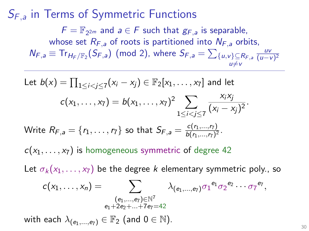$F = \mathbb{F}_{2^{2m}}$  and  $a \in F$  such that  $g_{F,a}$  is separable, whose set  $R_{F,a}$  of roots is partitioned into  $N_{F,a}$  orbits,  $N_{F,a} \equiv \text{Tr}_{H_F/\mathbb{F}_2}(S_{F,a})$  (mod 2), where  $S_{F,a} = \sum_{\{u,v\} \subseteq R_{F,a}} \frac{uv}{(u-v)}$  $u \neq v$  $(u-v)^2$ 

Let 
$$
b(x) = \prod_{1 \le i < j \le 7} (x_i - x_j) \in \mathbb{F}_2[x_1, \ldots, x_7]
$$
 and let  
\n
$$
c(x_1, \ldots, x_7) = b(x_1, \ldots, x_7)^2 \sum_{1 \le i < j \le 7} \frac{x_i x_j}{(x_i - x_j)^2}.
$$
\nWrite  $R_{F,a} = \{r_1, \ldots, r_7\}$  so that  $S_{F,a} = \frac{c(r_1, \ldots, r_7)}{b(r_1, \ldots, r_7)^2}.$   
\n
$$
c(x_1, \ldots, x_7)
$$
 is homogeneous symmetric of degree 42  
\nLet  $\sigma_k(x_1, \ldots, x_7)$  be the degree *k* elementary symmetric poly., so  
\n
$$
c(x_1, \ldots, x_n) = \sum_{\substack{(e_1, \ldots, e_7) \in \mathbb{N}^7 \\ e_1 + 2e_2 + \ldots + 7e_7 = 42}} \lambda_{(e_1, \ldots, e_7)} \sigma_1^{e_1} \sigma_2^{e_2} \cdots \sigma_7^{e_7},
$$

with each  $\lambda_{(e_1,...,e_7)} \in \mathbb{F}_2$  (and  $0 \in \mathbb{N}$ ).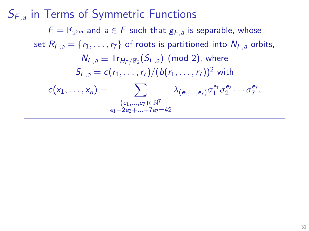# $S_{F,a}$  in Terms of Symmetric Functions  $F = \mathbb{F}_{2^{2m}}$  and  $a \in F$  such that  $g_{F,a}$  is separable, whose set  $R_{F,a} = \{r_1, \ldots, r_7\}$  of roots is partitioned into  $N_{F,a}$  orbits,  $\mathcal{N}_{F,a} \equiv \text{Tr}_{\mathcal{H}_F/\mathbb{F}_2}(\mathcal{S}_{F,a})$  (mod 2), where  $S_{F,a} = c(r_1, \ldots, r_7)/(b(r_1, \ldots, r_7))^2$  with  $c(x_1,\ldots,x_n) = \sum_{\substack{\lambda_{(e_1,\ldots,e_7)}}} \lambda_{(e_1,\ldots,e_7)} \sigma_1^{e_1} \sigma_2^{e_2} \cdots \sigma_7^{e_7},$  $(e_1,...,e_7) \in \mathbb{N}^7$  $e_1+2e_2+\sqrt{1+7e_7}=42$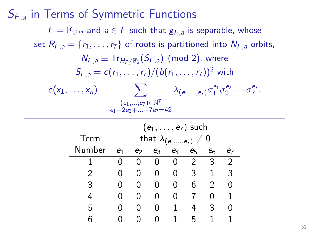$S_{F,a}$  in Terms of Symmetric Functions  $F = \mathbb{F}_{2^{2m}}$  and  $a \in F$  such that  $g_{F,a}$  is separable, whose set  $R_{F,a} = \{r_1, \ldots, r_7\}$  of roots is partitioned into  $N_{F,a}$  orbits,  $\mathcal{N}_{F,a} \equiv \text{Tr}_{\mathcal{H}_F/\mathbb{F}_2}(\mathcal{S}_{F,a})$  (mod 2), where  $S_{F,a} = c(r_1, \ldots, r_7)/(b(r_1, \ldots, r_7))^2$  with  $c(x_1,\ldots,x_n) = \sum_{\substack{\lambda_{(e_1,\ldots,e_7)}}} \lambda_{(e_1,\ldots,e_7)} \sigma_1^{e_1} \sigma_2^{e_2} \cdots \sigma_7^{e_7},$  $(e_1,...,e_7) \in \mathbb{N}^7$  $e_1+2e_2+\sqrt{+7e_7}=42$ 

|        |                | $(e_1, \ldots, e_7)$ such                 |   |              |   |   |   |  |  |  |  |  |
|--------|----------------|-------------------------------------------|---|--------------|---|---|---|--|--|--|--|--|
| Term   |                | that $\lambda_{(e_1,,e_7)} \neq 0$        |   |              |   |   |   |  |  |  |  |  |
| Number | e <sub>1</sub> | $e_4$<br>e <sub>6</sub><br>e5<br>eз<br>e2 |   |              |   |   |   |  |  |  |  |  |
|        |                |                                           | 0 |              | 2 | 3 | 2 |  |  |  |  |  |
| 2      |                |                                           | 0 | 0            | 3 |   | 3 |  |  |  |  |  |
| 3      |                |                                           | 0 | $\mathbf{0}$ | 6 | 2 | 0 |  |  |  |  |  |
|        |                |                                           | 0 |              |   |   |   |  |  |  |  |  |
| 5      |                |                                           | 0 | 1            | 4 | 3 |   |  |  |  |  |  |
|        |                |                                           |   |              | h |   |   |  |  |  |  |  |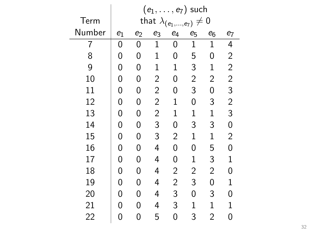|        |       | $(e_1,\ldots,e_7)$ such |                           |                  |                |                  |                |  |  |
|--------|-------|-------------------------|---------------------------|------------------|----------------|------------------|----------------|--|--|
| Term   |       |                         | that $\lambda_{(e_1, .)}$ |                  | $,e_7)$        | $\boldsymbol{0}$ |                |  |  |
| Number | $e_1$ | $e_2$                   | e3                        | $\mathfrak{e}_4$ | $e_5$          | $e_6$            | $\mathbf{e}_7$ |  |  |
| 7      | 0     | 0                       | $\mathbf{1}$              | 0                | $\mathbf{1}$   | $\mathbf 1$      | 4              |  |  |
| 8      | 0     | 0                       | $\mathbf 1$               | 0                | 5              | 0                | $\overline{c}$ |  |  |
| 9      | 0     | 0                       | $\mathbf 1$               | $\mathbf 1$      | 3              | $\mathbf 1$      | $\overline{c}$ |  |  |
| 10     | 0     | 0                       | $\overline{c}$            | 0                | $\overline{c}$ | $\overline{c}$   | $\overline{c}$ |  |  |
| 11     | 0     | 0                       | $\sqrt{2}$                | 0                | 3              | 0                | 3              |  |  |
| 12     | 0     | 0                       | $\sqrt{2}$                | $\mathbf{1}$     | 0              | 3                | $\overline{c}$ |  |  |
| 13     | 0     | 0                       | $\sqrt{2}$                | $\mathbf{1}$     | 1              | $\mathbf{1}$     | 3              |  |  |
| 14     | 0     | 0                       | 3                         | 0                | 3              | 3                | 0              |  |  |
| 15     | 0     | 0                       | 3                         | $\overline{c}$   | $\mathbf 1$    | $\mathbf 1$      | 2              |  |  |
| 16     | 0     | 0                       | 4                         | 0                | 0              | 5                | 0              |  |  |
| 17     | 0     | 0                       | 4                         | 0                | 1              | 3                | 1              |  |  |
| 18     | 0     | 0                       | 4                         | $\overline{c}$   | $\overline{c}$ | $\overline{c}$   | 0              |  |  |
| 19     | 0     | 0                       | 4                         | $\overline{c}$   | 3              | 0                | 1              |  |  |
| 20     | 0     | 0                       | 4                         | 3                | 0              | 3                | 0              |  |  |
| 21     | 0     | 0                       | 4                         | 3                | 1              | $\mathbf 1$      | 1              |  |  |
| 22     | 0     | 0                       | 5                         | 0                | 3              | $\overline{2}$   | 0              |  |  |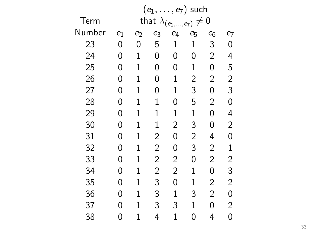|        | $(e_1,\ldots,e_7)$ such |              |                        |                |                |                  |                         |  |  |  |  |  |
|--------|-------------------------|--------------|------------------------|----------------|----------------|------------------|-------------------------|--|--|--|--|--|
| Term   |                         |              | that $\lambda_{(e_1)}$ |                | $,e_{7})$      | $\boldsymbol{0}$ |                         |  |  |  |  |  |
| Number | $e_1$                   | $e_2$        | $e_6$                  | e <sub>7</sub> |                |                  |                         |  |  |  |  |  |
| 23     | 0                       | 0            | 5                      | $\mathbf 1$    | 1              | 3                | 0                       |  |  |  |  |  |
| 24     | 0                       | $\mathbf{1}$ | 0                      | 0              | 0              | $\overline{2}$   | 4                       |  |  |  |  |  |
| 25     | 0                       | $\mathbf{1}$ | 0                      | 0              | $\mathbf 1$    | 0                | 5                       |  |  |  |  |  |
| 26     | 0                       | $\mathbf{1}$ | 0                      | $\mathbf 1$    | $\overline{c}$ | $\overline{2}$   | $\overline{c}$          |  |  |  |  |  |
| 27     | 0                       | $\mathbf 1$  | 0                      | $\mathbf 1$    | 3              | 0                | 3                       |  |  |  |  |  |
| 28     | 0                       | $\mathbf{1}$ | $\mathbf 1$            | 0              | 5              | $\overline{2}$   | 0                       |  |  |  |  |  |
| 29     | 0                       | $\mathbf{1}$ | $\mathbf 1$            | $\mathbf 1$    | 1              | 0                | 4                       |  |  |  |  |  |
| 30     | 0                       | $\mathbf{1}$ | $\mathbf 1$            | $\overline{c}$ | 3              | 0                | $\overline{c}$          |  |  |  |  |  |
| 31     | 0                       | $\mathbf{1}$ | $\overline{c}$         | 0              | $\overline{c}$ | 4                | 0                       |  |  |  |  |  |
| 32     | 0                       | $\mathbf{1}$ | $\overline{c}$         | 0              | 3              | $\overline{c}$   | $\mathbf{1}$            |  |  |  |  |  |
| 33     | 0                       | $\mathbf{1}$ | $\overline{2}$         | $\overline{2}$ | 0              | $\overline{2}$   | $\overline{\mathbf{c}}$ |  |  |  |  |  |
| 34     | 0                       | $\mathbf 1$  | $\overline{2}$         | $\overline{2}$ | $\mathbf 1$    | 0                | 3                       |  |  |  |  |  |
| 35     | 0                       | 1            | 3                      | 0              | $\mathbf 1$    | $\overline{2}$   | $\overline{2}$          |  |  |  |  |  |
| 36     | 0                       | $\mathbf{1}$ | 3                      | $\mathbf 1$    | 3              | $\overline{2}$   | 0                       |  |  |  |  |  |
| 37     | 0                       | 1            | 3                      | 3              | $\mathbf 1$    | 0                | $\overline{2}$          |  |  |  |  |  |
| 38     | 0                       | $\mathbf 1$  | 4                      | $\mathbf{1}$   | 0              | 4                | $\overline{0}$          |  |  |  |  |  |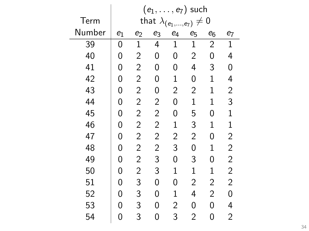|        |       |                |                        |                | $(e_1,\ldots,e_7)$ such |                |                |
|--------|-------|----------------|------------------------|----------------|-------------------------|----------------|----------------|
| Term   |       |                | that $\lambda_{(e_1)}$ |                | $.,e_7)$                | $\mathbf 0$    |                |
| Number | $e_1$ | $e_2$          | $e_6$                  | e7             |                         |                |                |
| 39     | 0     | $\mathbf{1}$   | 4                      | $\mathbf 1$    | $\mathbf 1$             | $\overline{2}$ | $\mathbf 1$    |
| 40     | 0     | $\overline{c}$ | 0                      | 0              | $\overline{2}$          | 0              | 4              |
| 41     | 0     | $\overline{c}$ | 0                      | 0              | 4                       | 3              | 0              |
| 42     | 0     | $\overline{c}$ | 0                      | $\mathbf{1}$   | 0                       | $\mathbf 1$    | 4              |
| 43     | 0     | $\overline{c}$ | 0                      | $\overline{c}$ | $\overline{c}$          | 1              | $\overline{c}$ |
| 44     | 0     | $\overline{c}$ | $\overline{c}$         | 0              | 1                       | $\mathbf 1$    | 3              |
| 45     | 0     | $\overline{c}$ | $\overline{c}$         | 0              | 5                       | 0              | $\mathbf{1}$   |
| 46     | 0     | $\overline{c}$ | $\overline{c}$         | $\mathbf{1}$   | 3                       | $\mathbf 1$    | $\mathbf 1$    |
| 47     | 0     | $\overline{c}$ | $\overline{c}$         | $\overline{c}$ | $\overline{c}$          | 0              | $\overline{c}$ |
| 48     | 0     | $\overline{c}$ | $\overline{c}$         | 3              | 0                       | $\mathbf 1$    | $\overline{c}$ |
| 49     | 0     | $\overline{c}$ | 3                      | 0              | 3                       | 0              | $\overline{c}$ |
| 50     | 0     | $\overline{c}$ | 3                      | $\mathbf 1$    | $\mathbf 1$             | $\mathbf 1$    | $\overline{c}$ |
| 51     | 0     | 3              | 0                      | 0              | 2                       | $\overline{c}$ | $\overline{2}$ |
| 52     | 0     | 3              | 0                      | $\mathbf 1$    | 4                       | $\overline{2}$ | 0              |
| 53     | 0     | 3              | 0                      | $\overline{2}$ | 0                       | 0              | 4              |
| 54     | 0     | 3              | 0                      | 3              | $\overline{2}$          | 0              | $\overline{2}$ |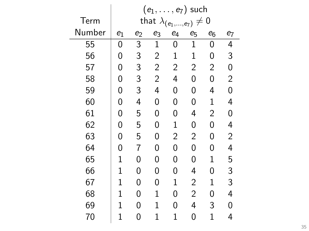|        |             |                |                | $(e_1,\ldots,e_7)$ such          |             |                |                |
|--------|-------------|----------------|----------------|----------------------------------|-------------|----------------|----------------|
| Term   |             |                |                | that $\lambda_{(e_1,,e_7)} \neq$ |             | $\mathbf 0$    |                |
| Number | $e_1$       | $e_2$          | $e_6$          | e7                               |             |                |                |
| 55     | 0           | $\overline{3}$ | $\mathbf 1$    | 0                                | $\mathbf 1$ | 0              | 4              |
| 56     | 0           | 3              | $\overline{2}$ | $\mathbf 1$                      | $\mathbf 1$ | 0              | 3              |
| 57     | 0           | 3              | $\overline{2}$ | $\overline{2}$                   | 2           | $\overline{2}$ | 0              |
| 58     | 0           | 3              | $\overline{2}$ | 4                                | 0           | 0              | $\overline{2}$ |
| 59     | 0           | 3              | 4              | 0                                | 0           | 4              | 0              |
| 60     | 0           | 4              | 0              | 0                                | 0           | $\mathbf 1$    | 4              |
| 61     | 0           | 5              | 0              | 0                                | 4           | $\overline{2}$ | 0              |
| 62     | 0           | 5              | 0              | $\mathbf 1$                      | 0           | 0              | 4              |
| 63     | 0           | 5              | 0              | $\overline{2}$                   | 2           | 0              | $\overline{c}$ |
| 64     | 0           | 7              | 0              | 0                                | 0           | 0              | 4              |
| 65     | 1           | 0              | 0              | 0                                | 0           | 1              | 5              |
| 66     | $\mathbf 1$ | 0              | 0              | 0                                | 4           | 0              | 3              |
| 67     | 1           | 0              | 0              | 1                                | 2           | 1              | 3              |
| 68     | $\mathbf 1$ | 0              | $\mathbf 1$    | 0                                | 2           | 0              | 4              |
| 69     | $\mathbf 1$ | 0              | $\mathbf 1$    | 0                                | 4           | 3              | 0              |
| 70     | $\mathbf 1$ | 0              | 1              | 1                                | 0           | $\mathbf 1$    | 4              |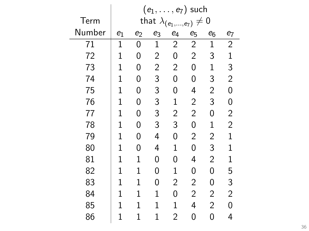|        | $(e_1,\ldots,e_7)$ such |                                                    |                |                |                |                |                |  |  |  |  |  |
|--------|-------------------------|----------------------------------------------------|----------------|----------------|----------------|----------------|----------------|--|--|--|--|--|
| Term   |                         | that $\lambda_{(e_1)}$<br>$\mathbf 0$<br>$,e_{7})$ |                |                |                |                |                |  |  |  |  |  |
| Number | $e_1$                   | $e_2$                                              | e <sub>3</sub> | $e_4$          | $e_5$          | $e_6$          | e7             |  |  |  |  |  |
| 71     | $\mathbf 1$             | 0                                                  | $\mathbf 1$    | $\overline{c}$ | $\overline{2}$ | $\mathbf 1$    | $\overline{2}$ |  |  |  |  |  |
| 72     | $\mathbf 1$             | 0                                                  | $\overline{c}$ | 0              | $\overline{2}$ | 3              | $\mathbf{1}$   |  |  |  |  |  |
| 73     | 1                       | 0                                                  | $\overline{c}$ | 2              | 0              | $\mathbf 1$    | 3              |  |  |  |  |  |
| 74     | $\mathbf 1$             | 0                                                  | 3              | 0              | 0              | 3              | $\overline{c}$ |  |  |  |  |  |
| 75     | $\mathbf 1$             | 0                                                  | 3              | 0              | 4              | $\overline{c}$ | 0              |  |  |  |  |  |
| 76     | $\mathbf 1$             | 0                                                  | 3              | $\mathbf 1$    | $\overline{c}$ | 3              | $\mathbf{0}$   |  |  |  |  |  |
| 77     | $\mathbf 1$             | 0                                                  | 3              | $\overline{c}$ | $\overline{2}$ | 0              | $\overline{c}$ |  |  |  |  |  |
| 78     | $\mathbf 1$             | 0                                                  | 3              | 3              | 0              | $\mathbf 1$    | $\overline{2}$ |  |  |  |  |  |
| 79     | $\mathbf 1$             | 0                                                  | 4              | 0              | $\overline{c}$ | $\overline{c}$ | $\mathbf 1$    |  |  |  |  |  |
| 80     | $\mathbf 1$             | 0                                                  | 4              | $\mathbf 1$    | 0              | 3              | $\mathbf 1$    |  |  |  |  |  |
| 81     | 1                       | 1                                                  | 0              | 0              | 4              | $\overline{2}$ | 1              |  |  |  |  |  |
| 82     | $\mathbf 1$             | 1                                                  | 0              | 1              | 0              | 0              | 5              |  |  |  |  |  |
| 83     | $\mathbf 1$             | $\mathbf{1}$                                       | 0              | $\overline{2}$ | $\overline{2}$ | 0              | 3              |  |  |  |  |  |
| 84     | $\mathbf 1$             | $\mathbf{1}$                                       | $\mathbf 1$    | 0              | $\overline{2}$ | 2              | $\overline{2}$ |  |  |  |  |  |
| 85     | $\mathbf 1$             | $\mathbf 1$                                        | $\mathbf 1$    | $\mathbf 1$    | 4              | $\overline{2}$ | 0              |  |  |  |  |  |
| 86     | $\mathbf 1$             | $\mathbf 1$                                        | 1              | $\overline{2}$ | 0              | 0              | 4              |  |  |  |  |  |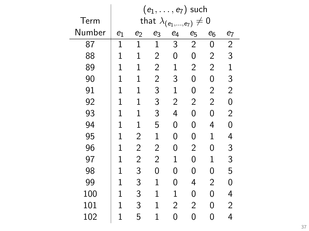|        | $(e_1,\ldots,e_7)$ such |                |                |                             |                |                |                |  |  |  |  |  |
|--------|-------------------------|----------------|----------------|-----------------------------|----------------|----------------|----------------|--|--|--|--|--|
| Term   |                         |                |                | that $\lambda_{(e_1,,e_7)}$ | $\neq$         | $\mathbf 0$    |                |  |  |  |  |  |
| Number | $e_1$                   | $e_2$          | e <sub>3</sub> | $e_4$                       | $e_5$          | $e_6$          | $e_7$          |  |  |  |  |  |
| 87     | $\mathbf{1}$            | $\mathbf 1$    | $\mathbf 1$    | 3                           | $\overline{2}$ | 0              | $\overline{2}$ |  |  |  |  |  |
| 88     | $\mathbf 1$             | $\mathbf{1}$   | $\overline{c}$ | 0                           | 0              | $\overline{c}$ | 3              |  |  |  |  |  |
| 89     | $\mathbf 1$             | $\mathbf{1}$   | $\overline{2}$ | $\mathbf 1$                 | $\overline{2}$ | $\overline{2}$ | $\mathbf{1}$   |  |  |  |  |  |
| 90     | $\mathbf 1$             | $\mathbf{1}$   | $\overline{c}$ | 3                           | 0              | 0              | 3              |  |  |  |  |  |
| 91     | $\mathbf 1$             | $\mathbf{1}$   | 3              | $\mathbf 1$                 | 0              | $\overline{2}$ | $\overline{2}$ |  |  |  |  |  |
| 92     | $\mathbf 1$             | $\mathbf{1}$   | 3              | $\overline{2}$              | 2              | $\overline{2}$ | 0              |  |  |  |  |  |
| 93     | $\mathbf 1$             | $\mathbf{1}$   | 3              | 4                           | 0              | 0              | $\overline{c}$ |  |  |  |  |  |
| 94     | $\mathbf 1$             | $\mathbf{1}$   | 5              | 0                           | 0              | 4              | 0              |  |  |  |  |  |
| 95     | $\mathbf 1$             | $\overline{c}$ | 1              | 0                           | 0              | $\mathbf 1$    | 4              |  |  |  |  |  |
| 96     | $\mathbf 1$             | $\overline{c}$ | $\overline{c}$ | 0                           | $\overline{2}$ | 0              | 3              |  |  |  |  |  |
| 97     | 1                       | $\overline{2}$ | $\overline{2}$ | $\mathbf 1$                 | 0              | $\mathbf 1$    | 3              |  |  |  |  |  |
| 98     | $\mathbf 1$             | 3              | 0              | 0                           | 0              | 0              | 5              |  |  |  |  |  |
| 99     | $\mathbf 1$             | 3              | $\mathbf 1$    | 0                           | 4              | 2              | 0              |  |  |  |  |  |
| 100    | $\mathbf 1$             | 3              | $\mathbf 1$    | $\mathbf 1$                 | 0              | 0              | 4              |  |  |  |  |  |
| 101    | $\mathbf 1$             | 3              | 1              | $\overline{2}$              | 2              | 0              | 2              |  |  |  |  |  |
| 102    | $\mathbf 1$             | 5              | 1              | 0                           | 0              | 0              | 4              |  |  |  |  |  |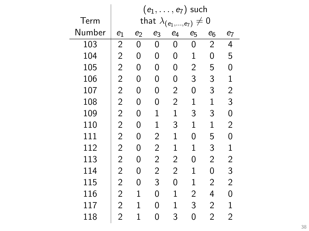|        |                | $(e_1,\ldots,e_7)$ such |                                   |                  |             |                |                    |  |  |  |
|--------|----------------|-------------------------|-----------------------------------|------------------|-------------|----------------|--------------------|--|--|--|
| Term   |                |                         | that $\lambda_{(e_1,\ldots,e_7)}$ |                  | $\neq 0$    |                |                    |  |  |  |
| Number | $e_1$          | $\mathbf{e}_2$          | $\mathbf{e}_3$                    | $\mathfrak{e}_4$ | $e_5$       | $e_6$          | $\boldsymbol{e}_7$ |  |  |  |
| 103    | 2              | 0                       | 0                                 | 0                | 0           | $\overline{2}$ | 4                  |  |  |  |
| 104    | $\overline{2}$ | 0                       | 0                                 | 0                | 1           | 0              | 5                  |  |  |  |
| 105    | $\overline{2}$ | 0                       | 0                                 | 0                | 2           | 5              | 0                  |  |  |  |
| 106    | 2              | 0                       | 0                                 | 0                | 3           | 3              | $\mathbf{1}$       |  |  |  |
| 107    | $\overline{c}$ | 0                       | 0                                 | $\overline{2}$   | 0           | 3              | $\overline{c}$     |  |  |  |
| 108    | $\overline{c}$ | 0                       | 0                                 | $\overline{c}$   | 1           | $\mathbf{1}$   | 3                  |  |  |  |
| 109    | $\overline{c}$ | 0                       | 1                                 | $\mathbf 1$      | 3           | 3              | 0                  |  |  |  |
| 110    | $\overline{c}$ | 0                       | 1                                 | 3                | 1           | 1              | $\overline{c}$     |  |  |  |
| 111    | $\overline{c}$ | 0                       | $\overline{c}$                    | 1                | 0           | 5              | 0                  |  |  |  |
| 112    | $\overline{c}$ | 0                       | $\overline{c}$                    | 1                | 1           | 3              | $\mathbf{1}$       |  |  |  |
| 113    | $\overline{c}$ | 0                       | $\overline{2}$                    | $\overline{2}$   | 0           | $\overline{2}$ | 2                  |  |  |  |
| 114    | $\overline{2}$ | 0                       | 2                                 | $\overline{2}$   | $\mathbf 1$ | 0              | 3                  |  |  |  |
| 115    | 2              | 0                       | 3                                 | 0                | $\mathbf 1$ | 2              | 2                  |  |  |  |
| 116    | 2              | $\mathbf{1}$            | 0                                 | $\mathbf 1$      | 2           | 4              | 0                  |  |  |  |
| 117    | 2              | $\mathbf{1}$            | 0                                 | 1                | 3           | $\overline{2}$ | 1                  |  |  |  |
| 118    | 2              | $\mathbf{1}$            | 0                                 | 3                | 0           | 2              | $\overline{2}$     |  |  |  |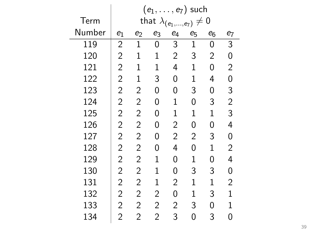|        | $(e_1,\ldots,e_7)$ such |                |                |                                   |                |                |                |  |
|--------|-------------------------|----------------|----------------|-----------------------------------|----------------|----------------|----------------|--|
| Term   |                         |                |                | that $\lambda_{(e_1,\ldots,e_7)}$ | $\neq 0$       |                |                |  |
| Number | $e_1$                   | $e_2$          | e3             | $\mathfrak{e}_4$                  | $e_5$          | $e_6$          | e7             |  |
| 119    | 2                       | $\mathbf{1}$   | 0              | 3                                 | $\mathbf{1}$   | 0              | 3              |  |
| 120    | $\overline{c}$          | $\mathbf{1}$   | $\mathbf 1$    | $\overline{c}$                    | 3              | $\overline{c}$ | 0              |  |
| 121    | $\overline{2}$          | $\mathbf{1}$   | $\mathbf{1}$   | 4                                 | $\mathbf{1}$   | 0              | 2              |  |
| 122    | $\overline{2}$          | $\mathbf{1}$   | 3              | 0                                 | $\mathbf 1$    | 4              | 0              |  |
| 123    | $\overline{2}$          | $\overline{2}$ | 0              | 0                                 | 3              | 0              | 3              |  |
| 124    | $\overline{2}$          | 2              | 0              | $\mathbf{1}$                      | 0              | 3              | $\overline{c}$ |  |
| 125    | $\overline{c}$          | $\overline{c}$ | 0              | $\mathbf{1}$                      | 1              | $\mathbf{1}$   | 3              |  |
| 126    | $\overline{c}$          | $\overline{c}$ | 0              | $\overline{c}$                    | 0              | 0              | 4              |  |
| 127    | $\overline{c}$          | $\overline{c}$ | 0              | $\overline{c}$                    | $\overline{c}$ | 3              | 0              |  |
| 128    | $\overline{c}$          | $\overline{c}$ | 0              | 4                                 | 0              | $\mathbf 1$    | $\overline{c}$ |  |
| 129    | $\overline{2}$          | 2              | 1              | 0                                 | 1              | 0              | 4              |  |
| 130    | $\overline{c}$          | $\overline{2}$ | 1              | 0                                 | 3              | 3              | 0              |  |
| 131    | $\overline{2}$          | 2              | $\mathbf 1$    | $\overline{2}$                    | $\mathbf{1}$   | $\mathbf{1}$   | 2              |  |
| 132    | 2                       | 2              | 2              | 0                                 | 1              | 3              | $\mathbf{1}$   |  |
| 133    | 2                       | 2              | 2              | $\overline{2}$                    | 3              | 0              | 1              |  |
| 134    | $\overline{2}$          | $\overline{2}$ | $\overline{2}$ | 3                                 | 0              | 3              | 0              |  |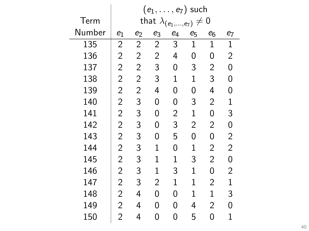|        | $(e_1,\ldots,e_7)$ such |                |                |                                   |                |                |                    |  |  |
|--------|-------------------------|----------------|----------------|-----------------------------------|----------------|----------------|--------------------|--|--|
| Term   |                         |                |                | that $\lambda_{(e_1,\ldots,e_7)}$ | $\neq$         | $\mathbf 0$    |                    |  |  |
| Number | $e_1$                   | $e_2$          | e3             | $\mathfrak{e}_4$                  | $e_5$          | $e_6$          | $\boldsymbol{e}_7$ |  |  |
| 135    | $\overline{2}$          | $\overline{c}$ | $\overline{2}$ | 3                                 | $\mathbf{1}$   | $\mathbf 1$    | $\mathbf{1}$       |  |  |
| 136    | $\overline{2}$          | $\overline{2}$ | $\overline{2}$ | 4                                 | 0              | 0              | $\overline{2}$     |  |  |
| 137    | $\overline{2}$          | $\overline{2}$ | 3              | 0                                 | 3              | $\overline{2}$ | 0                  |  |  |
| 138    | $\overline{2}$          | 2              | 3              | $\mathbf 1$                       | $\mathbf 1$    | 3              | 0                  |  |  |
| 139    | $\overline{2}$          | $\overline{c}$ | 4              | 0                                 | 0              | 4              | 0                  |  |  |
| 140    | $\overline{c}$          | 3              | 0              | 0                                 | 3              | $\overline{c}$ | $\mathbf 1$        |  |  |
| 141    | $\overline{c}$          | 3              | 0              | $\overline{c}$                    | $\mathbf 1$    | 0              | 3                  |  |  |
| 142    | $\overline{c}$          | 3              | 0              | 3                                 | $\overline{c}$ | $\overline{c}$ | 0                  |  |  |
| 143    | $\overline{c}$          | 3              | 0              | 5                                 | 0              | 0              | 2                  |  |  |
| 144    | $\overline{c}$          | 3              | 1              | 0                                 | 1              | $\overline{c}$ | $\overline{c}$     |  |  |
| 145    | $\overline{2}$          | 3              | 1              | $\mathbf{1}$                      | 3              | $\overline{2}$ | 0                  |  |  |
| 146    | $\overline{2}$          | 3              | $\mathbf{1}$   | 3                                 | $\mathbf{1}$   | 0              | 2                  |  |  |
| 147    | $\overline{2}$          | 3              | 2              | $\mathbf 1$                       | $\mathbf 1$    | $\overline{2}$ | $\mathbf{1}$       |  |  |
| 148    | $\overline{2}$          | 4              | 0              | 0                                 | 1              | $\mathbf 1$    | 3                  |  |  |
| 149    | $\overline{2}$          | 4              | 0              | 0                                 | 4              | $\overline{2}$ | 0                  |  |  |
| 150    | 2                       | 4              | 0              | 0                                 | 5              | 0              | 1                  |  |  |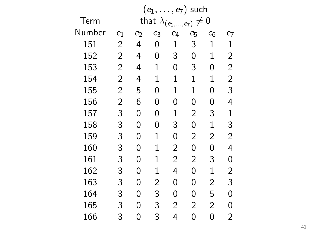|        | $(e_1, \ldots, e_7)$ such |       |             |                                   |                |                |                    |  |
|--------|---------------------------|-------|-------------|-----------------------------------|----------------|----------------|--------------------|--|
| Term   |                           |       |             | that $\lambda_{(e_1,,e_7)}\neq 0$ |                |                |                    |  |
| Number | $e_1$                     | $e_2$ | e3          | $e_4$                             | $e_5$          | $e_6$          | $\boldsymbol{e}_7$ |  |
| 151    | $\overline{c}$            | 4     | 0           | $\mathbf{1}$                      | 3              | $\mathbf{1}$   | $\mathbf{1}$       |  |
| 152    | 2                         | 4     | 0           | 3                                 | 0              | $\mathbf{1}$   | $\overline{c}$     |  |
| 153    | $\overline{2}$            | 4     | $\mathbf 1$ | 0                                 | 3              | 0              | $\overline{2}$     |  |
| 154    | $\overline{c}$            | 4     | $\mathbf 1$ | $\mathbf 1$                       | $\mathbf 1$    | $\mathbf 1$    | $\overline{c}$     |  |
| 155    | $\overline{2}$            | 5     | 0           | 1                                 | 1              | 0              | 3                  |  |
| 156    | $\overline{c}$            | 6     | 0           | 0                                 | 0              | 0              | 4                  |  |
| 157    | 3                         | 0     | 0           | 1                                 | $\overline{2}$ | 3              | $\mathbf 1$        |  |
| 158    | 3                         | 0     | 0           | 3                                 | 0              | $\mathbf 1$    | 3                  |  |
| 159    | 3                         | 0     | $\mathbf 1$ | 0                                 | 2              | $\overline{2}$ | $\overline{c}$     |  |
| 160    | 3                         | 0     | 1           | $\overline{2}$                    | 0              | 0              | 4                  |  |
| 161    | 3                         | 0     | 1           | 2                                 | 2              | 3              | 0                  |  |
| 162    | 3                         | 0     | 1           | 4                                 | 0              | $\mathbf 1$    | $\overline{c}$     |  |
| 163    | 3                         | 0     | 2           | 0                                 | 0              | 2              | 3                  |  |
| 164    | 3                         | 0     | 3           | 0                                 | 0              | 5              | 0                  |  |
| 165    | 3                         | 0     | 3           | 2                                 | 2              | $\overline{2}$ | 0                  |  |
| 166    | 3                         | 0     | 3           | 4                                 | 0              | 0              | 2                  |  |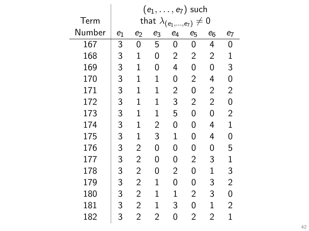|        | $(e_1,\ldots,e_7)$ such |                |                |                                   |       |                |                |  |
|--------|-------------------------|----------------|----------------|-----------------------------------|-------|----------------|----------------|--|
| Term   |                         |                |                | that $\lambda_{(e_1,,e_7)}\neq 0$ |       |                |                |  |
| Number | $e_1$                   | $e_2$          | e3             | $e_4$                             | $e_5$ | $e_6$          | $e_7$          |  |
| 167    | 3                       | 0              | 5              | 0                                 | 0     | 4              | 0              |  |
| 168    | 3                       | $\mathbf{1}$   | 0              | $\overline{c}$                    | 2     | $\overline{c}$ | 1              |  |
| 169    | 3                       | $\mathbf{1}$   | 0              | 4                                 | 0     | 0              | 3              |  |
| 170    | 3                       | $\mathbf{1}$   | $\mathbf 1$    | 0                                 | 2     | 4              | 0              |  |
| 171    | 3                       | $\mathbf{1}$   | 1              | $\overline{c}$                    | 0     | $\overline{c}$ | $\overline{c}$ |  |
| 172    | 3                       | $\mathbf{1}$   | $\mathbf 1$    | 3                                 | 2     | $\overline{2}$ | 0              |  |
| 173    | 3                       | $\mathbf{1}$   | $\mathbf 1$    | 5                                 | 0     | 0              | $\overline{c}$ |  |
| 174    | 3                       | $\mathbf{1}$   | $\overline{c}$ | 0                                 | 0     | 4              | $\mathbf{1}$   |  |
| 175    | 3                       | $\mathbf{1}$   | 3              | 1                                 | 0     | 4              | 0              |  |
| 176    | 3                       | $\overline{c}$ | 0              | 0                                 | 0     | 0              | 5              |  |
| 177    | 3                       | $\overline{c}$ | 0              | 0                                 | 2     | 3              | $\mathbf{1}$   |  |
| 178    | 3                       | $\overline{c}$ | 0              | $\overline{2}$                    | 0     | $\mathbf 1$    | 3              |  |
| 179    | 3                       | 2              | 1              | 0                                 | 0     | 3              | $\overline{c}$ |  |
| 180    | 3                       | 2              | 1              | $\mathbf 1$                       | 2     | 3              | 0              |  |
| 181    | 3                       | 2              | 1              | 3                                 | 0     | $\mathbf{1}$   | 2              |  |
| 182    | 3                       | $\overline{2}$ | 2              | 0                                 | 2     | $\overline{2}$ | $\mathbf 1$    |  |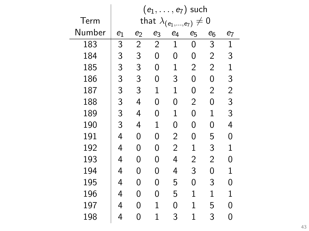|        |                                                                                                                                                                                                                                                                                                                                                                                                                                                                                                                                                                  | $(e_1,\ldots,e_7)$ such |             |   |             |                |                    |  |  |  |  |
|--------|------------------------------------------------------------------------------------------------------------------------------------------------------------------------------------------------------------------------------------------------------------------------------------------------------------------------------------------------------------------------------------------------------------------------------------------------------------------------------------------------------------------------------------------------------------------|-------------------------|-------------|---|-------------|----------------|--------------------|--|--|--|--|
| Term   | $\mathbf 0$<br>that $\lambda_{(e_1,\ldots,e_7)}$<br>$\neq$<br>$e_4$<br>$e_3$<br>$e_1$<br>$e_2$<br>$e_5$<br>$e_6$<br>3<br>3<br>$\overline{c}$<br>$\overline{2}$<br>$\mathbf{1}$<br>0<br>3<br>3<br>0<br>0<br>$\overline{2}$<br>0<br>3<br>3<br>$\overline{2}$<br>$\mathbf 1$<br>2<br>0<br>3<br>3<br>3<br>0<br>0<br>0<br>3<br>3<br>$\mathbf 1$<br>$\mathbf 1$<br>$\overline{2}$<br>0<br>3<br>$\overline{2}$<br>0<br>4<br>0<br>0<br>3<br>$\mathbf 1$<br>4<br>0<br>$\mathbf 1$<br>0<br>3<br>4<br>$\mathbf 1$<br>0<br>0<br>0<br>$\overline{2}$<br>4<br>0<br>0<br>0<br>5 |                         |             |   |             |                |                    |  |  |  |  |
| Number |                                                                                                                                                                                                                                                                                                                                                                                                                                                                                                                                                                  |                         |             |   |             |                | $\boldsymbol{e}_7$ |  |  |  |  |
| 183    |                                                                                                                                                                                                                                                                                                                                                                                                                                                                                                                                                                  |                         |             |   |             |                | 1                  |  |  |  |  |
| 184    |                                                                                                                                                                                                                                                                                                                                                                                                                                                                                                                                                                  |                         |             |   |             |                | 3                  |  |  |  |  |
| 185    |                                                                                                                                                                                                                                                                                                                                                                                                                                                                                                                                                                  |                         |             |   |             |                | $\mathbf{1}$       |  |  |  |  |
| 186    |                                                                                                                                                                                                                                                                                                                                                                                                                                                                                                                                                                  |                         |             |   |             |                | 3                  |  |  |  |  |
| 187    |                                                                                                                                                                                                                                                                                                                                                                                                                                                                                                                                                                  |                         |             |   |             |                | $\overline{c}$     |  |  |  |  |
| 188    |                                                                                                                                                                                                                                                                                                                                                                                                                                                                                                                                                                  |                         |             |   |             |                | 3                  |  |  |  |  |
| 189    |                                                                                                                                                                                                                                                                                                                                                                                                                                                                                                                                                                  |                         |             |   |             |                | 3                  |  |  |  |  |
| 190    |                                                                                                                                                                                                                                                                                                                                                                                                                                                                                                                                                                  |                         |             |   |             |                | 4                  |  |  |  |  |
| 191    |                                                                                                                                                                                                                                                                                                                                                                                                                                                                                                                                                                  |                         |             |   |             |                | 0                  |  |  |  |  |
| 192    | 4                                                                                                                                                                                                                                                                                                                                                                                                                                                                                                                                                                | 0                       | 0           | 2 | $\mathbf 1$ | 3              | $\mathbf{1}$       |  |  |  |  |
| 193    | 4                                                                                                                                                                                                                                                                                                                                                                                                                                                                                                                                                                | 0                       | 0           | 4 | 2           | $\overline{2}$ | 0                  |  |  |  |  |
| 194    | 4                                                                                                                                                                                                                                                                                                                                                                                                                                                                                                                                                                | 0                       | 0           | 4 | 3           | 0              | $\mathbf{1}$       |  |  |  |  |
| 195    | 4                                                                                                                                                                                                                                                                                                                                                                                                                                                                                                                                                                | 0                       | 0           | 5 | 0           | 3              | 0                  |  |  |  |  |
| 196    | 4                                                                                                                                                                                                                                                                                                                                                                                                                                                                                                                                                                | 0                       | 0           | 5 | $\mathbf 1$ | $\mathbf 1$    | $\mathbf{1}$       |  |  |  |  |
| 197    | 4                                                                                                                                                                                                                                                                                                                                                                                                                                                                                                                                                                | 0                       | 1           | 0 | 1           | 5              | 0                  |  |  |  |  |
| 198    | 4                                                                                                                                                                                                                                                                                                                                                                                                                                                                                                                                                                | 0                       | $\mathbf 1$ | 3 | 1           | 3              | 0                  |  |  |  |  |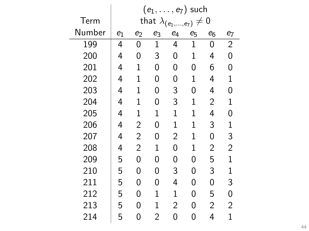|        | $(e_1, \ldots, e_7)$ such |                |                                   |                  |             |                |                |  |  |
|--------|---------------------------|----------------|-----------------------------------|------------------|-------------|----------------|----------------|--|--|
| Term   |                           |                | that $\lambda_{(e_1,,e_7)}\neq 0$ |                  |             |                |                |  |  |
| Number | $e_1$                     | $e_2$          | e3                                | $\mathfrak{e}_4$ | $e_5$       | $e_6$          | $e_7$          |  |  |
| 199    | 4                         | 0              | $\mathbf 1$                       | 4                | $\mathbf 1$ | 0              | $\overline{2}$ |  |  |
| 200    | 4                         | 0              | 3                                 | 0                | $\mathbf 1$ | 4              | 0              |  |  |
| 201    | 4                         | $\mathbf{1}$   | 0                                 | 0                | 0           | 6              | 0              |  |  |
| 202    | 4                         | 1              | 0                                 | 0                | 1           | 4              | $\mathbf 1$    |  |  |
| 203    | 4                         | $\mathbf{1}$   | 0                                 | 3                | 0           | 4              | 0              |  |  |
| 204    | 4                         | $\mathbf{1}$   | 0                                 | 3                | $\mathbf 1$ | $\overline{2}$ | $\mathbf 1$    |  |  |
| 205    | 4                         | $\mathbf{1}$   | $\mathbf 1$                       | $\mathbf{1}$     | $\mathbf 1$ | 4              | 0              |  |  |
| 206    | 4                         | $\overline{2}$ | 0                                 | $\mathbf{1}$     | 1           | 3              | $\mathbf 1$    |  |  |
| 207    | 4                         | $\overline{2}$ | 0                                 | $\overline{2}$   | 1           | 0              | 3              |  |  |
| 208    | 4                         | $\overline{2}$ | $\mathbf{1}$                      | 0                | 1           | $\overline{c}$ | $\overline{c}$ |  |  |
| 209    | 5                         | 0              | 0                                 | 0                | 0           | 5              | $\mathbf{1}$   |  |  |
| 210    | 5                         | 0              | 0                                 | 3                | 0           | 3              | $\mathbf{1}$   |  |  |
| 211    | 5                         | 0              | 0                                 | 4                | 0           | 0              | 3              |  |  |
| 212    | 5                         | 0              | 1                                 | 1                | 0           | 5              | 0              |  |  |
| 213    | 5                         | 0              | 1                                 | $\overline{2}$   | 0           | 2              | 2              |  |  |
| 214    | 5                         | 0              | 2                                 | 0                | 0           | 4              | 1              |  |  |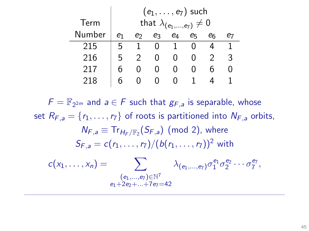|        |    | $(e_1, \ldots, e_7)$ such          |    |    |  |  |   |  |  |  |  |  |
|--------|----|------------------------------------|----|----|--|--|---|--|--|--|--|--|
| Term   |    | that $\lambda_{(e_1,,e_7)} \neq 0$ |    |    |  |  |   |  |  |  |  |  |
| Number | e1 | е2                                 | er | е7 |  |  |   |  |  |  |  |  |
| 215    | 5  |                                    |    |    |  |  |   |  |  |  |  |  |
| 216    | 5  |                                    |    |    |  |  | ર |  |  |  |  |  |
| 217    | h  |                                    |    |    |  |  |   |  |  |  |  |  |
| 218    |    |                                    |    |    |  |  |   |  |  |  |  |  |

 $F = \mathbb{F}_{2^{2m}}$  and  $a \in F$  such that  $g_{F,a}$  is separable, whose set  $R_{F,a} = \{r_1, \ldots, r_7\}$  of roots is partitioned into  $N_{F,a}$  orbits,  $N_{F,a} \equiv Tr_{H_E/F_2}(S_{F,a})$  (mod 2), where  $S_{F_2} = c(r_1, \ldots, r_7)/(b(r_1, \ldots, r_7))^2$  with  $c(x_1,\ldots,x_n) = \sum_{(e_1,\ldots,e_7)} \lambda_{(e_1,\ldots,e_7)} \sigma_1^{e_1} \sigma_2^{e_2} \cdots \sigma_7^{e_7},$  $(e_1, ..., e_7) \in \mathbb{N}^7$  $-12e^+ + 7e^- = 42$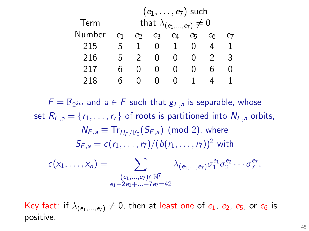|        |    | $(e_1, \ldots, e_7)$ such          |    |                |    |    |   |  |  |  |  |  |
|--------|----|------------------------------------|----|----------------|----|----|---|--|--|--|--|--|
| Term   |    | that $\lambda_{(e_1,,e_7)} \neq 0$ |    |                |    |    |   |  |  |  |  |  |
| Number | e1 | е2                                 | eз | e <sub>4</sub> | e5 | er |   |  |  |  |  |  |
| 215    | 5  |                                    |    |                |    |    |   |  |  |  |  |  |
| 216    | 5  |                                    |    |                |    |    | ર |  |  |  |  |  |
| 217    | h  |                                    | 0  |                |    |    |   |  |  |  |  |  |
| 218    |    |                                    |    |                |    |    |   |  |  |  |  |  |

 $F = \mathbb{F}_{2^{2m}}$  and  $a \in F$  such that  $g_{F,a}$  is separable, whose set  $R_{F,a} = \{r_1, \ldots, r_7\}$  of roots is partitioned into  $N_{F,a}$  orbits,  $N_{F,a} \equiv Tr_{H_E/F_2}(S_{F,a})$  (mod 2), where  $S_{F_2} = c(r_1, \ldots, r_7)/(b(r_1, \ldots, r_7))^2$  with  $c(x_1,\ldots,x_n) = \sum \alpha_{(e_1,\ldots,e_7)} \sigma_1^{e_1} \sigma_2^{e_2} \cdots \sigma_7^{e_7},$  $(e_1,...,e_7){\in}\mathbb{N}^7$  $-1+2-1+7-1=42$ 

Key fact: if  $\lambda_{(e_1,...,e_7)} \neq 0$ , then at least one of  $e_1$ ,  $e_2$ ,  $e_5$ , or  $e_6$  is positive.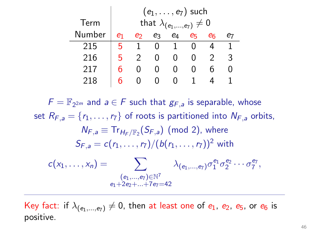|        |    | $(e_1, \ldots, e_7)$ such          |    |              |    |    |   |  |  |  |  |  |
|--------|----|------------------------------------|----|--------------|----|----|---|--|--|--|--|--|
| Term   |    | that $\lambda_{(e_1,,e_7)} \neq 0$ |    |              |    |    |   |  |  |  |  |  |
| Number | e1 | ക                                  | eз | e4           | eг | eг |   |  |  |  |  |  |
| 215    | ҕ  |                                    |    |              |    |    |   |  |  |  |  |  |
| 216    | 5  |                                    |    | $\mathbf{I}$ |    |    | 3 |  |  |  |  |  |
| 217    |    |                                    |    |              |    |    |   |  |  |  |  |  |
| 218    |    |                                    |    |              |    |    |   |  |  |  |  |  |

 $F = \mathbb{F}_{2^{2m}}$  and  $a \in F$  such that  $g_{F,a}$  is separable, whose set  $R_{F,a} = \{r_1, \ldots, r_7\}$  of roots is partitioned into  $N_{F,a}$  orbits,  $N_{F,a} \equiv Tr_{H_E/F_2}(S_{F,a})$  (mod 2), where  $S_{F_2} = c(r_1, \ldots, r_7)/(b(r_1, \ldots, r_7))^2$  with  $c(x_1,\ldots,x_n) = \sum \alpha_{(e_1,\ldots,e_7)} \sigma_1^{e_1} \sigma_2^{e_2} \cdots \sigma_7^{e_7},$  $(e_1,...,e_7){\in}\mathbb{N}^7$  $-1+2-1+7-1=42$ 

Key fact: if  $\lambda_{(e_1,...,e_7)} \neq 0$ , then at least one of  $e_1$ ,  $e_2$ ,  $e_5$ , or  $e_6$  is positive.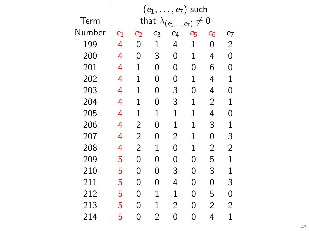|        | $(e_1,\ldots,e_7)$ such |                |             |                                   |             |                |                |  |  |
|--------|-------------------------|----------------|-------------|-----------------------------------|-------------|----------------|----------------|--|--|
| Term   |                         |                |             | that $\lambda_{(e_1,,e_7)}\neq 0$ |             |                |                |  |  |
| Number | $e_1$                   | $e_2$          | e3          | $\mathfrak{e}_4$                  | $e_5$       | $e_6$          | e7             |  |  |
| 199    | 4                       | 0              | $\mathbf 1$ | 4                                 | $\mathbf 1$ | 0              | $\overline{2}$ |  |  |
| 200    | 4                       | 0              | 3           | 0                                 | 1           | 4              | 0              |  |  |
| 201    | 4                       | 1              | 0           | 0                                 | 0           | 6              | 0              |  |  |
| 202    | 4                       | 1              | 0           | 0                                 | $\mathbf 1$ | 4              | $\mathbf{1}$   |  |  |
| 203    | 4                       | 1              | 0           | 3                                 | 0           | 4              | 0              |  |  |
| 204    | 4                       | 1              | 0           | 3                                 | 1           | $\overline{2}$ | 1              |  |  |
| 205    | 4                       | 1              | 1           | 1                                 | 1           | 4              | 0              |  |  |
| 206    | 4                       | $\overline{2}$ | 0           | 1                                 | 1           | 3              | $\mathbf{1}$   |  |  |
| 207    | 4                       | $\overline{c}$ | 0           | $\overline{2}$                    | 1           | 0              | 3              |  |  |
| 208    | 4                       | 2              | 1           | 0                                 | 1           | $\overline{c}$ | $\overline{c}$ |  |  |
| 209    | 5                       | 0              | 0           | 0                                 | 0           | 5              | $\mathbf{1}$   |  |  |
| 210    | 5                       | 0              | 0           | 3                                 | 0           | 3              | $\mathbf{1}$   |  |  |
| 211    | 5                       | 0              | 0           | 4                                 | 0           | 0              | 3              |  |  |
| 212    | 5                       | 0              | $\mathbf 1$ | $\mathbf{1}$                      | 0           | 5              | 0              |  |  |
| 213    | 5                       | 0              | 1           | $\overline{2}$                    | 0           | $\overline{2}$ | 2              |  |  |
| 214    | 5                       | 0              | 2           | 0                                 | 0           | 4              | 1              |  |  |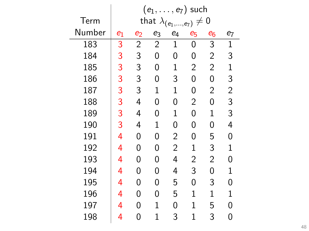|        |       |                |                | $(e_1,\ldots,e_7)$ such           |                |                |                    |
|--------|-------|----------------|----------------|-----------------------------------|----------------|----------------|--------------------|
| Term   |       |                |                | that $\lambda_{(e_1,\ldots,e_7)}$ | $\neq 0$       |                |                    |
| Number | $e_1$ | $e_2$          | e3             | $\mathfrak{e}_4$                  | $e_5$          | $e_6$          | $\boldsymbol{e}_7$ |
| 183    | 3     | $\overline{c}$ | $\overline{2}$ | $\mathbf{1}$                      | 0              | 3              | 1                  |
| 184    | 3     | 3              | 0              | 0                                 | 0              | $\overline{2}$ | 3                  |
| 185    | 3     | 3              | 0              | $\mathbf 1$                       | $\overline{2}$ | $\overline{2}$ | $\mathbf{1}$       |
| 186    | 3     | 3              | 0              | 3                                 | 0              | 0              | 3                  |
| 187    | 3     | 3              | $\mathbf{1}$   | $\mathbf 1$                       | 0              | $\overline{2}$ | $\overline{c}$     |
| 188    | 3     | 4              | 0              | 0                                 | $\overline{c}$ | 0              | 3                  |
| 189    | 3     | 4              | 0              | 1                                 | 0              | 1              | 3                  |
| 190    | 3     | 4              | 1              | 0                                 | 0              | 0              | 4                  |
| 191    | 4     | 0              | 0              | $\overline{c}$                    | 0              | 5              | 0                  |
| 192    | 4     | 0              | 0              | $\overline{c}$                    | 1              | 3              | $\mathbf{1}$       |
| 193    | 4     | 0              | 0              | 4                                 | 2              | $\overline{2}$ | 0                  |
| 194    | 4     | 0              | 0              | 4                                 | 3              | 0              | $\mathbf{1}$       |
| 195    | 4     | 0              | 0              | 5                                 | 0              | 3              | 0                  |
| 196    | 4     | 0              | 0              | 5                                 | 1              | $\mathbf 1$    | $\mathbf{1}$       |
| 197    | 4     | 0              | $\mathbf 1$    | 0                                 | $\mathbf 1$    | 5              | 0                  |
| 198    | 4     | 0              | 1              | 3                                 | 1              | 3              | 0                  |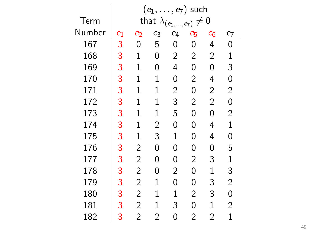|        | $(e_1,\ldots,e_7)$ such |                |                |                                   |       |                |                |  |  |
|--------|-------------------------|----------------|----------------|-----------------------------------|-------|----------------|----------------|--|--|
| Term   |                         |                |                | that $\lambda_{(e_1,,e_7)}\neq 0$ |       |                |                |  |  |
| Number | $e_1$                   | $e_2$          | e3             | $\mathfrak{e}_4$                  | $e_5$ | $e_6$          | $\mathbf{e}_7$ |  |  |
| 167    | 3                       | 0              | 5              | 0                                 | 0     | 4              | 0              |  |  |
| 168    | 3                       | 1              | 0              | $\overline{c}$                    | 2     | $\overline{c}$ | 1              |  |  |
| 169    | 3                       | 1              | 0              | 4                                 | 0     | 0              | 3              |  |  |
| 170    | 3                       | 1              | $\mathbf 1$    | 0                                 | 2     | 4              | 0              |  |  |
| 171    | 3                       | 1              | $\mathbf 1$    | $\overline{2}$                    | 0     | $\overline{2}$ | $\overline{c}$ |  |  |
| 172    | 3                       | 1              | $\mathbf 1$    | 3                                 | 2     | $\overline{2}$ | 0              |  |  |
| 173    | 3                       | 1              | $\mathbf 1$    | 5                                 | 0     | 0              | $\overline{c}$ |  |  |
| 174    | 3                       | 1              | $\overline{c}$ | 0                                 | 0     | 4              | $\mathbf{1}$   |  |  |
| 175    | 3                       | 1              | 3              | $\mathbf{1}$                      | 0     | 4              | 0              |  |  |
| 176    | 3                       | $\overline{2}$ | 0              | 0                                 | 0     | 0              | 5              |  |  |
| 177    | 3                       | 2              | 0              | 0                                 | 2     | 3              | $\mathbf{1}$   |  |  |
| 178    | 3                       | $\overline{2}$ | 0              | $\overline{2}$                    | 0     | $\mathbf 1$    | 3              |  |  |
| 179    | 3                       | 2              | 1              | 0                                 | 0     | 3              | $\overline{c}$ |  |  |
| 180    | 3                       | 2              | 1              | 1                                 | 2     | 3              | 0              |  |  |
| 181    | 3                       | 2              | 1              | 3                                 | 0     | $\mathbf{1}$   | 2              |  |  |
| 182    | 3                       | $\overline{2}$ | 2              | 0                                 | 2     | $\overline{2}$ | $\mathbf 1$    |  |  |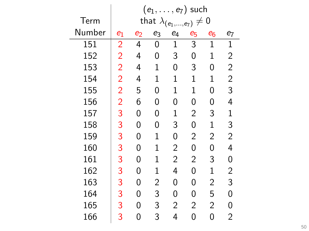|        | $e_7$ ) such<br>$(e_1,\ldots,$ |                                            |                |                |                |                |                |  |  |  |  |
|--------|--------------------------------|--------------------------------------------|----------------|----------------|----------------|----------------|----------------|--|--|--|--|
| Term   |                                | $\mathbf 0$<br>that $\lambda_{(e_1,,e_7)}$ |                |                |                |                |                |  |  |  |  |
| Number | $e_1$                          | $\bm{e}_2$                                 | e <sub>3</sub> | $e_4$          | e <sub>5</sub> | $e_6$          | $e_7$          |  |  |  |  |
| 151    | $\overline{2}$                 | 4                                          | 0              | $\mathbf 1$    | 3              | $\mathbf{1}$   | $\mathbf{1}$   |  |  |  |  |
| 152    | $\overline{2}$                 | 4                                          | 0              | 3              | 0              | $\mathbf{1}$   | $\overline{c}$ |  |  |  |  |
| 153    | $\overline{2}$                 | 4                                          | $\mathbf 1$    | 0              | 3              | 0              | $\overline{2}$ |  |  |  |  |
| 154    | $\overline{2}$                 | 4                                          | 1              | $\mathbf 1$    | $\mathbf 1$    | $\mathbf 1$    | $\overline{2}$ |  |  |  |  |
| 155    | $\overline{2}$                 | 5                                          | 0              | $\mathbf 1$    | $\mathbf 1$    | 0              | 3              |  |  |  |  |
| 156    | $\overline{2}$                 | 6                                          | 0              | 0              | 0              | 0              | 4              |  |  |  |  |
| 157    | 3                              | 0                                          | 0              | $\mathbf 1$    | $\overline{c}$ | 3              | $\mathbf{1}$   |  |  |  |  |
| 158    | 3                              | 0                                          | 0              | 3              | 0              | $\mathbf 1$    | 3              |  |  |  |  |
| 159    | 3                              | 0                                          | $\mathbf 1$    | 0              | $\overline{c}$ | $\overline{2}$ | $\overline{c}$ |  |  |  |  |
| 160    | 3                              | 0                                          | $\mathbf 1$    | $\overline{c}$ | 0              | 0              | 4              |  |  |  |  |
| 161    | 3                              | 0                                          | 1              | $\overline{2}$ | $\overline{2}$ | 3              | 0              |  |  |  |  |
| 162    | 3                              | 0                                          | $\mathbf 1$    | 4              | 0              | $\mathbf 1$    | $\overline{c}$ |  |  |  |  |
| 163    | 3                              | 0                                          | $\overline{c}$ | 0              | 0              | $\overline{2}$ | 3              |  |  |  |  |
| 164    | 3                              | 0                                          | 3              | 0              | 0              | 5              | 0              |  |  |  |  |
| 165    | 3                              | 0                                          | 3              | 2              | $\overline{2}$ | 2              | 0              |  |  |  |  |
| 166    | 3                              | 0                                          | 3              | 4              | 0              | 0              | $\overline{2}$ |  |  |  |  |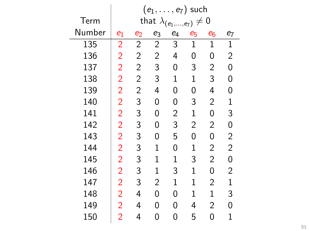|        | $(e_1,\ldots,e_7)$ such |                |                         |                |              |                |                    |  |  |
|--------|-------------------------|----------------|-------------------------|----------------|--------------|----------------|--------------------|--|--|
| Term   |                         |                | that $\lambda_{(e_1,)}$ |                | $,e_{7})$    | $\neq 0$       |                    |  |  |
| Number | $e_1$                   | $e_2$          | e3                      | $e_4$          | $e_5$        | $e_6$          | $\boldsymbol{e}_7$ |  |  |
| 135    | $\overline{2}$          | $\overline{c}$ | $\overline{c}$          | 3              | $\mathbf 1$  | $\mathbf{1}$   | $\mathbf 1$        |  |  |
| 136    | $\overline{2}$          | $\overline{2}$ | $\overline{c}$          | 4              | 0            | 0              | $\overline{c}$     |  |  |
| 137    | $\overline{2}$          | $\overline{2}$ | 3                       | 0              | 3            | $\overline{c}$ | 0                  |  |  |
| 138    | $\overline{2}$          | $\overline{2}$ | 3                       | $\mathbf 1$    | $\mathbf 1$  | 3              | 0                  |  |  |
| 139    | $\overline{2}$          | $\overline{c}$ | 4                       | 0              | 0            | 4              | 0                  |  |  |
| 140    | $\overline{2}$          | 3              | 0                       | 0              | 3            | $\overline{c}$ | $\mathbf 1$        |  |  |
| 141    | $\overline{2}$          | 3              | 0                       | $\overline{c}$ | $\mathbf 1$  | 0              | 3                  |  |  |
| 142    | $\overline{2}$          | 3              | 0                       | 3              | 2            | $\overline{c}$ | 0                  |  |  |
| 143    | $\overline{2}$          | 3              | 0                       | 5              | 0            | 0              | 2                  |  |  |
| 144    | $\overline{2}$          | 3              | 1                       | 0              | 1            | $\overline{c}$ | $\overline{c}$     |  |  |
| 145    | $\overline{2}$          | 3              | 1                       | 1              | 3            | $\overline{2}$ | 0                  |  |  |
| 146    | $\overline{2}$          | 3              | 1                       | 3              | $\mathbf{1}$ | 0              | 2                  |  |  |
| 147    | $\overline{2}$          | 3              | 2                       | $\mathbf 1$    | $\mathbf 1$  | 2              | $\mathbf 1$        |  |  |
| 148    | $\overline{2}$          | 4              | 0                       | 0              | 1            | $\mathbf 1$    | 3                  |  |  |
| 149    | $\overline{2}$          | 4              | 0                       | 0              | 4            | $\overline{2}$ | 0                  |  |  |
| 150    | $\overline{2}$          | 4              | 0                       | 0              | 5            | 0              | 1                  |  |  |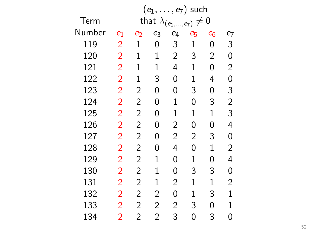|        | $(e_1,\ldots,e_7)$ such |                |                                   |                  |              |                |                |  |  |
|--------|-------------------------|----------------|-----------------------------------|------------------|--------------|----------------|----------------|--|--|
| Term   |                         |                | that $\lambda_{(e_1,\ldots,e_7)}$ |                  | $\neq 0$     |                |                |  |  |
| Number | $e_1$                   | $e_2$          | $e_3$                             | $\mathfrak{e}_4$ | $e_5$        | $e_6$          | $e_7$          |  |  |
| 119    | $\overline{2}$          | $\mathbf{1}$   | 0                                 | 3                | $\mathbf 1$  | 0              | 3              |  |  |
| 120    | $\overline{2}$          | $\mathbf{1}$   | 1                                 | $\overline{c}$   | 3            | $\overline{2}$ | 0              |  |  |
| 121    | $\overline{2}$          | $\mathbf{1}$   | $\mathbf{1}$                      | 4                | $\mathbf 1$  | 0              | 2              |  |  |
| 122    | $\overline{2}$          | $\mathbf{1}$   | 3                                 | 0                | 1            | 4              | 0              |  |  |
| 123    | $\overline{2}$          | $\overline{c}$ | 0                                 | 0                | 3            | 0              | 3              |  |  |
| 124    | $\overline{2}$          | $\overline{c}$ | 0                                 | $\mathbf{1}$     | 0            | 3              | $\overline{c}$ |  |  |
| 125    | $\overline{2}$          | $\overline{c}$ | 0                                 | $\mathbf{1}$     | 1            | 1              | 3              |  |  |
| 126    | $\overline{2}$          | $\overline{c}$ | 0                                 | $\overline{c}$   | 0            | 0              | 4              |  |  |
| 127    | $\overline{2}$          | $\overline{c}$ | 0                                 | $\overline{c}$   | 2            | 3              | 0              |  |  |
| 128    | $\overline{2}$          | $\overline{c}$ | 0                                 | 4                | 0            | 1              | $\overline{c}$ |  |  |
| 129    | $\overline{2}$          | $\overline{2}$ | 1                                 | 0                | 1            | 0              | 4              |  |  |
| 130    | $\overline{2}$          | 2              | $\mathbf{1}$                      | 0                | 3            | 3              | 0              |  |  |
| 131    | $\overline{2}$          | 2              | $\mathbf 1$                       | $\overline{2}$   | $\mathbf{1}$ | $\mathbf 1$    | 2              |  |  |
| 132    | $\overline{2}$          | 2              | 2                                 | 0                | 1            | 3              | $\mathbf{1}$   |  |  |
| 133    | $\overline{2}$          | 2              | $\overline{c}$                    | $\overline{2}$   | 3            | 0              | $\mathbf{1}$   |  |  |
| 134    | $\overline{2}$          | $\overline{2}$ | 2                                 | 3                | 0            | 3              | 0              |  |  |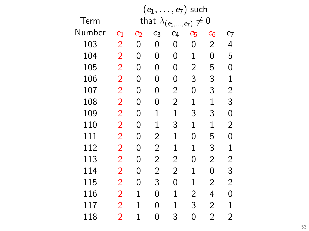|        |                |              |                         | $(e_1,\ldots,e_7)$ such |                |                |                    |
|--------|----------------|--------------|-------------------------|-------------------------|----------------|----------------|--------------------|
| Term   |                |              | that $\lambda_{(e_1,)}$ |                         | $,e_7)$        | $\neq 0$       |                    |
| Number | $e_1$          | $\bm{e}_2$   | e3                      | $\mathfrak{e}_4$        | $e_5$          | $e_6$          | $\boldsymbol{e}_7$ |
| 103    | $\overline{2}$ | 0            | 0                       | 0                       | 0              | 2              | 4                  |
| 104    | $\overline{2}$ | 0            | 0                       | 0                       | $\mathbf 1$    | 0              | 5                  |
| 105    | $\overline{2}$ | 0            | 0                       | 0                       | $\overline{c}$ | 5              | 0                  |
| 106    | $\overline{2}$ | 0            | 0                       | 0                       | 3              | 3              | $\mathbf{1}$       |
| 107    | $\overline{2}$ | 0            | 0                       | $\overline{c}$          | 0              | 3              | $\overline{c}$     |
| 108    | $\overline{2}$ | 0            | 0                       | $\overline{2}$          | $\mathbf 1$    | $\mathbf 1$    | 3                  |
| 109    | $\overline{2}$ | 0            | 1                       | $\mathbf 1$             | 3              | 3              | 0                  |
| 110    | $\overline{2}$ | 0            | $\mathbf 1$             | 3                       | $\mathbf{1}$   | $\mathbf 1$    | $\overline{c}$     |
| 111    | $\overline{2}$ | 0            | 2                       | $\mathbf{1}$            | 0              | 5              | 0                  |
| 112    | $\overline{2}$ | 0            | 2                       | $\mathbf{1}$            | $\mathbf{1}$   | 3              | $\mathbf{1}$       |
| 113    | $\overline{2}$ | 0            | 2                       | $\overline{2}$          | 0              | $\overline{2}$ | 2                  |
| 114    | $\overline{2}$ | 0            | $\overline{c}$          | $\overline{2}$          | $\mathbf{1}$   | 0              | 3                  |
| 115    | $\overline{2}$ | 0            | 3                       | 0                       | $\mathbf{1}$   | $\overline{2}$ | 2                  |
| 116    | $\overline{2}$ | $\mathbf{1}$ | 0                       | $\mathbf{1}$            | 2              | 4              | 0                  |
| 117    | $\overline{2}$ | $\mathbf{1}$ | 0                       | $\mathbf{1}$            | 3              | $\overline{2}$ | 1                  |
| 118    | $\overline{2}$ | 1            | 0                       | 3                       | 0              | $\overline{2}$ | 2                  |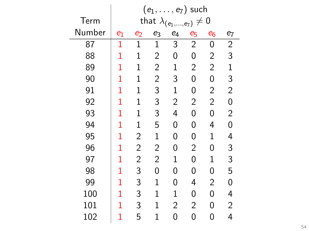|        | $(e_1,\ldots,e_7)$ such                            |                |                |                |                |                |                |  |  |  |
|--------|----------------------------------------------------|----------------|----------------|----------------|----------------|----------------|----------------|--|--|--|
| Term   | that $\lambda_{(e_1)}$<br>$\mathbf 0$<br>$,e_{7})$ |                |                |                |                |                |                |  |  |  |
| Number | $e_1$                                              | $e_2$          | e <sub>3</sub> | $e_4$          | e5             | $e_6$          | $e_7$          |  |  |  |
| 87     | 1                                                  | $\mathbf{1}$   | $\mathbf 1$    | 3              | $\overline{2}$ | 0              | $\overline{2}$ |  |  |  |
| 88     | 1                                                  | $\mathbf{1}$   | $\overline{2}$ | 0              | 0              | $\overline{2}$ | 3              |  |  |  |
| 89     | 1                                                  | $\mathbf{1}$   | $\overline{2}$ | $\mathbf{1}$   | $\overline{2}$ | $\overline{2}$ | $\mathbf{1}$   |  |  |  |
| 90     | 1                                                  | $\mathbf{1}$   | $\overline{c}$ | 3              | 0              | 0              | 3              |  |  |  |
| 91     | 1                                                  | $\mathbf 1$    | 3              | $\mathbf 1$    | 0              | $\overline{c}$ | $\overline{c}$ |  |  |  |
| 92     | 1                                                  | $\mathbf 1$    | 3              | $\overline{2}$ | $\overline{2}$ | $\overline{2}$ | $\mathbf 0$    |  |  |  |
| 93     | 1                                                  | $\mathbf{1}$   | 3              | 4              | 0              | 0              | $\overline{2}$ |  |  |  |
| 94     | 1                                                  | $\mathbf{1}$   | 5              | 0              | 0              | 4              | 0              |  |  |  |
| 95     | 1                                                  | $\overline{c}$ | $\mathbf 1$    | 0              | 0              | $\mathbf 1$    | 4              |  |  |  |
| 96     | 1                                                  | $\overline{c}$ | $\overline{c}$ | 0              | $\overline{2}$ | 0              | 3              |  |  |  |
| 97     | 1                                                  | $\overline{2}$ | $\overline{2}$ | $\mathbf 1$    | 0              | $\mathbf 1$    | 3              |  |  |  |
| 98     | 1                                                  | 3              | 0              | 0              | 0              | 0              | 5              |  |  |  |
| 99     | 1                                                  | 3              | $\mathbf 1$    | 0              | 4              | $\overline{2}$ | 0              |  |  |  |
| 100    | 1                                                  | 3              | $\mathbf 1$    | $\mathbf 1$    | 0              | 0              | 4              |  |  |  |
| 101    | 1                                                  | 3              | 1              | $\overline{2}$ | 2              | 0              | $\overline{2}$ |  |  |  |
| 102    | 1                                                  | 5              | 1              | 0              | 0              | 0              | 4              |  |  |  |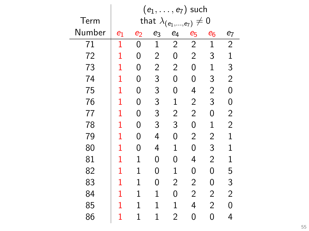|        | $(e_1, \ldots, e_7)$ such                               |              |                |                |                |                |                |  |  |  |
|--------|---------------------------------------------------------|--------------|----------------|----------------|----------------|----------------|----------------|--|--|--|
| Term   | that $\lambda_{(e_1)}$<br>$\boldsymbol{0}$<br>$,e_{7})$ |              |                |                |                |                |                |  |  |  |
| Number | $e_1$                                                   | $\bm{e}_2$   | e <sub>3</sub> | $e_4$          | e5             | $e_6$          | e7             |  |  |  |
| 71     | $\mathbf 1$                                             | 0            | $\mathbf 1$    | $\overline{c}$ | $\overline{2}$ | $\mathbf 1$    | $\overline{2}$ |  |  |  |
| 72     | 1                                                       | 0            | $\overline{c}$ | 0              | $\overline{2}$ | 3              | $\mathbf{1}$   |  |  |  |
| 73     | 1                                                       | 0            | $\overline{c}$ | $\overline{c}$ | 0              | $\mathbf 1$    | 3              |  |  |  |
| 74     | 1                                                       | 0            | 3              | 0              | 0              | 3              | $\overline{c}$ |  |  |  |
| 75     | 1                                                       | 0            | 3              | 0              | 4              | $\overline{c}$ | 0              |  |  |  |
| 76     | 1                                                       | 0            | 3              | $\mathbf 1$    | $\overline{c}$ | 3              | $\mathbf{0}$   |  |  |  |
| 77     | 1                                                       | 0            | 3              | $\overline{c}$ | $\overline{c}$ | 0              | $\overline{c}$ |  |  |  |
| 78     | 1                                                       | 0            | 3              | 3              | 0              | $\mathbf 1$    | $\overline{2}$ |  |  |  |
| 79     | 1                                                       | 0            | 4              | 0              | $\overline{c}$ | $\overline{c}$ | $\mathbf 1$    |  |  |  |
| 80     | 1                                                       | 0            | 4              | $\mathbf 1$    | 0              | 3              | $\mathbf 1$    |  |  |  |
| 81     | 1                                                       | 1            | 0              | 0              | 4              | $\overline{2}$ | 1              |  |  |  |
| 82     | 1                                                       | $\mathbf 1$  | 0              | $\mathbf 1$    | 0              | 0              | 5              |  |  |  |
| 83     | 1                                                       | $\mathbf{1}$ | 0              | $\overline{2}$ | $\overline{2}$ | 0              | 3              |  |  |  |
| 84     | 1                                                       | $\mathbf{1}$ | $\mathbf 1$    | 0              | $\overline{2}$ | $\overline{2}$ | $\overline{2}$ |  |  |  |
| 85     | 1                                                       | $\mathbf 1$  | $\mathbf 1$    | $\mathbf 1$    | 4              | $\overline{2}$ | 0              |  |  |  |
| 86     | 1                                                       | $\mathbf 1$  | 1              | $\overline{2}$ | 0              | 0              | 4              |  |  |  |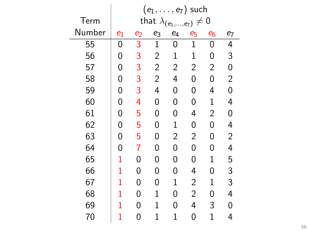|        | $(e_1,\ldots,e_7)$ such               |                |                |                    |                |                |                |  |
|--------|---------------------------------------|----------------|----------------|--------------------|----------------|----------------|----------------|--|
| Term   | that $\lambda_{(e_1,,e_7)} \neq$<br>0 |                |                |                    |                |                |                |  |
| Number | $e_1$                                 | e <sub>2</sub> | $e_3$          | $\boldsymbol{e}_4$ | $e_5$          | $e_6$          | e <sub>7</sub> |  |
| 55     | 0                                     | $\overline{3}$ | $\mathbf 1$    | 0                  | $\mathbf 1$    | 0              | 4              |  |
| 56     | 0                                     | 3              | $\overline{2}$ | $\mathbf 1$        | 1              | 0              | 3              |  |
| 57     | 0                                     | 3              | $\overline{2}$ | $\overline{2}$     | 2              | $\overline{2}$ | 0              |  |
| 58     | 0                                     | 3              | $\overline{2}$ | 4                  | 0              | 0              | $\overline{2}$ |  |
| 59     | 0                                     | 3              | 4              | 0                  | 0              | 4              | 0              |  |
| 60     | 0                                     | 4              | 0              | 0                  | 0              | 1              | 4              |  |
| 61     | 0                                     | 5              | 0              | 0                  | 4              | $\overline{2}$ | 0              |  |
| 62     | 0                                     | 5              | 0              | $\mathbf 1$        | 0              | 0              | 4              |  |
| 63     | 0                                     | 5              | 0              | $\overline{2}$     | $\overline{2}$ | 0              | $\overline{2}$ |  |
| 64     | 0                                     | 7              | 0              | 0                  | 0              | 0              | 4              |  |
| 65     | 1                                     | 0              | 0              | 0                  | 0              | 1              | 5              |  |
| 66     | 1                                     | 0              | 0              | 0                  | 4              | 0              | 3              |  |
| 67     | 1                                     | 0              | 0              | $\mathbf 1$        | 2              | $\mathbf 1$    | 3              |  |
| 68     | 1                                     | 0              | $\mathbf 1$    | 0                  | $\overline{2}$ | 0              | 4              |  |
| 69     | 1                                     | 0              | $\mathbf 1$    | 0                  | 4              | 3              | 0              |  |
| 70     | 1                                     | 0              | 1              | 1                  | 0              | 1              | 4              |  |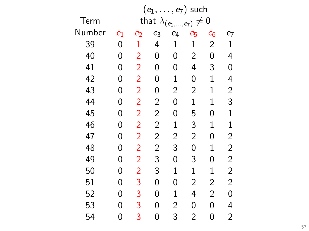|        | $(e_1,\ldots,e_7)$ such                             |                |                |                    |                |                |                |  |
|--------|-----------------------------------------------------|----------------|----------------|--------------------|----------------|----------------|----------------|--|
| Term   | that $\lambda_{(e_1)}$<br>0<br>$\neq$<br>$,e_{7}$ ) |                |                |                    |                |                |                |  |
| Number | $e_1$                                               | e <sub>2</sub> | $e_3$          | $\boldsymbol{e}_4$ | e5             | $e_6$          | e7             |  |
| 39     | 0                                                   | $\mathbf{1}$   | 4              | $\mathbf{1}$       | $\mathbf 1$    | $\overline{2}$ | $\mathbf 1$    |  |
| 40     | 0                                                   | $\overline{2}$ | 0              | 0                  | $\overline{2}$ | 0              | 4              |  |
| 41     | 0                                                   | $\overline{2}$ | 0              | 0                  | 4              | 3              | 0              |  |
| 42     | 0                                                   | $\overline{2}$ | 0              | $\mathbf 1$        | 0              | 1              | 4              |  |
| 43     | 0                                                   | $\overline{2}$ | 0              | $\overline{c}$     | $\overline{c}$ | 1              | $\overline{c}$ |  |
| 44     | 0                                                   | $\overline{2}$ | $\overline{c}$ | 0                  | 1              | $\mathbf 1$    | 3              |  |
| 45     | 0                                                   | $\overline{2}$ | $\overline{c}$ | 0                  | 5              | 0              | $\mathbf{1}$   |  |
| 46     | 0                                                   | $\overline{2}$ | $\overline{c}$ | $\mathbf 1$        | 3              | $\mathbf 1$    | $\mathbf{1}$   |  |
| 47     | 0                                                   | $\overline{2}$ | $\overline{c}$ | $\overline{c}$     | 2              | 0              | $\overline{c}$ |  |
| 48     | 0                                                   | $\overline{2}$ | $\overline{c}$ | 3                  | 0              | $\mathbf 1$    | $\overline{c}$ |  |
| 49     | 0                                                   | $\overline{2}$ | 3              | 0                  | 3              | 0              | $\overline{c}$ |  |
| 50     | 0                                                   | $\overline{2}$ | 3              | $\mathbf 1$        | $\mathbf 1$    | 1              | $\overline{c}$ |  |
| 51     | 0                                                   | 3              | 0              | 0                  | 2              | $\overline{c}$ | $\overline{2}$ |  |
| 52     | 0                                                   | 3              | 0              | $\mathbf 1$        | 4              | $\overline{2}$ | 0              |  |
| 53     | 0                                                   | 3              | 0              | $\overline{2}$     | 0              | 0              | 4              |  |
| 54     | 0                                                   | 3              | 0              | 3                  | $\overline{2}$ | 0              | $\overline{2}$ |  |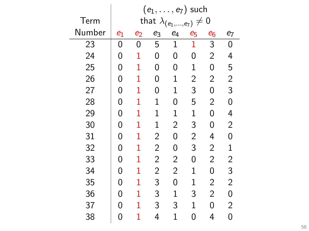|        | $(e_1, \ldots, e_7)$ such                       |              |                |                |                |                |                         |  |
|--------|-------------------------------------------------|--------------|----------------|----------------|----------------|----------------|-------------------------|--|
| Term   | that $\lambda_{(e_1,,e_7)} \neq$<br>$\mathbf 0$ |              |                |                |                |                |                         |  |
| Number | $e_1$                                           | $\bm{e}_2$   | e3             | $e_4$          | e <sub>5</sub> | $e_6$          | e7                      |  |
| 23     | 0                                               | 0            | 5              | $\mathbf{1}$   | 1              | $\overline{3}$ | 0                       |  |
| 24     | 0                                               | 1            | 0              | 0              | 0              | $\overline{2}$ | 4                       |  |
| 25     | 0                                               | 1            | 0              | 0              | 1              | 0              | 5                       |  |
| 26     | 0                                               | 1            | 0              | $\mathbf 1$    | 2              | $\overline{2}$ | $\overline{c}$          |  |
| 27     | 0                                               | 1            | 0              | $\mathbf 1$    | 3              | 0              | 3                       |  |
| 28     | 0                                               | 1            | $\mathbf 1$    | 0              | 5              | $\overline{2}$ | 0                       |  |
| 29     | 0                                               | 1            | $\mathbf 1$    | $\mathbf 1$    | 1              | 0              | 4                       |  |
| 30     | 0                                               | 1            | $\mathbf 1$    | $\overline{2}$ | 3              | 0              | $\overline{c}$          |  |
| 31     | 0                                               | 1            | $\overline{c}$ | 0              | $\overline{c}$ | 4              | 0                       |  |
| 32     | 0                                               | 1            | $\overline{2}$ | 0              | 3              | $\overline{2}$ | $\mathbf{1}$            |  |
| 33     | 0                                               | $\mathbf{1}$ | $\overline{2}$ | $\overline{2}$ | 0              | $\overline{2}$ | $\overline{\mathbf{c}}$ |  |
| 34     | 0                                               | 1            | $\overline{2}$ | $\overline{2}$ | $\mathbf 1$    | 0              | 3                       |  |
| 35     | 0                                               | 1            | 3              | 0              | $\mathbf 1$    | $\overline{2}$ | $\overline{2}$          |  |
| 36     | 0                                               | 1            | 3              | $\mathbf 1$    | 3              | $\overline{2}$ | 0                       |  |
| 37     | 0                                               | 1            | 3              | 3              | $\mathbf 1$    | 0              | $\overline{2}$          |  |
| 38     | 0                                               | 1            | 4              | 1              | 0              | 4              | 0                       |  |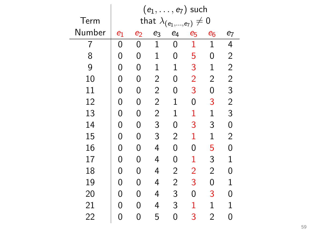|        | $(e_1, \ldots, e_7)$ such                            |            |                |                |                |                |                |  |
|--------|------------------------------------------------------|------------|----------------|----------------|----------------|----------------|----------------|--|
| Term   | that $\lambda_{(e_1,,e_7)} \neq$<br>$\boldsymbol{0}$ |            |                |                |                |                |                |  |
| Number | $e_1$                                                | $\bm{e}_2$ | $e_3$          | $e_4$          | e <sub>5</sub> | $e_6$          | e <sub>7</sub> |  |
| 7      | 0                                                    | 0          | $\mathbf 1$    | 0              | 1              | $\mathbf 1$    | 4              |  |
| 8      | 0                                                    | 0          | $\mathbf 1$    | 0              | 5              | 0              | $\overline{c}$ |  |
| 9      | 0                                                    | 0          | $\mathbf 1$    | $\overline{1}$ | 3              | $\mathbf{1}$   | $\overline{c}$ |  |
| 10     | 0                                                    | 0          | $\overline{c}$ | 0              | $\overline{2}$ | $\overline{2}$ | $\overline{c}$ |  |
| 11     | 0                                                    | 0          | $\overline{2}$ | 0              | 3              | 0              | 3              |  |
| 12     | 0                                                    | 0          | $\overline{c}$ | $\mathbf 1$    | 0              | 3              | $\overline{c}$ |  |
| 13     | 0                                                    | 0          | $\overline{c}$ | $\mathbf 1$    | 1              | $\mathbf 1$    | 3              |  |
| 14     | 0                                                    | 0          | 3              | 0              | 3              | 3              | $\mathbf{0}$   |  |
| 15     | 0                                                    | 0          | 3              | $\overline{2}$ | 1              | $\mathbf 1$    | $\overline{2}$ |  |
| 16     | 0                                                    | 0          | 4              | 0              | 0              | 5              | 0              |  |
| 17     | 0                                                    | 0          | 4              | 0              | 1              | 3              | $\mathbf 1$    |  |
| 18     | 0                                                    | 0          | 4              | $\overline{c}$ | $\overline{2}$ | $\overline{2}$ | 0              |  |
| 19     | 0                                                    | 0          | 4              | $\overline{2}$ | 3              | 0              | $\mathbf 1$    |  |
| 20     | 0                                                    | 0          | 4              | 3              | 0              | 3              | 0              |  |
| 21     | 0                                                    | 0          | 4              | 3              | 1              | $\mathbf 1$    | 1              |  |
| 22     | 0                                                    | 0          | 5              | 0              | 3              | $\overline{2}$ | 0              |  |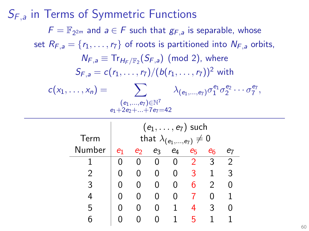# $S_{F,a}$  in Terms of Symmetric Functions  $F = \mathbb{F}_{2^{2m}}$  and  $a \in F$  such that  $g_{F,a}$  is separable, whose set  $R_{F,a} = \{r_1, \ldots, r_7\}$  of roots is partitioned into  $N_{F,a}$  orbits,  $\mathcal{N}_{F,a} \equiv \text{Tr}_{\mathcal{H}_F/\mathbb{F}_2}(\mathcal{S}_{F,a})$  (mod 2), where  $S_{F,a} = c(r_1, \ldots, r_7)/(b(r_1, \ldots, r_7))^2$  with  $c(x_1,\ldots,x_n) = \sum_{\substack{\lambda_{(e_1,\ldots,e_7)}}} \lambda_{(e_1,\ldots,e_7)} \sigma_1^{e_1} \sigma_2^{e_2} \cdots \sigma_7^{e_7},$  $(e_1,...,e_7) \in \mathbb{N}^7$  $e_1+2e_2+\sqrt{1-e_7}=42$

|        | $(e_1, \ldots, e_7)$ such          |    |    |    |                |                |    |  |
|--------|------------------------------------|----|----|----|----------------|----------------|----|--|
| Term   | that $\lambda_{(e_1,,e_7)} \neq 0$ |    |    |    |                |                |    |  |
| Number | e1                                 | ല് | eз | e4 | e <sub>5</sub> | e <sub>6</sub> | е7 |  |
|        |                                    |    |    |    | 2              | 3              | 2  |  |
| 2      |                                    |    | 0  | 0  | २              |                | 3  |  |
| 3      |                                    |    | 0  | Ω  | 6              | 2              |    |  |
|        |                                    |    | 0  |    |                |                |    |  |
| 5      |                                    |    |    |    | 4              | 3              |    |  |
|        |                                    |    |    |    | 5              |                |    |  |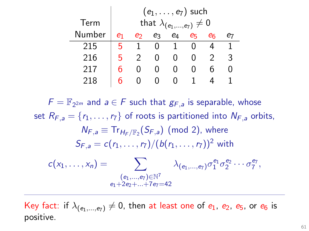|        | $(e_1, \ldots, e_7)$ such          |   |    |              |    |    |   |
|--------|------------------------------------|---|----|--------------|----|----|---|
| Term   | that $\lambda_{(e_1,,e_7)} \neq 0$ |   |    |              |    |    |   |
| Number | e1                                 | ക | eз | e4           | eг | eг |   |
| 215    | ҕ                                  |   |    |              |    |    |   |
| 216    | 5                                  |   |    | $\mathbf{I}$ |    |    | 3 |
| 217    |                                    |   |    |              |    |    |   |
| 218    |                                    |   |    |              |    |    |   |

 $F = \mathbb{F}_{2^{2m}}$  and  $a \in F$  such that  $g_{F,a}$  is separable, whose set  $R_{F,a} = \{r_1, \ldots, r_7\}$  of roots is partitioned into  $N_{F,a}$  orbits,  $N_{F,a} \equiv Tr_{H_E/F_2}(S_{F,a})$  (mod 2), where  $S_{F_2} = c(r_1, \ldots, r_7)/(b(r_1, \ldots, r_7))^2$  with  $c(x_1,\ldots,x_n) = \sum \alpha_{(e_1,\ldots,e_7)} \sigma_1^{e_1} \sigma_2^{e_2} \cdots \sigma_7^{e_7},$  $(e_1,...,e_7){\in}\mathbb{N}^7$  $-1+2-1=+7-1$ 

Key fact: if  $\lambda_{(e_1,...,e_7)} \neq 0$ , then at least one of  $e_1$ ,  $e_2$ ,  $e_5$ , or  $e_6$  is positive.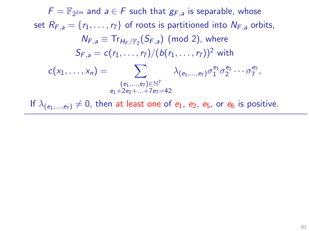If  $\lambda_{(e_1,...,e_7)} \neq 0$ , then at least one of  $e_1$ ,  $e_2$ ,  $e_5$ , or  $e_6$  is positive.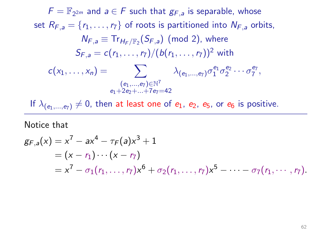If  $\lambda_{(e_1,...,e_7)} \neq 0$ , then at least one of  $e_1$ ,  $e_2$ ,  $e_5$ , or  $e_6$  is positive.

### Notice that

$$
g_{F,a}(x) = x^7 - ax^4 - \tau_F(a)x^3 + 1
$$
  
=  $(x - r_1) \cdots (x - r_7)$   
=  $x^7 - \sigma_1(r_1, ..., r_7)x^6 + \sigma_2(r_1, ..., r_7)x^5 - \cdots - \sigma_7(r_1, ..., r_7).$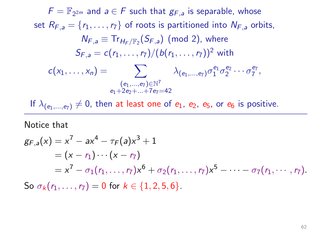If  $\lambda_{(e_1,...,e_7)} \neq 0$ , then at least one of  $e_1$ ,  $e_2$ ,  $e_5$ , or  $e_6$  is positive.

### Notice that

$$
g_{F,a}(x) = x^7 - ax^4 - \tau_F(a)x^3 + 1
$$
  
=  $(x - r_1) \cdots (x - r_7)$   
=  $x^7 - \sigma_1(r_1, ..., r_7)x^6 + \sigma_2(r_1, ..., r_7)x^5 - \cdots - \sigma_7(r_1, ..., r_7).$   
So  $\sigma_k(r_1, ..., r_7) = 0$  for  $k \in \{1, 2, 5, 6\}.$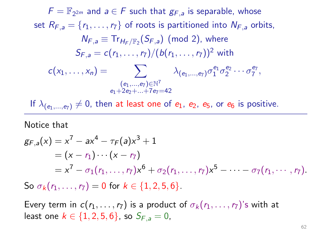If  $\lambda_{(e_1,...,e_7)} \neq 0$ , then at least one of  $e_1$ ,  $e_2$ ,  $e_5$ , or  $e_6$  is positive.

### Notice that

$$
g_{F,a}(x) = x^7 - ax^4 - \tau_F(a)x^3 + 1
$$
  
=  $(x - r_1) \cdots (x - r_7)$   
=  $x^7 - \sigma_1(r_1, ..., r_7)x^6 + \sigma_2(r_1, ..., r_7)x^5 - \cdots - \sigma_7(r_1, ..., r_7)$ .  
So  $\sigma_k(r_1, ..., r_7) = 0$  for  $k \in \{1, 2, 5, 6\}$ .

Every term in  $c(r_1, \ldots, r_7)$  is a product of  $\sigma_k(r_1, \ldots, r_7)$ 's with at least one  $k \in \{1, 2, 5, 6\}$ , so  $S_{F,a} = 0$ ,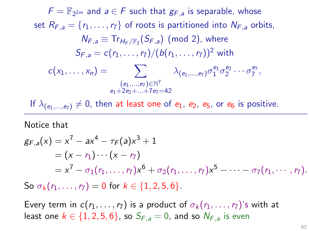If  $\lambda_{(e_1,...,e_7)} \neq 0$ , then at least one of  $e_1$ ,  $e_2$ ,  $e_5$ , or  $e_6$  is positive.

### Notice that

$$
g_{F,a}(x) = x^7 - ax^4 - \tau_F(a)x^3 + 1
$$
  
=  $(x - r_1) \cdots (x - r_7)$   
=  $x^7 - \sigma_1(r_1, ..., r_7)x^6 + \sigma_2(r_1, ..., r_7)x^5 - \cdots - \sigma_7(r_1, ..., r_7)$ .  
So  $\sigma_k(r_1, ..., r_7) = 0$  for  $k \in \{1, 2, 5, 6\}$ .

Every term in  $c(r_1, \ldots, r_7)$  is a product of  $\sigma_k(r_1, \ldots, r_7)$ 's with at least one  $k \in \{1, 2, 5, 6\}$ , so  $S_{F,a} = 0$ , and so  $N_{F,a}$  is even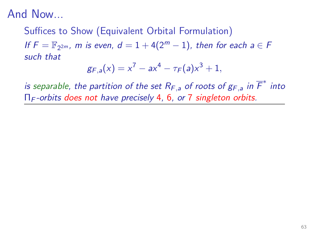# Suffices to Show (Equivalent Orbital Formulation) If  $F = \mathbb{F}_{2^{2m}}$ , m is even,  $d = 1 + 4(2^m - 1)$ , then for each  $a \in F$ such that

$$
g_{F,a}(x) = x^7 - ax^4 - \tau_F(a)x^3 + 1,
$$

is separable, the partition of the set  $R_{F,a}$  of roots of  $g_{F,a}$  in  $\overline{F}^*$  into  $\Pi_F$ -orbits does not have precisely 4, 6, or 7 singleton orbits.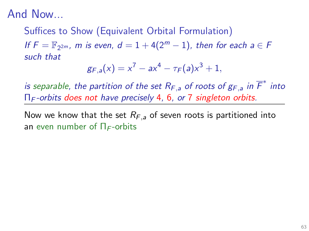# Suffices to Show (Equivalent Orbital Formulation) If  $F = \mathbb{F}_{2^{2m}}$ , m is even,  $d = 1 + 4(2^m - 1)$ , then for each  $a \in F$ such that

$$
g_{F,a}(x) = x^7 - ax^4 - \tau_F(a)x^3 + 1,
$$

is separable, the partition of the set  $R_{F,a}$  of roots of  $g_{F,a}$  in  $\overline{F}^*$  into  $\Pi_F$ -orbits does not have precisely 4, 6, or 7 singleton orbits.

Now we know that the set  $R_{F,a}$  of seven roots is partitioned into an even number of  $\Pi_F$ -orbits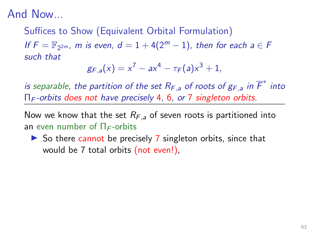# Suffices to Show (Equivalent Orbital Formulation) If  $F = \mathbb{F}_{2^{2m}}$ , m is even,  $d = 1 + 4(2^m - 1)$ , then for each  $a \in F$ such that

$$
g_{F,a}(x) = x^7 - ax^4 - \tau_F(a)x^3 + 1,
$$

is separable, the partition of the set  $R_{F,a}$  of roots of  $g_{F,a}$  in  $\overline{F}^*$  into  $\Pi_F$ -orbits does not have precisely 4, 6, or 7 singleton orbits.

Now we know that the set  $R_{F,a}$  of seven roots is partitioned into an even number of  $\Pi_F$ -orbits

 $\triangleright$  So there cannot be precisely 7 singleton orbits, since that would be 7 total orbits (not even!),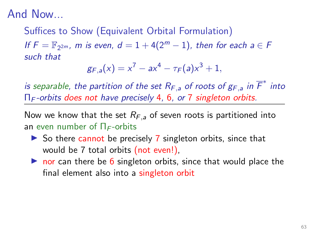# Suffices to Show (Equivalent Orbital Formulation) If  $F = \mathbb{F}_{2^{2m}}$ , m is even,  $d = 1 + 4(2^m - 1)$ , then for each  $a \in F$ such that

$$
g_{F,a}(x) = x^7 - ax^4 - \tau_F(a)x^3 + 1,
$$

is separable, the partition of the set  $R_{F,a}$  of roots of  $g_{F,a}$  in  $\overline{F}^*$  into  $\Pi_F$ -orbits does not have precisely 4, 6, or 7 singleton orbits.

Now we know that the set  $R_{F,a}$  of seven roots is partitioned into an even number of  $\Pi_F$ -orbits

- $\triangleright$  So there cannot be precisely 7 singleton orbits, since that would be 7 total orbits (not even!),
- $\triangleright$  nor can there be 6 singleton orbits, since that would place the final element also into a singleton orbit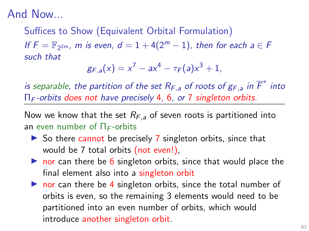# Suffices to Show (Equivalent Orbital Formulation) If  $F = \mathbb{F}_{2^{2m}}$ , m is even,  $d = 1 + 4(2^m - 1)$ , then for each  $a \in F$ such that

$$
g_{F,a}(x) = x^7 - ax^4 - \tau_F(a)x^3 + 1,
$$

is separable, the partition of the set  $R_{F,a}$  of roots of  $g_{F,a}$  in  $\overline{F}^*$  into  $\Pi_F$ -orbits does not have precisely 4, 6, or 7 singleton orbits.

Now we know that the set  $R_{F,a}$  of seven roots is partitioned into an even number of  $\Pi_F$ -orbits

- $\triangleright$  So there cannot be precisely 7 singleton orbits, since that would be 7 total orbits (not even!),
- $\triangleright$  nor can there be 6 singleton orbits, since that would place the final element also into a singleton orbit
- $\triangleright$  nor can there be 4 singleton orbits, since the total number of orbits is even, so the remaining 3 elements would need to be partitioned into an even number of orbits, which would introduce another singleton orbit.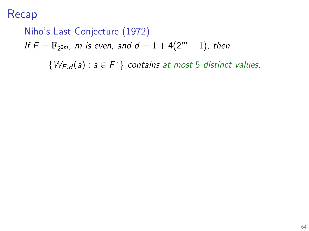Niho's Last Conjecture (1972) If  $F = \mathbb{F}_{2^{2m}}$ , m is even, and  $d = 1 + 4(2^m - 1)$ , then  $\{W_{F,d}(a): a \in F^*\}$  contains at most 5 distinct values.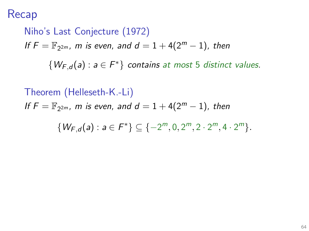Niho's Last Conjecture (1972) If  $F = \mathbb{F}_{2^{2m}}$ , m is even, and  $d = 1 + 4(2^m - 1)$ , then  $\{W_{F,d}(a): a \in F^*\}$  contains at most 5 distinct values.

Theorem (Helleseth-K.-Li) If  $F = \mathbb{F}_{2^{2m}}$ , m is even, and  $d = 1 + 4(2^m - 1)$ , then  $\{W_{F,d}(a): a \in F^*\} \subseteq \{-2^m, 0, 2^m, 2 \cdot 2^m, 4 \cdot 2^m\}.$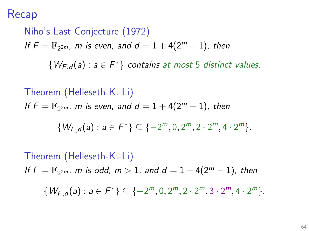Niho's Last Conjecture (1972) If  $F = \mathbb{F}_{2^{2m}}$ , m is even, and  $d = 1 + 4(2^m - 1)$ , then  $\{W_{F,d}(a): a \in F^*\}$  contains at most 5 distinct values.

Theorem (Helleseth-K.-Li)

\n
$$
If F = \mathbb{F}_{2^{2m}}, \, m \text{ is even, and } d = 1 + 4(2^m - 1), \, then
$$
\n
$$
\{W_{F,d}(a) : a \in F^*\} \subseteq \{-2^m, 0, 2^m, 2 \cdot 2^m, 4 \cdot 2^m\}.
$$
\nTheorem (Helleseth-K.-Li)

\n
$$
If F = \mathbb{F}_{2^{2m}}, \, m \text{ is odd, } m > 1, \, and \, d = 1 + 4(2^m - 1), \, then
$$
\n
$$
\{W_{F,d}(a) : a \in F^*\} \subseteq \{-2^m, 0, 2^m, 2 \cdot 2^m, 3 \cdot 2^m, 4 \cdot 2^m\}.
$$